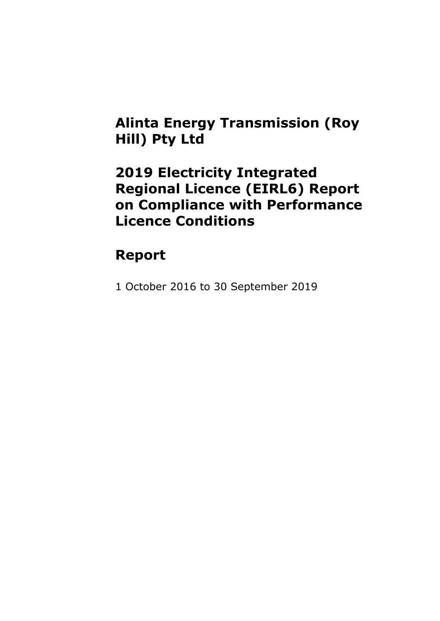### **Alinta Energy Transmission (Roy Hill) Pty Ltd**

### **2019 Electricity Integrated Regional Licence (EIRL6) Report on Compliance with Performance Licence Conditions**

## **Report**

1 October 2016 to 30 September 2019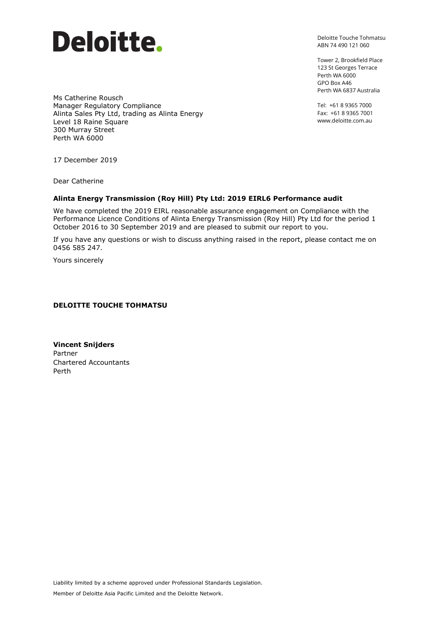

Deloitte Touche Tohmatsu ABN 74 490 121 060

Tower 2, Brookfield Place 123 St Georges Terrace Perth WA 6000 GPO Box A46 Perth WA 6837 Australia

Tel: +61 8 9365 7000 Fax: +61 8 9365 7001 www.deloitte.com.au

Ms Catherine Rousch Manager Regulatory Compliance Alinta Sales Pty Ltd, trading as Alinta Energy Level 18 Raine Square 300 Murray Street Perth WA 6000

17 December 2019

Dear Catherine

#### **Alinta Energy Transmission (Roy Hill) Pty Ltd: 2019 EIRL6 Performance audit**

We have completed the 2019 EIRL reasonable assurance engagement on Compliance with the Performance Licence Conditions of Alinta Energy Transmission (Roy Hill) Pty Ltd for the period 1 October 2016 to 30 September 2019 and are pleased to submit our report to you.

If you have any questions or wish to discuss anything raised in the report, please contact me on 0456 585 247.

Yours sincerely

#### **DELOITTE TOUCHE TOHMATSU**

**Vincent Snijders** Partner Chartered Accountants Perth

Liability limited by a scheme approved under Professional Standards Legislation.

Member of Deloitte Asia Pacific Limited and the Deloitte Network.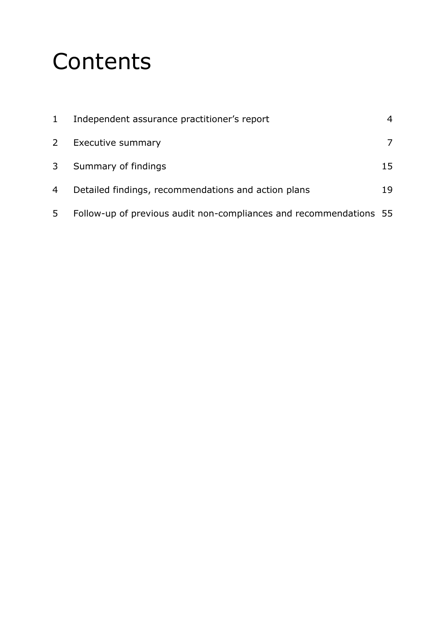# **Contents**

| $1 \ \overline{\ }$ | Independent assurance practitioner's report                        | $\overline{4}$ |
|---------------------|--------------------------------------------------------------------|----------------|
| $\mathbf{2}$        | Executive summary                                                  |                |
| 3                   | Summary of findings                                                | 15             |
| 4                   | Detailed findings, recommendations and action plans                | 19             |
| 5                   | Follow-up of previous audit non-compliances and recommendations 55 |                |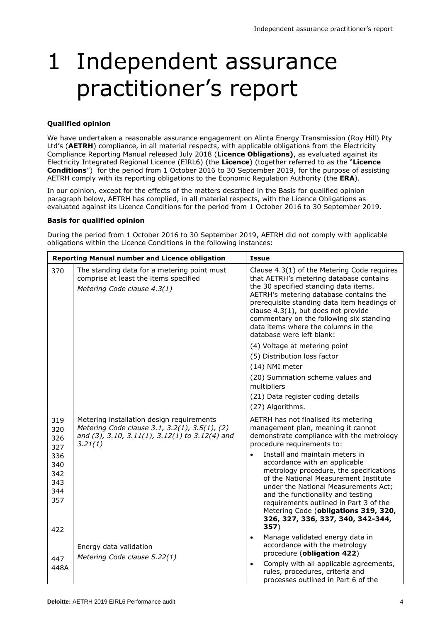## 1 Independent assurance practitioner's report

#### **Qualified opinion**

We have undertaken a reasonable assurance engagement on Alinta Energy Transmission (Roy Hill) Pty Ltd's (**AETRH**) compliance, in all material respects, with applicable obligations from the Electricity Compliance Reporting Manual released July 2018 (**Licence Obligations)**, as evaluated against its Electricity Integrated Regional Licence (EIRL6) (the **Licence**) (together referred to as the "**Licence Conditions**") for the period from 1 October 2016 to 30 September 2019, for the purpose of assisting AETRH comply with its reporting obligations to the Economic Regulation Authority (the **ERA**).

In our opinion, except for the effects of the matters described in the Basis for qualified opinion paragraph below, AETRH has complied, in all material respects, with the Licence Obligations as evaluated against its Licence Conditions for the period from 1 October 2016 to 30 September 2019.

#### **Basis for qualified opinion**

During the period from 1 October 2016 to 30 September 2019, AETRH did not comply with applicable obligations within the Licence Conditions in the following instances:

|                                                                    | <b>Reporting Manual number and Licence obligation</b>                                                                                                   | <b>Issue</b>                                                                                                                                                                                                                                                                                                                                                                                                                                                                                                                                               |  |
|--------------------------------------------------------------------|---------------------------------------------------------------------------------------------------------------------------------------------------------|------------------------------------------------------------------------------------------------------------------------------------------------------------------------------------------------------------------------------------------------------------------------------------------------------------------------------------------------------------------------------------------------------------------------------------------------------------------------------------------------------------------------------------------------------------|--|
| 370                                                                | The standing data for a metering point must<br>comprise at least the items specified<br>Metering Code clause 4.3(1)                                     | Clause 4.3(1) of the Metering Code requires<br>that AETRH's metering database contains<br>the 30 specified standing data items.<br>AETRH's metering database contains the<br>prerequisite standing data item headings of<br>clause 4.3(1), but does not provide<br>commentary on the following six standing<br>data items where the columns in the<br>database were left blank:<br>(4) Voltage at metering point<br>(5) Distribution loss factor<br>(14) NMI meter<br>(20) Summation scheme values and<br>multipliers<br>(21) Data register coding details |  |
|                                                                    |                                                                                                                                                         | (27) Algorithms.                                                                                                                                                                                                                                                                                                                                                                                                                                                                                                                                           |  |
| 319<br>320<br>326<br>327<br>336<br>340<br>342<br>343<br>344<br>357 | Metering installation design requirements<br>Metering Code clause 3.1, 3.2(1), 3.5(1), (2)<br>and (3), 3.10, 3.11(1), 3.12(1) to 3.12(4) and<br>3.21(1) | AETRH has not finalised its metering<br>management plan, meaning it cannot<br>demonstrate compliance with the metrology<br>procedure requirements to:<br>Install and maintain meters in<br>$\bullet$<br>accordance with an applicable<br>metrology procedure, the specifications<br>of the National Measurement Institute<br>under the National Measurements Act;<br>and the functionality and testing<br>requirements outlined in Part 3 of the                                                                                                           |  |
| 422                                                                |                                                                                                                                                         | Metering Code (obligations 319, 320,<br>326, 327, 336, 337, 340, 342-344,<br>357)                                                                                                                                                                                                                                                                                                                                                                                                                                                                          |  |
| 447                                                                | Energy data validation<br>Metering Code clause 5.22(1)                                                                                                  | Manage validated energy data in<br>$\bullet$<br>accordance with the metrology<br>procedure (obligation 422)                                                                                                                                                                                                                                                                                                                                                                                                                                                |  |
| 448A                                                               |                                                                                                                                                         | Comply with all applicable agreements,<br>$\bullet$<br>rules, procedures, criteria and<br>processes outlined in Part 6 of the                                                                                                                                                                                                                                                                                                                                                                                                                              |  |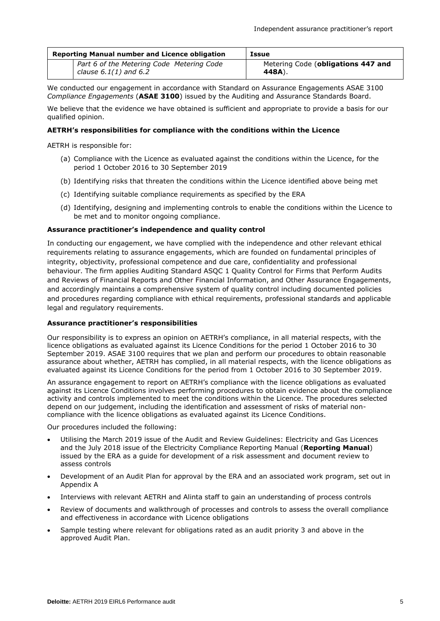| Reporting Manual number and Licence obligation                         | <b>Issue</b>                                 |
|------------------------------------------------------------------------|----------------------------------------------|
| Part 6 of the Metering Code Metering Code<br>clause $6.1(1)$ and $6.2$ | Metering Code (obligations 447 and<br>448A). |

We conducted our engagement in accordance with Standard on Assurance Engagements ASAE 3100 *Compliance Engagements* (**ASAE 3100**) issued by the Auditing and Assurance Standards Board.

We believe that the evidence we have obtained is sufficient and appropriate to provide a basis for our qualified opinion.

#### **AETRH's responsibilities for compliance with the conditions within the Licence**

AETRH is responsible for:

- (a) Compliance with the Licence as evaluated against the conditions within the Licence, for the period 1 October 2016 to 30 September 2019
- (b) Identifying risks that threaten the conditions within the Licence identified above being met
- (c) Identifying suitable compliance requirements as specified by the ERA
- (d) Identifying, designing and implementing controls to enable the conditions within the Licence to be met and to monitor ongoing compliance.

#### **Assurance practitioner's independence and quality control**

In conducting our engagement, we have complied with the independence and other relevant ethical requirements relating to assurance engagements, which are founded on fundamental principles of integrity, objectivity, professional competence and due care, confidentiality and professional behaviour. The firm applies Auditing Standard ASQC 1 Quality Control for Firms that Perform Audits and Reviews of Financial Reports and Other Financial Information, and Other Assurance Engagements, and accordingly maintains a comprehensive system of quality control including documented policies and procedures regarding compliance with ethical requirements, professional standards and applicable legal and regulatory requirements.

#### **Assurance practitioner's responsibilities**

Our responsibility is to express an opinion on AETRH's compliance, in all material respects, with the licence obligations as evaluated against its Licence Conditions for the period 1 October 2016 to 30 September 2019. ASAE 3100 requires that we plan and perform our procedures to obtain reasonable assurance about whether, AETRH has complied, in all material respects, with the licence obligations as evaluated against its Licence Conditions for the period from 1 October 2016 to 30 September 2019.

An assurance engagement to report on AETRH's compliance with the licence obligations as evaluated against its Licence Conditions involves performing procedures to obtain evidence about the compliance activity and controls implemented to meet the conditions within the Licence. The procedures selected depend on our judgement, including the identification and assessment of risks of material noncompliance with the licence obligations as evaluated against its Licence Conditions.

Our procedures included the following:

- Utilising the March 2019 issue of the Audit and Review Guidelines: Electricity and Gas Licences and the July 2018 issue of the Electricity Compliance Reporting Manual (**Reporting Manual**) issued by the ERA as a guide for development of a risk assessment and document review to assess controls
- Development of an Audit Plan for approval by the ERA and an associated work program, set out in Appendix A
- Interviews with relevant AETRH and Alinta staff to gain an understanding of process controls
- Review of documents and walkthrough of processes and controls to assess the overall compliance and effectiveness in accordance with Licence obligations
- Sample testing where relevant for obligations rated as an audit priority 3 and above in the approved Audit Plan.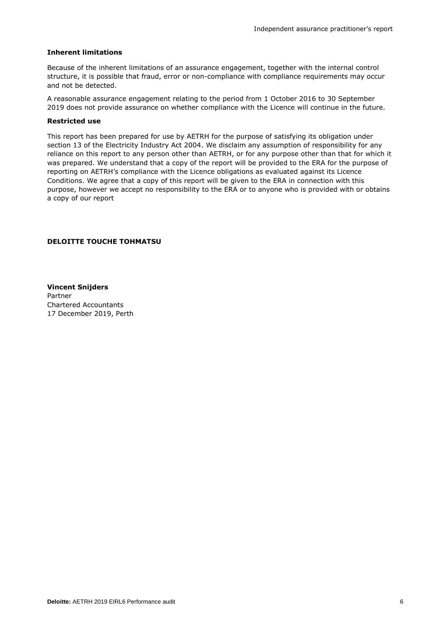#### **Inherent limitations**

Because of the inherent limitations of an assurance engagement, together with the internal control structure, it is possible that fraud, error or non-compliance with compliance requirements may occur and not be detected.

A reasonable assurance engagement relating to the period from 1 October 2016 to 30 September 2019 does not provide assurance on whether compliance with the Licence will continue in the future.

#### **Restricted use**

This report has been prepared for use by AETRH for the purpose of satisfying its obligation under section 13 of the Electricity Industry Act 2004. We disclaim any assumption of responsibility for any reliance on this report to any person other than AETRH, or for any purpose other than that for which it was prepared. We understand that a copy of the report will be provided to the ERA for the purpose of reporting on AETRH's compliance with the Licence obligations as evaluated against its Licence Conditions. We agree that a copy of this report will be given to the ERA in connection with this purpose, however we accept no responsibility to the ERA or to anyone who is provided with or obtains a copy of our report

#### **DELOITTE TOUCHE TOHMATSU**

**Vincent Snijders** Partner Chartered Accountants 17 December 2019, Perth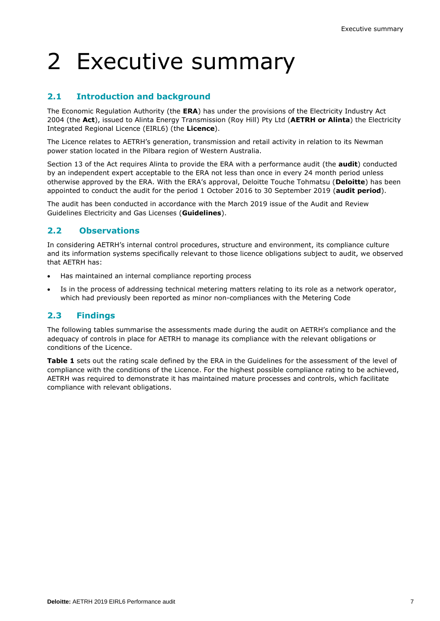# 2 Executive summary

### **2.1 Introduction and background**

The Economic Regulation Authority (the **ERA**) has under the provisions of the Electricity Industry Act 2004 (the **Act**), issued to Alinta Energy Transmission (Roy Hill) Pty Ltd (**AETRH or Alinta**) the Electricity Integrated Regional Licence (EIRL6) (the **Licence**).

The Licence relates to AETRH's generation, transmission and retail activity in relation to its Newman power station located in the Pilbara region of Western Australia.

Section 13 of the Act requires Alinta to provide the ERA with a performance audit (the **audit**) conducted by an independent expert acceptable to the ERA not less than once in every 24 month period unless otherwise approved by the ERA. With the ERA's approval, Deloitte Touche Tohmatsu (**Deloitte**) has been appointed to conduct the audit for the period 1 October 2016 to 30 September 2019 (**audit period**).

The audit has been conducted in accordance with the March 2019 issue of the Audit and Review Guidelines Electricity and Gas Licenses (**Guidelines**).

#### **2.2 Observations**

In considering AETRH's internal control procedures, structure and environment, its compliance culture and its information systems specifically relevant to those licence obligations subject to audit, we observed that AETRH has:

- Has maintained an internal compliance reporting process
- Is in the process of addressing technical metering matters relating to its role as a network operator, which had previously been reported as minor non-compliances with the Metering Code

#### **2.3 Findings**

The following tables summarise the assessments made during the audit on AETRH's compliance and the adequacy of controls in place for AETRH to manage its compliance with the relevant obligations or conditions of the Licence.

**Table 1** sets out the rating scale defined by the ERA in the Guidelines for the assessment of the level of compliance with the conditions of the Licence. For the highest possible compliance rating to be achieved, AETRH was required to demonstrate it has maintained mature processes and controls, which facilitate compliance with relevant obligations.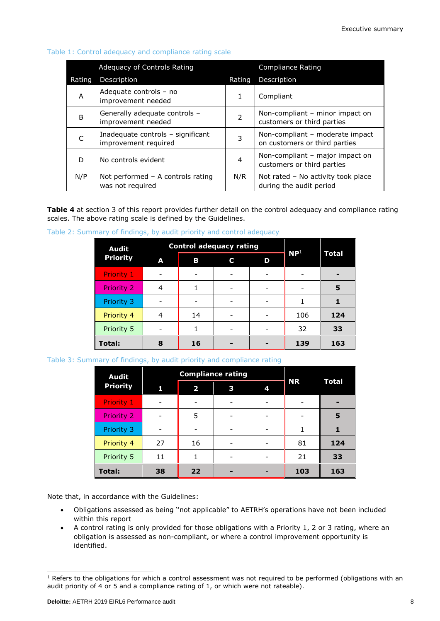| Adequacy of Controls Rating |                                                           |               | <b>Compliance Rating</b>                                         |
|-----------------------------|-----------------------------------------------------------|---------------|------------------------------------------------------------------|
| Rating                      | Description                                               | Rating        | Description                                                      |
| A                           | Adequate controls - no<br>improvement needed              | $\mathbf{1}$  | Compliant                                                        |
| B                           | Generally adequate controls -<br>improvement needed       | $\mathcal{P}$ | Non-compliant – minor impact on<br>customers or third parties    |
|                             | Inadequate controls - significant<br>improvement required | 3             | Non-compliant - moderate impact<br>on customers or third parties |
| D                           | No controls evident                                       | 4             | Non-compliant - major impact on<br>customers or third parties    |
| N/P                         | Not performed $-$ A controls rating<br>was not required   | N/R           | Not rated - No activity took place<br>during the audit period    |

#### Table 1: Control adequacy and compliance rating scale

**Table 4** at section 3 of this report provides further detail on the control adequacy and compliance rating scales. The above rating scale is defined by the Guidelines.

| Table 2: Summary of findings, by audit priority and control adequacy |  |  |  |
|----------------------------------------------------------------------|--|--|--|

| <b>Audit</b>      |   |    | <b>Control adequacy rating</b> |   | NP <sup>1</sup> |       |
|-------------------|---|----|--------------------------------|---|-----------------|-------|
| <b>Priority</b>   | A | В  | C                              | D |                 | Total |
| <b>Priority 1</b> |   |    |                                |   |                 |       |
| <b>Priority 2</b> | 4 |    |                                |   |                 | 5     |
| Priority 3        |   |    |                                |   |                 |       |
| Priority 4        | 4 | 14 |                                |   | 106             | 124   |
| Priority 5        |   |    |                                |   | 32              | 33    |
| <b>Total:</b>     | 8 | 16 |                                |   | 139             | 163   |

Table 3: Summary of findings, by audit priority and compliance rating

| <b>Audit</b>      |    | <b>Compliance rating</b> |   |   |           |       |
|-------------------|----|--------------------------|---|---|-----------|-------|
| <b>Priority</b>   | 1  | 2                        | 3 | 4 | <b>NR</b> | Total |
| <b>Priority 1</b> |    |                          |   |   |           |       |
| Priority 2        |    | 5                        |   |   |           | 5     |
| Priority 3        |    |                          |   |   |           |       |
| Priority 4        | 27 | 16                       |   |   | 81        | 124   |
| Priority 5        | 11 |                          |   |   | 21        | 33    |
| <b>Total:</b>     | 38 | 22                       |   |   | 103       | 163   |

Note that, in accordance with the Guidelines:

- Obligations assessed as being ''not applicable" to AETRH's operations have not been included within this report
- A control rating is only provided for those obligations with a Priority 1, 2 or 3 rating, where an obligation is assessed as non-compliant, or where a control improvement opportunity is identified.

1

 $1$  Refers to the obligations for which a control assessment was not required to be performed (obligations with an audit priority of 4 or 5 and a compliance rating of 1, or which were not rateable).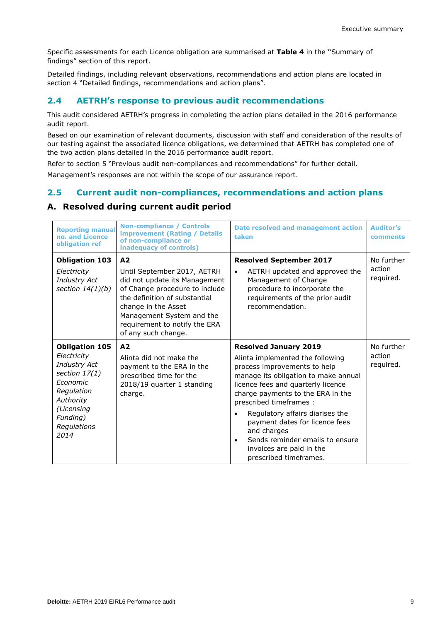Specific assessments for each Licence obligation are summarised at **Table 4** in the ''Summary of findings" section of this report.

Detailed findings, including relevant observations, recommendations and action plans are located in section 4 "Detailed findings, recommendations and action plans".

#### **2.4 AETRH's response to previous audit recommendations**

This audit considered AETRH's progress in completing the action plans detailed in the 2016 performance audit report.

Based on our examination of relevant documents, discussion with staff and consideration of the results of our testing against the associated licence obligations, we determined that AETRH has completed one of the two action plans detailed in the 2016 performance audit report.

Refer to section 5 "Previous audit non-compliances and recommendations" for further detail.

Management's responses are not within the scope of our assurance report.

#### **2.5 Current audit non-compliances, recommendations and action plans**

#### **A. Resolved during current audit period**

| <b>Reporting manual</b><br>no. and Licence<br>obligation ref                                                                                                    | <b>Non-compliance / Controls</b><br><b>improvement (Rating / Details</b><br>of non-compliance or<br>inadequacy of controls)                                                                                                                                   | Date resolved and management action<br>taken                                                                                                                                                                                                                                                                                                                                                                                             | <b>Auditor's</b><br>comments      |
|-----------------------------------------------------------------------------------------------------------------------------------------------------------------|---------------------------------------------------------------------------------------------------------------------------------------------------------------------------------------------------------------------------------------------------------------|------------------------------------------------------------------------------------------------------------------------------------------------------------------------------------------------------------------------------------------------------------------------------------------------------------------------------------------------------------------------------------------------------------------------------------------|-----------------------------------|
| <b>Obligation 103</b><br>Electricity<br><b>Industry Act</b><br>section $14(1)(b)$                                                                               | A <sub>2</sub><br>Until September 2017, AETRH<br>did not update its Management<br>of Change procedure to include<br>the definition of substantial<br>change in the Asset<br>Management System and the<br>requirement to notify the ERA<br>of any such change. | <b>Resolved September 2017</b><br>AETRH updated and approved the<br>$\bullet$<br>Management of Change<br>procedure to incorporate the<br>requirements of the prior audit<br>recommendation.                                                                                                                                                                                                                                              | No further<br>action<br>required. |
| <b>Obligation 105</b><br>Electricity<br>Industry Act<br>section $17(1)$<br>Economic<br>Regulation<br>Authority<br>(Licensing<br>Funding)<br>Regulations<br>2014 | A <sub>2</sub><br>Alinta did not make the<br>payment to the ERA in the<br>prescribed time for the<br>2018/19 quarter 1 standing<br>charge.                                                                                                                    | <b>Resolved January 2019</b><br>Alinta implemented the following<br>process improvements to help<br>manage its obligation to make annual<br>licence fees and quarterly licence<br>charge payments to the ERA in the<br>prescribed timeframes :<br>Regulatory affairs diarises the<br>payment dates for licence fees<br>and charges<br>Sends reminder emails to ensure<br>$\bullet$<br>invoices are paid in the<br>prescribed timeframes. | No further<br>action<br>required. |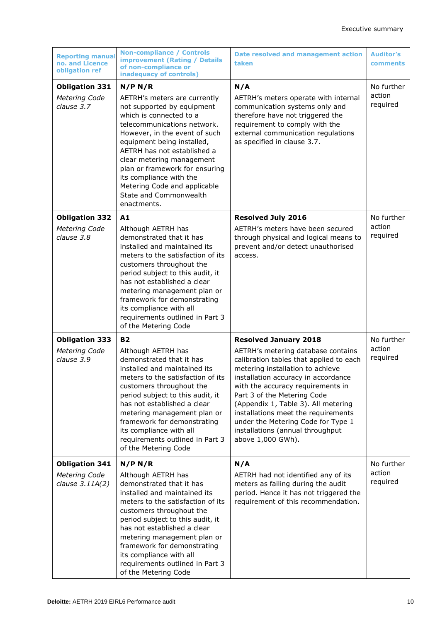| <b>Reporting manual</b><br>no. and Licence<br>obligation ref | <b>Non-compliance / Controls</b><br><b>improvement (Rating / Details</b><br>of non-compliance or<br>inadequacy of controls)                                                                                                                                                                                                                                                                      | Date resolved and management action<br>taken                                                                                                                                                                                                                                                                                                                                                                                              | <b>Auditor's</b><br>comments     |
|--------------------------------------------------------------|--------------------------------------------------------------------------------------------------------------------------------------------------------------------------------------------------------------------------------------------------------------------------------------------------------------------------------------------------------------------------------------------------|-------------------------------------------------------------------------------------------------------------------------------------------------------------------------------------------------------------------------------------------------------------------------------------------------------------------------------------------------------------------------------------------------------------------------------------------|----------------------------------|
| <b>Obligation 331</b><br>Metering Code<br>clause 3.7         | N/P N/R<br>AETRH's meters are currently<br>not supported by equipment<br>which is connected to a<br>telecommunications network.<br>However, in the event of such<br>equipment being installed,<br>AETRH has not established a<br>clear metering management<br>plan or framework for ensuring<br>its compliance with the<br>Metering Code and applicable<br>State and Commonwealth<br>enactments. | N/A<br>AETRH's meters operate with internal<br>communication systems only and<br>therefore have not triggered the<br>requirement to comply with the<br>external communication regulations<br>as specified in clause 3.7.                                                                                                                                                                                                                  | No further<br>action<br>required |
| <b>Obligation 332</b><br>Metering Code<br>clause 3.8         | A1<br>Although AETRH has<br>demonstrated that it has<br>installed and maintained its<br>meters to the satisfaction of its<br>customers throughout the<br>period subject to this audit, it<br>has not established a clear<br>metering management plan or<br>framework for demonstrating<br>its compliance with all<br>requirements outlined in Part 3<br>of the Metering Code                     | <b>Resolved July 2016</b><br>AETRH's meters have been secured<br>through physical and logical means to<br>prevent and/or detect unauthorised<br>access.                                                                                                                                                                                                                                                                                   | No further<br>action<br>required |
| <b>Obligation 333</b><br>Metering Code<br>clause 3.9         | <b>B2</b><br>Although AETRH has<br>demonstrated that it has<br>installed and maintained its<br>meters to the satisfaction of its<br>customers throughout the<br>period subject to this audit, it<br>has not established a clear<br>metering management plan or<br>framework for demonstrating<br>its compliance with all<br>requirements outlined in Part 3<br>of the Metering Code              | <b>Resolved January 2018</b><br>AETRH's metering database contains<br>calibration tables that applied to each<br>metering installation to achieve<br>installation accuracy in accordance<br>with the accuracy requirements in<br>Part 3 of the Metering Code<br>(Appendix 1, Table 3). All metering<br>installations meet the requirements<br>under the Metering Code for Type 1<br>installations (annual throughput<br>above 1,000 GWh). | No further<br>action<br>required |
| <b>Obligation 341</b><br>Metering Code<br>clause $3.11A(2)$  | N/P N/R<br>Although AETRH has<br>demonstrated that it has<br>installed and maintained its<br>meters to the satisfaction of its<br>customers throughout the<br>period subject to this audit, it<br>has not established a clear<br>metering management plan or<br>framework for demonstrating<br>its compliance with all<br>requirements outlined in Part 3<br>of the Metering Code                | N/A<br>AETRH had not identified any of its<br>meters as failing during the audit<br>period. Hence it has not triggered the<br>requirement of this recommendation.                                                                                                                                                                                                                                                                         | No further<br>action<br>required |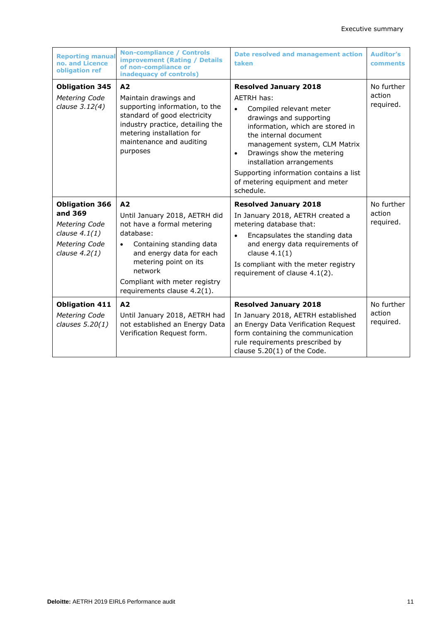| <b>Reporting manual</b><br>no. and Licence<br>obligation ref                                             | <b>Non-compliance / Controls</b><br><b>improvement (Rating / Details</b><br>of non-compliance or<br>inadequacy of controls)                                                                                                                                         | <b>Date resolved and management action</b><br>taken                                                                                                                                                                                                                                                                                                                           | <b>Auditor's</b><br>comments      |
|----------------------------------------------------------------------------------------------------------|---------------------------------------------------------------------------------------------------------------------------------------------------------------------------------------------------------------------------------------------------------------------|-------------------------------------------------------------------------------------------------------------------------------------------------------------------------------------------------------------------------------------------------------------------------------------------------------------------------------------------------------------------------------|-----------------------------------|
| <b>Obligation 345</b><br>Metering Code<br>clause 3.12(4)                                                 | A <sub>2</sub><br>Maintain drawings and<br>supporting information, to the<br>standard of good electricity<br>industry practice, detailing the<br>metering installation for<br>maintenance and auditing<br>purposes                                                  | <b>Resolved January 2018</b><br>AFTRH has:<br>Compiled relevant meter<br>$\bullet$<br>drawings and supporting<br>information, which are stored in<br>the internal document<br>management system, CLM Matrix<br>Drawings show the metering<br>$\bullet$<br>installation arrangements<br>Supporting information contains a list<br>of metering equipment and meter<br>schedule. | No further<br>action<br>required. |
| <b>Obligation 366</b><br>and 369<br>Metering Code<br>clause $4.1(1)$<br>Metering Code<br>clause $4.2(1)$ | A <sub>2</sub><br>Until January 2018, AETRH did<br>not have a formal metering<br>database:<br>Containing standing data<br>$\bullet$<br>and energy data for each<br>metering point on its<br>network<br>Compliant with meter registry<br>requirements clause 4.2(1). | <b>Resolved January 2018</b><br>In January 2018, AETRH created a<br>metering database that:<br>Encapsulates the standing data<br>$\bullet$<br>and energy data requirements of<br>clause $4.1(1)$<br>Is compliant with the meter registry<br>requirement of clause 4.1(2).                                                                                                     | No further<br>action<br>required. |
| <b>Obligation 411</b><br>Metering Code<br>clauses 5.20(1)                                                | A2<br>Until January 2018, AETRH had<br>not established an Energy Data<br>Verification Request form.                                                                                                                                                                 | <b>Resolved January 2018</b><br>In January 2018, AETRH established<br>an Energy Data Verification Request<br>form containing the communication<br>rule requirements prescribed by<br>clause $5.20(1)$ of the Code.                                                                                                                                                            | No further<br>action<br>required. |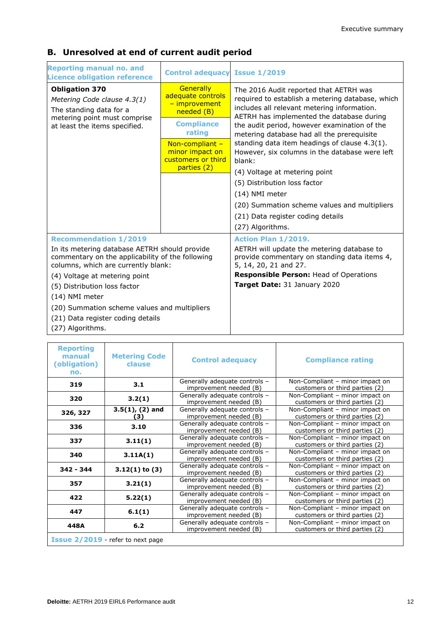| <b>Reporting manual no. and</b><br><b>Licence obligation reference</b>                                                                   | <b>Control adequacy Issue 1/2019</b>                                    |                                                                                                                                                                                        |
|------------------------------------------------------------------------------------------------------------------------------------------|-------------------------------------------------------------------------|----------------------------------------------------------------------------------------------------------------------------------------------------------------------------------------|
| <b>Obligation 370</b><br>Metering Code clause 4.3(1)<br>The standing data for a<br>metering point must comprise                          | Generally<br>adequate controls<br>- improvement<br>needed (B)           | The 2016 Audit reported that AETRH was<br>required to establish a metering database, which<br>includes all relevant metering information.<br>AETRH has implemented the database during |
| at least the items specified.                                                                                                            | <b>Compliance</b><br>rating                                             | the audit period, however examination of the<br>metering database had all the prerequisite                                                                                             |
|                                                                                                                                          | Non-compliant -<br>minor impact on<br>customers or third<br>parties (2) | standing data item headings of clause 4.3(1).<br>However, six columns in the database were left<br>blank:                                                                              |
|                                                                                                                                          |                                                                         | (4) Voltage at metering point                                                                                                                                                          |
|                                                                                                                                          |                                                                         | (5) Distribution loss factor                                                                                                                                                           |
|                                                                                                                                          |                                                                         | (14) NMI meter                                                                                                                                                                         |
|                                                                                                                                          |                                                                         | (20) Summation scheme values and multipliers                                                                                                                                           |
|                                                                                                                                          |                                                                         | (21) Data register coding details                                                                                                                                                      |
|                                                                                                                                          |                                                                         | (27) Algorithms.                                                                                                                                                                       |
| <b>Recommendation 1/2019</b>                                                                                                             |                                                                         | Action Plan 1/2019.                                                                                                                                                                    |
| In its metering database AETRH should provide<br>commentary on the applicability of the following<br>columns, which are currently blank: |                                                                         | AETRH will update the metering database to<br>provide commentary on standing data items 4,<br>5, 14, 20, 21 and 27.                                                                    |
| (4) Voltage at metering point                                                                                                            |                                                                         | Responsible Person: Head of Operations                                                                                                                                                 |
| (5) Distribution loss factor                                                                                                             |                                                                         | Target Date: 31 January 2020                                                                                                                                                           |
| (14) NMI meter                                                                                                                           |                                                                         |                                                                                                                                                                                        |
| (20) Summation scheme values and multipliers                                                                                             |                                                                         |                                                                                                                                                                                        |
| (21) Data register coding details                                                                                                        |                                                                         |                                                                                                                                                                                        |
| (27) Algorithms.                                                                                                                         |                                                                         |                                                                                                                                                                                        |

### **B. Unresolved at end of current audit period**

| <b>Reporting</b><br>manual<br>(obligation)<br>no. | <b>Metering Code</b><br>clause | <b>Control adequacy</b>                                 | <b>Compliance rating</b>                                          |  |
|---------------------------------------------------|--------------------------------|---------------------------------------------------------|-------------------------------------------------------------------|--|
| 319                                               | 3.1                            | Generally adequate controls -<br>improvement needed (B) | Non-Compliant - minor impact on<br>customers or third parties (2) |  |
| 320                                               | 3.2(1)                         | Generally adequate controls -<br>improvement needed (B) | Non-Compliant - minor impact on<br>customers or third parties (2) |  |
| 326, 327                                          | $3.5(1)$ , (2) and<br>(3       | Generally adequate controls -<br>improvement needed (B) | Non-Compliant - minor impact on<br>customers or third parties (2) |  |
| 336                                               | 3.10                           | Generally adequate controls -<br>improvement needed (B) | Non-Compliant - minor impact on<br>customers or third parties (2) |  |
| 337                                               | 3.11(1)                        | Generally adequate controls -<br>improvement needed (B) | Non-Compliant - minor impact on<br>customers or third parties (2) |  |
| 340                                               | 3.11A(1)                       | Generally adequate controls -<br>improvement needed (B) | Non-Compliant - minor impact on<br>customers or third parties (2) |  |
| $342 - 344$                                       | $3.12(1)$ to $(3)$             | Generally adequate controls -<br>improvement needed (B) | Non-Compliant - minor impact on<br>customers or third parties (2) |  |
| 357                                               | 3.21(1)                        | Generally adequate controls -<br>improvement needed (B) | Non-Compliant - minor impact on<br>customers or third parties (2) |  |
| 422                                               | 5.22(1)                        | Generally adequate controls -<br>improvement needed (B) | Non-Compliant - minor impact on<br>customers or third parties (2) |  |
| 447                                               | 6.1(1)                         | Generally adequate controls -<br>improvement needed (B) | Non-Compliant - minor impact on<br>customers or third parties (2) |  |
| 448A                                              | 6.2                            | Generally adequate controls -<br>improvement needed (B) | Non-Compliant - minor impact on<br>customers or third parties (2) |  |
| Issue 2/2019 - refer to next page                 |                                |                                                         |                                                                   |  |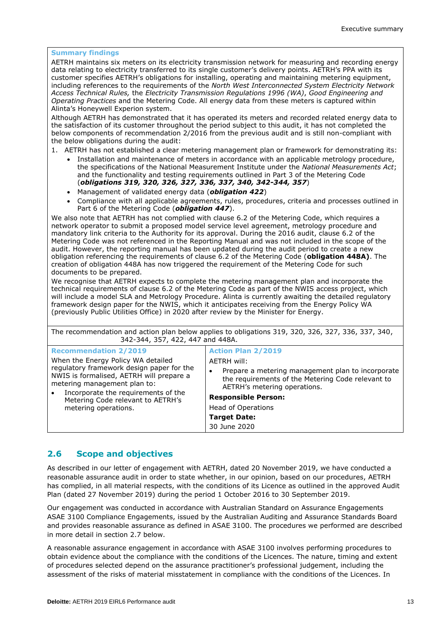#### **Summary findings**

AETRH maintains six meters on its electricity transmission network for measuring and recording energy data relating to electricity transferred to its single customer's delivery points. AETRH's PPA with its customer specifies AETRH's obligations for installing, operating and maintaining metering equipment, including references to the requirements of the *North West Interconnected System Electricity Network Access Technical Rules,* the *Electricity Transmission Regulations 1996 (WA)*, *Good Engineering and Operating Practices* and the Metering Code. All energy data from these meters is captured within Alinta's Honeywell Experion system.

Although AETRH has demonstrated that it has operated its meters and recorded related energy data to the satisfaction of its customer throughout the period subject to this audit, it has not completed the below components of recommendation 2/2016 from the previous audit and is still non-compliant with the below obligations during the audit:

- 1. AETRH has not established a clear metering management plan or framework for demonstrating its:
	- Installation and maintenance of meters in accordance with an applicable metrology procedure, the specifications of the National Measurement Institute under the *National Measurements Act*; and the functionality and testing requirements outlined in Part 3 of the Metering Code (*obligations 319, 320, 326, 327, 336, 337, 340, 342-344, 357*)
	- Management of validated energy data (*obligation 422*)
	- Compliance with all applicable agreements, rules, procedures, criteria and processes outlined in Part 6 of the Metering Code (*obligation 447*).

We also note that AETRH has not complied with clause 6.2 of the Metering Code, which requires a network operator to submit a proposed model service level agreement, metrology procedure and mandatory link criteria to the Authority for its approval. During the 2016 audit, clause 6.2 of the Metering Code was not referenced in the Reporting Manual and was not included in the scope of the audit. However, the reporting manual has been updated during the audit period to create a new obligation referencing the requirements of clause 6.2 of the Metering Code (**obligation 448A)**. The creation of obligation 448A has now triggered the requirement of the Metering Code for such documents to be prepared.

We recognise that AETRH expects to complete the metering management plan and incorporate the technical requirements of clause 6.2 of the Metering Code as part of the NWIS access project, which will include a model SLA and Metrology Procedure. Alinta is currently awaiting the detailed regulatory framework design paper for the NWIS, which it anticipates receiving from the Energy Policy WA (previously Public Utilities Office) in 2020 after review by the Minister for Energy.

The recommendation and action plan below applies to obligations 319, 320, 326, 327, 336, 337, 340, 342-344, 357, 422, 447 and 448A.

| <b>Recommendation 2/2019</b>                                                                                                                                                                                                                                    | <b>Action Plan 2/2019</b>                                                                                                                                                                                                                        |
|-----------------------------------------------------------------------------------------------------------------------------------------------------------------------------------------------------------------------------------------------------------------|--------------------------------------------------------------------------------------------------------------------------------------------------------------------------------------------------------------------------------------------------|
| When the Energy Policy WA detailed<br>regulatory framework design paper for the<br>NWIS is formalised, AETRH will prepare a<br>metering management plan to:<br>Incorporate the requirements of the<br>Metering Code relevant to AETRH's<br>metering operations. | AETRH will:<br>Prepare a metering management plan to incorporate<br>the requirements of the Metering Code relevant to<br>AETRH's metering operations.<br><b>Responsible Person:</b><br>Head of Operations<br><b>Target Date:</b><br>30 June 2020 |

#### **2.6 Scope and objectives**

As described in our letter of engagement with AETRH, dated 20 November 2019, we have conducted a reasonable assurance audit in order to state whether, in our opinion, based on our procedures, AETRH has complied, in all material respects, with the conditions of its Licence as outlined in the approved Audit Plan (dated 27 November 2019) during the period 1 October 2016 to 30 September 2019.

Our engagement was conducted in accordance with Australian Standard on Assurance Engagements ASAE 3100 Compliance Engagements, issued by the Australian Auditing and Assurance Standards Board and provides reasonable assurance as defined in ASAE 3100. The procedures we performed are described in more detail in section 2.7 below.

A reasonable assurance engagement in accordance with ASAE 3100 involves performing procedures to obtain evidence about the compliance with the conditions of the Licences. The nature, timing and extent of procedures selected depend on the assurance practitioner's professional judgement, including the assessment of the risks of material misstatement in compliance with the conditions of the Licences. In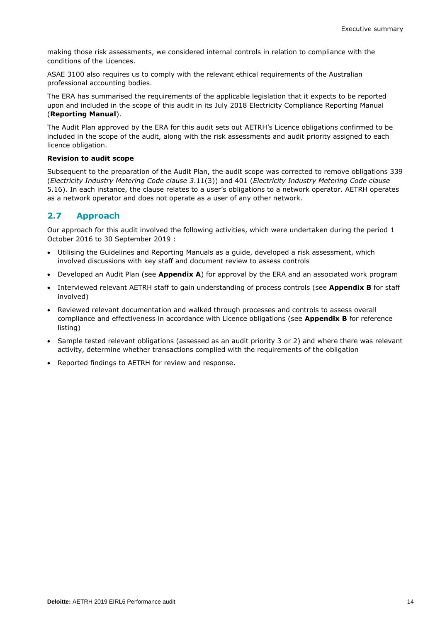making those risk assessments, we considered internal controls in relation to compliance with the conditions of the Licences.

ASAE 3100 also requires us to comply with the relevant ethical requirements of the Australian professional accounting bodies.

The ERA has summarised the requirements of the applicable legislation that it expects to be reported upon and included in the scope of this audit in its July 2018 Electricity Compliance Reporting Manual (**Reporting Manual**).

The Audit Plan approved by the ERA for this audit sets out AETRH's Licence obligations confirmed to be included in the scope of the audit, along with the risk assessments and audit priority assigned to each licence obligation.

#### **Revision to audit scope**

Subsequent to the preparation of the Audit Plan, the audit scope was corrected to remove obligations 339 (*Electricity Industry Metering Code clause 3*.11(3)) and 401 (*Electricity Industry Metering Code clause*  5.16). In each instance, the clause relates to a user's obligations to a network operator. AETRH operates as a network operator and does not operate as a user of any other network.

#### **2.7 Approach**

Our approach for this audit involved the following activities, which were undertaken during the period 1 October 2016 to 30 September 2019 :

- Utilising the Guidelines and Reporting Manuals as a guide, developed a risk assessment, which involved discussions with key staff and document review to assess controls
- Developed an Audit Plan (see **Appendix A**) for approval by the ERA and an associated work program
- Interviewed relevant AETRH staff to gain understanding of process controls (see **Appendix B** for staff involved)
- Reviewed relevant documentation and walked through processes and controls to assess overall compliance and effectiveness in accordance with Licence obligations (see **Appendix B** for reference listing)
- Sample tested relevant obligations (assessed as an audit priority 3 or 2) and where there was relevant activity, determine whether transactions complied with the requirements of the obligation
- Reported findings to AETRH for review and response.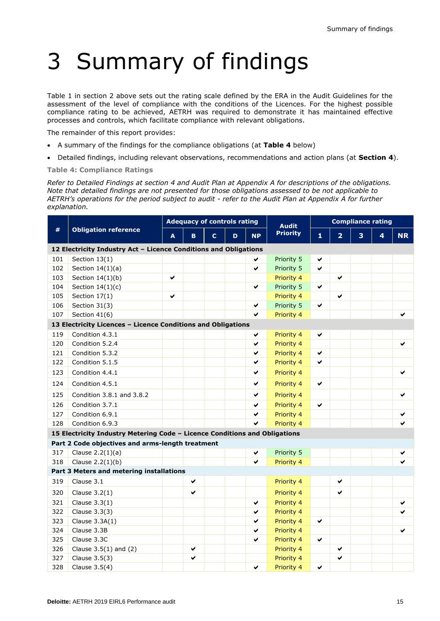# 3 Summary of findings

Table 1 in section 2 above sets out the rating scale defined by the ERA in the Audit Guidelines for the assessment of the level of compliance with the conditions of the Licences. For the highest possible compliance rating to be achieved, AETRH was required to demonstrate it has maintained effective processes and controls, which facilitate compliance with relevant obligations.

The remainder of this report provides:

- A summary of the findings for the compliance obligations (at **Table 4** below)
- Detailed findings, including relevant observations, recommendations and action plans (at **Section 4**).

**Table 4: Compliance Ratings**

*Refer to Detailed Findings at section 4 and Audit Plan at Appendix A for descriptions of the obligations. Note that detailed findings are not presented for those obligations assessed to be not applicable to AETRH's operations for the period subject to audit - refer to the Audit Plan at Appendix A for further explanation.*

|     |                                                                            | <b>Adequacy of controls rating</b>                 |   |  |              |                | <b>Audit</b> | <b>Compliance rating</b> |           |  |  |   |  |
|-----|----------------------------------------------------------------------------|----------------------------------------------------|---|--|--------------|----------------|--------------|--------------------------|-----------|--|--|---|--|
| #   | <b>Obligation reference</b>                                                | <b>Priority</b><br><b>NP</b><br>A<br>B.<br>C.<br>D |   |  | $\mathbf{1}$ | $\overline{2}$ | 3            | 4                        | <b>NR</b> |  |  |   |  |
|     | 12 Electricity Industry Act - Licence Conditions and Obligations           |                                                    |   |  |              |                |              |                          |           |  |  |   |  |
| 101 | Section 13(1)                                                              |                                                    |   |  |              | ✔              | Priority 5   | ✔                        |           |  |  |   |  |
| 102 | Section $14(1)(a)$                                                         |                                                    |   |  |              | ✔              | Priority 5   | ✔                        |           |  |  |   |  |
| 103 | Section $14(1)(b)$                                                         | ✔                                                  |   |  |              |                | Priority 4   |                          | ✔         |  |  |   |  |
| 104 | Section $14(1)(c)$                                                         |                                                    |   |  |              | ✔              | Priority 5   | ✔                        |           |  |  |   |  |
| 105 | Section $17(1)$                                                            | ✔                                                  |   |  |              |                | Priority 4   |                          | ✔         |  |  |   |  |
| 106 | Section 31(3)                                                              |                                                    |   |  |              | ✔              | Priority 5   | ✔                        |           |  |  |   |  |
| 107 | Section 41(6)                                                              |                                                    |   |  |              | ◡              | Priority 4   |                          |           |  |  |   |  |
|     | 13 Electricity Licences - Licence Conditions and Obligations               |                                                    |   |  |              |                |              |                          |           |  |  |   |  |
| 119 | Condition 4.3.1                                                            |                                                    |   |  |              | ✔              | Priority 4   | ✔                        |           |  |  |   |  |
| 120 | Condition 5.2.4                                                            |                                                    |   |  |              | ✔              | Priority 4   |                          |           |  |  | ✔ |  |
| 121 | Condition 5.3.2                                                            |                                                    |   |  |              | ✔              | Priority 4   | ✔                        |           |  |  |   |  |
| 122 | Condition 5.1.5                                                            |                                                    |   |  |              | ✔              | Priority 4   | ✔                        |           |  |  |   |  |
| 123 | Condition 4.4.1                                                            |                                                    |   |  |              | ✔              | Priority 4   |                          |           |  |  | ✔ |  |
| 124 | Condition 4.5.1                                                            |                                                    |   |  |              | ✔              | Priority 4   | ✔                        |           |  |  |   |  |
| 125 | Condition 3.8.1 and 3.8.2                                                  |                                                    |   |  |              | ✔              | Priority 4   |                          |           |  |  | ✔ |  |
| 126 | Condition 3.7.1                                                            |                                                    |   |  |              | ✔              | Priority 4   | ✔                        |           |  |  |   |  |
| 127 | Condition 6.9.1                                                            |                                                    |   |  |              | ✔              | Priority 4   |                          |           |  |  | ✔ |  |
| 128 | Condition 6.9.3                                                            |                                                    |   |  |              | ✔              | Priority 4   |                          |           |  |  |   |  |
|     | 15 Electricity Industry Metering Code - Licence Conditions and Obligations |                                                    |   |  |              |                |              |                          |           |  |  |   |  |
|     | Part 2 Code objectives and arms-length treatment                           |                                                    |   |  |              |                |              |                          |           |  |  |   |  |
| 317 | Clause $2.2(1)(a)$                                                         |                                                    |   |  |              | ✔              | Priority 5   |                          |           |  |  |   |  |
| 318 | Clause $2.2(1)(b)$                                                         |                                                    |   |  |              | ◡              | Priority 4   |                          |           |  |  |   |  |
|     | Part 3 Meters and metering installations                                   |                                                    |   |  |              |                |              |                          |           |  |  |   |  |
| 319 | Clause 3.1                                                                 |                                                    | ✔ |  |              |                | Priority 4   |                          | ✔         |  |  |   |  |
| 320 | Clause $3.2(1)$                                                            |                                                    | ✔ |  |              |                | Priority 4   |                          | ✔         |  |  |   |  |
| 321 | Clause $3.3(1)$                                                            |                                                    |   |  |              | ✔              | Priority 4   |                          |           |  |  | ✔ |  |
| 322 | Clause 3.3(3)                                                              |                                                    |   |  |              | ✔              | Priority 4   |                          |           |  |  | ✔ |  |
| 323 | Clause 3.3A(1)                                                             |                                                    |   |  |              | ✔              | Priority 4   | ✔                        |           |  |  |   |  |
| 324 | Clause 3.3B                                                                |                                                    |   |  |              | ✔              | Priority 4   |                          |           |  |  | ✔ |  |
| 325 | Clause 3.3C                                                                |                                                    |   |  |              | ✔              | Priority 4   | ✔                        |           |  |  |   |  |
| 326 | Clause $3.5(1)$ and $(2)$                                                  | ✔                                                  |   |  | Priority 4   |                | ✔            |                          |           |  |  |   |  |
| 327 | Clause 3.5(3)                                                              |                                                    | ✔ |  |              |                | Priority 4   |                          | ✔         |  |  |   |  |
| 328 | Clause 3.5(4)                                                              |                                                    |   |  |              | ✔              | Priority 4   | ✔                        |           |  |  |   |  |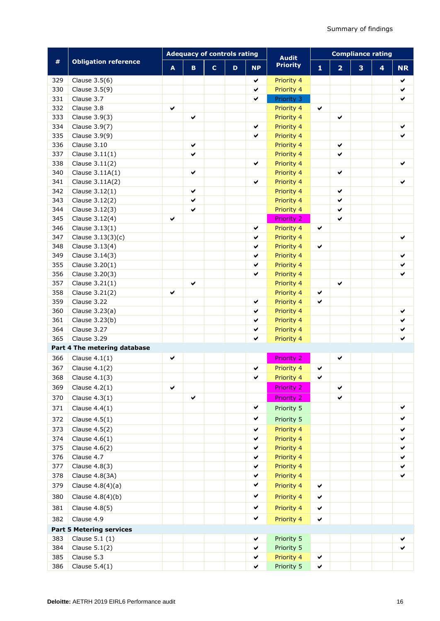|     |                                 | <b>Adequacy of controls rating</b> |              |              |   |              | <b>Audit</b>      | <b>Compliance rating</b> |                |   |   |              |
|-----|---------------------------------|------------------------------------|--------------|--------------|---|--------------|-------------------|--------------------------|----------------|---|---|--------------|
| #   | <b>Obligation reference</b>     | A                                  | $\mathbf{B}$ | $\mathbf{C}$ | D | <b>NP</b>    | <b>Priority</b>   | 1                        | $\overline{2}$ | 3 | 4 | <b>NR</b>    |
| 329 | Clause 3.5(6)                   |                                    |              |              |   | ✔            | Priority 4        |                          |                |   |   | ✔            |
| 330 | Clause 3.5(9)                   |                                    |              |              |   | $\checkmark$ | Priority 4        |                          |                |   |   | ✔            |
| 331 | Clause 3.7                      |                                    |              |              |   | $\checkmark$ | Priority 3        |                          |                |   |   | ✔            |
| 332 | Clause 3.8                      | $\checkmark$                       |              |              |   |              | Priority 4        | $\checkmark$             |                |   |   |              |
| 333 | Clause 3.9(3)                   |                                    | $\checkmark$ |              |   |              | Priority 4        |                          | $\checkmark$   |   |   |              |
| 334 | Clause 3.9(7)                   |                                    |              |              |   | $\checkmark$ | Priority 4        |                          |                |   |   | ✔            |
| 335 | Clause 3.9(9)                   |                                    |              |              |   | ✔            | Priority 4        |                          |                |   |   | ✓            |
| 336 | Clause 3.10                     |                                    | ✔            |              |   |              | Priority 4        |                          | ✔              |   |   |              |
| 337 | Clause $3.11(1)$                |                                    | ✔            |              |   |              | Priority 4        |                          | ✔              |   |   |              |
| 338 | Clause 3.11(2)                  |                                    |              |              |   | ✔            | Priority 4        |                          |                |   |   | ✔            |
| 340 | Clause $3.11A(1)$               |                                    | ✔            |              |   |              | Priority 4        |                          | ✔              |   |   |              |
| 341 | Clause 3.11A(2)                 |                                    |              |              |   | $\checkmark$ | Priority 4        |                          |                |   |   | ✔            |
| 342 | Clause 3.12(1)                  |                                    | $\checkmark$ |              |   |              | Priority 4        |                          | $\checkmark$   |   |   |              |
| 343 | Clause 3.12(2)                  |                                    | ✔            |              |   |              | Priority 4        |                          | ✔              |   |   |              |
| 344 | Clause 3.12(3)                  |                                    | ✔            |              |   |              | Priority 4        |                          | $\checkmark$   |   |   |              |
| 345 | Clause 3.12(4)                  | $\checkmark$                       |              |              |   |              | <b>Priority 2</b> |                          | $\checkmark$   |   |   |              |
| 346 | Clause 3.13(1)                  |                                    |              |              |   | $\checkmark$ | Priority 4        | $\checkmark$             |                |   |   |              |
| 347 | Clause $3.13(3)(c)$             |                                    |              |              |   | ✔            | Priority 4        |                          |                |   |   | ✔            |
| 348 | Clause 3.13(4)                  |                                    |              |              |   | ✔            | Priority 4        | $\checkmark$             |                |   |   |              |
| 349 | Clause 3.14(3)                  |                                    |              |              |   | ✔            | Priority 4        |                          |                |   |   | ✔            |
| 355 | Clause 3.20(1)                  |                                    |              |              |   | ✔            | Priority 4        |                          |                |   |   | ✔            |
| 356 | Clause 3.20(3)                  |                                    |              |              |   | ✔            | Priority 4        |                          |                |   |   | ✔            |
| 357 | Clause $3.21(1)$                |                                    | $\checkmark$ |              |   |              | Priority 4        |                          | $\checkmark$   |   |   |              |
| 358 | Clause 3.21(2)                  | $\checkmark$                       |              |              |   |              | Priority 4        | ✔                        |                |   |   |              |
| 359 | Clause 3.22                     |                                    |              |              |   | ✔            | Priority 4        | ✔                        |                |   |   |              |
| 360 | Clause 3.23(a)                  |                                    |              |              |   | ✔            | Priority 4        |                          |                |   |   | ✔            |
| 361 | Clause 3.23(b)                  |                                    |              |              |   | $\checkmark$ | Priority 4        |                          |                |   |   | ✔            |
| 364 | Clause 3.27                     |                                    |              |              |   | $\checkmark$ | Priority 4        |                          |                |   |   | $\checkmark$ |
| 365 | Clause 3.29                     |                                    |              |              |   | $\checkmark$ | Priority 4        |                          |                |   |   | $\checkmark$ |
|     | Part 4 The metering database    |                                    |              |              |   |              |                   |                          |                |   |   |              |
| 366 | Clause $4.1(1)$                 | ✔                                  |              |              |   |              | <b>Priority 2</b> |                          | ✔              |   |   |              |
| 367 | Clause $4.1(2)$                 |                                    |              |              |   | ✔            | Priority 4        | $\checkmark$             |                |   |   |              |
| 368 | Clause $4.1(3)$                 |                                    |              |              |   | ✔            | Priority 4        | $\checkmark$             |                |   |   |              |
| 369 | Clause $4.2(1)$                 | $\checkmark$                       |              |              |   |              | <b>Priority 2</b> |                          | $\checkmark$   |   |   |              |
| 370 | Clause $4.3(1)$                 |                                    | ✔            |              |   |              | <b>Priority 2</b> |                          | ✔              |   |   |              |
| 371 | Clause $4.4(1)$                 |                                    |              |              |   | ✔            | Priority 5        |                          |                |   |   | ✔            |
| 372 | Clause $4.5(1)$                 |                                    |              |              |   | ✔            | Priority 5        |                          |                |   |   | ✔            |
| 373 | Clause 4.5(2)                   |                                    |              |              |   | ✔            | Priority 4        |                          |                |   |   | ✔            |
| 374 | Clause $4.6(1)$                 |                                    |              |              |   | ✔            | Priority 4        |                          |                |   |   | ✔            |
| 375 | Clause 4.6(2)                   |                                    |              |              |   | ✔            | Priority 4        |                          |                |   |   | ✔            |
| 376 | Clause 4.7                      |                                    |              |              |   | ✔            | Priority 4        |                          |                |   |   | ✔            |
| 377 | Clause 4.8(3)                   |                                    |              |              |   | $\checkmark$ | Priority 4        |                          |                |   |   | ✔            |
| 378 | Clause 4.8(3A)                  |                                    |              |              |   | $\checkmark$ | Priority 4        |                          |                |   |   | ✔            |
| 379 | Clause $4.8(4)(a)$              |                                    |              |              |   | ✔            | Priority 4        | $\checkmark$             |                |   |   |              |
|     |                                 |                                    |              |              |   |              |                   |                          |                |   |   |              |
| 380 | Clause 4.8(4)(b)                |                                    |              |              |   | ✔            | Priority 4        | ✔                        |                |   |   |              |
| 381 | Clause 4.8(5)                   |                                    |              |              |   | $\checkmark$ | Priority 4        | $\checkmark$             |                |   |   |              |
| 382 | Clause 4.9                      |                                    |              |              |   | ✔            | Priority 4        | $\checkmark$             |                |   |   |              |
|     | <b>Part 5 Metering services</b> |                                    |              |              |   |              |                   |                          |                |   |   |              |
| 383 | Clause 5.1 (1)                  |                                    |              |              |   | ✔            | Priority 5        |                          |                |   |   |              |
| 384 | Clause $5.1(2)$                 |                                    |              |              |   | $\checkmark$ | Priority 5        |                          |                |   |   |              |
| 385 | Clause 5.3                      |                                    |              |              |   | ✔            | Priority 4        | ✔                        |                |   |   |              |
| 386 | Clause $5.4(1)$                 |                                    |              |              |   | ✔            | Priority 5        | ✔                        |                |   |   |              |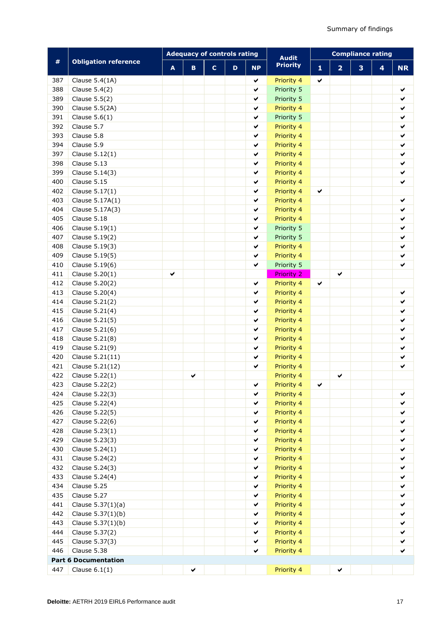|     |                             |   | <b>Adequacy of controls rating</b> |              |             |              | <b>Audit</b>      | <b>Compliance rating</b> |                |   |   |              |  |
|-----|-----------------------------|---|------------------------------------|--------------|-------------|--------------|-------------------|--------------------------|----------------|---|---|--------------|--|
| #   | <b>Obligation reference</b> | A | $\mathbf B$                        | $\mathbf{C}$ | $\mathbf D$ | <b>NP</b>    | <b>Priority</b>   | 1                        | $\overline{2}$ | 3 | 4 | <b>NR</b>    |  |
| 387 | Clause 5.4(1A)              |   |                                    |              |             | $\checkmark$ | Priority 4        | $\checkmark$             |                |   |   |              |  |
| 388 | Clause 5.4(2)               |   |                                    |              |             | $\checkmark$ | Priority 5        |                          |                |   |   | ✔            |  |
| 389 | Clause 5.5(2)               |   |                                    |              |             | $\checkmark$ | Priority 5        |                          |                |   |   | ✔            |  |
| 390 | Clause 5.5(2A)              |   |                                    |              |             | $\checkmark$ | Priority 4        |                          |                |   |   | ✔            |  |
| 391 | Clause $5.6(1)$             |   |                                    |              |             | $\checkmark$ | Priority 5        |                          |                |   |   | $\checkmark$ |  |
| 392 | Clause 5.7                  |   |                                    |              |             | ✔            | Priority 4        |                          |                |   |   | ✔            |  |
| 393 | Clause 5.8                  |   |                                    |              |             | ✔            | Priority 4        |                          |                |   |   | ✔            |  |
| 394 | Clause 5.9                  |   |                                    |              |             | ✔            | Priority 4        |                          |                |   |   | ✔            |  |
| 397 | Clause 5.12(1)              |   |                                    |              |             | ✔            | Priority 4        |                          |                |   |   | ✔            |  |
| 398 | Clause 5.13                 |   |                                    |              |             | ✔            | Priority 4        |                          |                |   |   | ✔            |  |
| 399 | Clause 5.14(3)              |   |                                    |              |             | ✔            | Priority 4        |                          |                |   |   | ✔            |  |
| 400 | Clause 5.15                 |   |                                    |              |             | ✔            | Priority 4        |                          |                |   |   | ✔            |  |
| 402 | Clause 5.17(1)              |   |                                    |              |             | ✔            | Priority 4        | ✔                        |                |   |   |              |  |
| 403 | Clause 5.17A(1)             |   |                                    |              |             | $\checkmark$ | Priority 4        |                          |                |   |   | ✔            |  |
| 404 | Clause 5.17A(3)             |   |                                    |              |             | $\checkmark$ | Priority 4        |                          |                |   |   | ✔            |  |
| 405 | Clause 5.18                 |   |                                    |              |             | $\checkmark$ | Priority 4        |                          |                |   |   | ✔            |  |
| 406 | Clause 5.19(1)              |   |                                    |              |             | $\checkmark$ | Priority 5        |                          |                |   |   | ✔            |  |
| 407 | Clause 5.19(2)              |   |                                    |              |             | ✔            | Priority 5        |                          |                |   |   | ✔            |  |
| 408 | Clause 5.19(3)              |   |                                    |              |             | ✔            | Priority 4        |                          |                |   |   | ✔            |  |
| 409 | Clause 5.19(5)              |   |                                    |              |             | $\checkmark$ | Priority 4        |                          |                |   |   | ✔            |  |
| 410 | Clause 5.19(6)              |   |                                    |              |             | ✔            | Priority 5        |                          |                |   |   | ✔            |  |
| 411 | Clause 5.20(1)              | ✔ |                                    |              |             |              | <b>Priority 2</b> |                          | ✔              |   |   |              |  |
| 412 | Clause 5.20(2)              |   |                                    |              |             | ✔            | Priority 4        | ✔                        |                |   |   |              |  |
| 413 | Clause 5.20(4)              |   |                                    |              |             | ✔            | Priority 4        |                          |                |   |   | ✔            |  |
| 414 | Clause 5.21(2)              |   |                                    |              |             | ✔            | Priority 4        |                          |                |   |   | ✔            |  |
| 415 | Clause 5.21(4)              |   |                                    |              |             | $\checkmark$ | Priority 4        |                          |                |   |   | ✔            |  |
| 416 | Clause 5.21(5)              |   |                                    |              |             | $\checkmark$ | Priority 4        |                          |                |   |   | ✔            |  |
| 417 | Clause 5.21(6)              |   |                                    |              |             | $\checkmark$ | Priority 4        |                          |                |   |   | $\checkmark$ |  |
| 418 | Clause 5.21(8)              |   |                                    |              |             | $\checkmark$ | Priority 4        |                          |                |   |   | ✔            |  |
| 419 | Clause 5.21(9)              |   |                                    |              |             | ✔            | Priority 4        |                          |                |   |   | ✔            |  |
| 420 | Clause 5.21(11)             |   |                                    |              |             | ✔            | Priority 4        |                          |                |   |   | ✔            |  |
| 421 | Clause 5.21(12)             |   |                                    |              |             | $\checkmark$ | Priority 4        |                          |                |   |   | ✔            |  |
| 422 | Clause 5.22(1)              |   | ✔                                  |              |             |              | Priority 4        |                          | ✔              |   |   |              |  |
| 423 | Clause 5.22(2)              |   |                                    |              |             | ✔            | Priority 4        | ✔                        |                |   |   |              |  |
| 424 | Clause 5.22(3)              |   |                                    |              |             | ✔            | Priority 4        |                          |                |   |   | ✔            |  |
| 425 | Clause 5.22(4)              |   |                                    |              |             | ✔            | Priority 4        |                          |                |   |   | ✔            |  |
| 426 | Clause 5.22(5)              |   |                                    |              |             | ✔            | Priority 4        |                          |                |   |   | ✔            |  |
| 427 | Clause 5.22(6)              |   |                                    |              |             | $\checkmark$ | Priority 4        |                          |                |   |   | ✔            |  |
| 428 | Clause 5.23(1)              |   |                                    |              |             | ✔            | Priority 4        |                          |                |   |   | ✔            |  |
| 429 | Clause 5.23(3)              |   |                                    |              |             | $\checkmark$ | Priority 4        |                          |                |   |   | ✔            |  |
| 430 | Clause 5.24(1)              |   |                                    |              |             | $\checkmark$ | Priority 4        |                          |                |   |   | ✔            |  |
| 431 | Clause 5.24(2)              |   |                                    |              |             | ✔            | Priority 4        |                          |                |   |   | ✔            |  |
| 432 | Clause 5.24(3)              |   |                                    |              |             | $\checkmark$ | Priority 4        |                          |                |   |   | ✔            |  |
| 433 | Clause 5.24(4)              |   |                                    |              |             | $\checkmark$ | Priority 4        |                          |                |   |   | ✔            |  |
| 434 | Clause 5.25                 |   |                                    |              |             | $\checkmark$ | Priority 4        |                          |                |   |   | ✔            |  |
| 435 | Clause 5.27                 |   |                                    |              |             | $\checkmark$ | Priority 4        |                          |                |   |   | ✔            |  |
| 441 | Clause 5.37(1)(a)           |   |                                    |              |             | ✔            | Priority 4        |                          |                |   |   | ✔            |  |
| 442 | Clause 5.37(1)(b)           |   |                                    |              |             | ✔            | Priority 4        |                          |                |   |   | ✔            |  |
| 443 | Clause 5.37(1)(b)           |   |                                    |              |             | ✔            | Priority 4        |                          |                |   |   | ✔            |  |
| 444 | Clause 5.37(2)              |   |                                    |              |             | $\checkmark$ | Priority 4        |                          |                |   |   | ✔            |  |
| 445 | Clause 5.37(3)              |   |                                    |              |             | ✔            | Priority 4        |                          |                |   |   | ✔            |  |
| 446 | Clause 5.38                 |   |                                    |              |             | ✔            | Priority 4        |                          |                |   |   | ✔            |  |
|     | <b>Part 6 Documentation</b> |   |                                    |              |             |              |                   |                          |                |   |   |              |  |
| 447 | Clause $6.1(1)$             |   | ✔                                  |              |             |              | Priority 4        |                          | ✔              |   |   |              |  |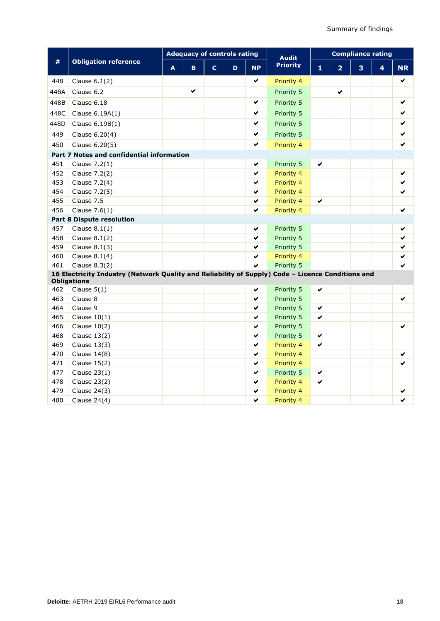|      |                                                                                                                         |   |    |              |   | <b>Adequacy of controls rating</b><br><b>Audit</b> |            | <b>Compliance rating</b> |                |   |   |           |  |
|------|-------------------------------------------------------------------------------------------------------------------------|---|----|--------------|---|----------------------------------------------------|------------|--------------------------|----------------|---|---|-----------|--|
| $\#$ | <b>Obligation reference</b>                                                                                             | A | B. | $\mathbf{C}$ | D | <b>NP</b>                                          | Priority   | $\mathbf{1}$             | $\overline{2}$ | 3 | 4 | <b>NR</b> |  |
| 448  | Clause $6.1(2)$                                                                                                         |   |    |              |   | ✔                                                  | Priority 4 |                          |                |   |   | ✔         |  |
| 448A | Clause 6.2                                                                                                              |   | ✔  |              |   |                                                    | Priority 5 |                          | ✔              |   |   |           |  |
| 448B | Clause 6.18                                                                                                             |   |    |              |   | ✔                                                  | Priority 5 |                          |                |   |   | ✔         |  |
| 448C | Clause 6.19A(1)                                                                                                         |   |    |              |   | ✔                                                  | Priority 5 |                          |                |   |   | ✔         |  |
| 448D | Clause 6.19B(1)                                                                                                         |   |    |              |   | ✔                                                  | Priority 5 |                          |                |   |   | ✔         |  |
| 449  | Clause 6.20(4)                                                                                                          |   |    |              |   | ✔                                                  | Priority 5 |                          |                |   |   | ✔         |  |
| 450  | Clause 6.20(5)                                                                                                          |   |    |              |   | ✔                                                  | Priority 4 |                          |                |   |   |           |  |
|      | Part 7 Notes and confidential information                                                                               |   |    |              |   |                                                    |            |                          |                |   |   |           |  |
| 451  | Clause 7.2(1)                                                                                                           |   |    |              |   | ✔                                                  | Priority 5 | ✔                        |                |   |   |           |  |
| 452  | Clause 7.2(2)                                                                                                           |   |    |              |   | ✔                                                  | Priority 4 |                          |                |   |   | ✔         |  |
| 453  | Clause 7.2(4)                                                                                                           |   |    |              |   | ✔                                                  | Priority 4 |                          |                |   |   |           |  |
| 454  | Clause 7.2(5)                                                                                                           |   |    |              |   | ✔                                                  | Priority 4 |                          |                |   |   |           |  |
| 455  | Clause 7.5                                                                                                              |   |    |              |   | ✔                                                  | Priority 4 | ✔                        |                |   |   |           |  |
| 456  | Clause $7.6(1)$                                                                                                         |   |    |              |   | ✔                                                  | Priority 4 |                          |                |   |   | ✔         |  |
|      | <b>Part 8 Dispute resolution</b>                                                                                        |   |    |              |   |                                                    |            |                          |                |   |   |           |  |
| 457  | Clause $8.1(1)$                                                                                                         |   |    |              |   | ✔                                                  | Priority 5 |                          |                |   |   |           |  |
| 458  | Clause $8.1(2)$                                                                                                         |   |    |              |   | ✔                                                  | Priority 5 |                          |                |   |   | ✔         |  |
| 459  | Clause $8.1(3)$                                                                                                         |   |    |              |   | ✔                                                  | Priority 5 |                          |                |   |   |           |  |
| 460  | Clause $8.1(4)$                                                                                                         |   |    |              |   | ✔                                                  | Priority 4 |                          |                |   |   | ✔         |  |
| 461  | Clause $8.3(2)$                                                                                                         |   |    |              |   | V                                                  | Priority 5 |                          |                |   |   |           |  |
|      | 16 Electricity Industry (Network Quality and Reliability of Supply) Code - Licence Conditions and<br><b>Obligations</b> |   |    |              |   |                                                    |            |                          |                |   |   |           |  |
| 462  | Clause $5(1)$                                                                                                           |   |    |              |   | ✔                                                  | Priority 5 | ✔                        |                |   |   |           |  |
| 463  | Clause 8                                                                                                                |   |    |              |   | ✔                                                  | Priority 5 |                          |                |   |   | ✔         |  |
| 464  | Clause 9                                                                                                                |   |    |              |   | ✔                                                  | Priority 5 | ✔                        |                |   |   |           |  |
| 465  | Clause $10(1)$                                                                                                          |   |    |              |   | ✔                                                  | Priority 5 | ✔                        |                |   |   |           |  |
| 466  | Clause $10(2)$                                                                                                          |   |    |              |   | ✔                                                  | Priority 5 |                          |                |   |   | ✔         |  |
| 468  | Clause $13(2)$                                                                                                          |   |    |              |   | ✔                                                  | Priority 5 | ✔                        |                |   |   |           |  |
| 469  | Clause $13(3)$                                                                                                          |   |    |              |   | ✔                                                  | Priority 4 | ✔                        |                |   |   |           |  |
| 470  | Clause $14(8)$                                                                                                          |   |    |              |   | ✔                                                  | Priority 4 |                          |                |   |   |           |  |
| 471  | Clause $15(2)$                                                                                                          |   |    |              |   | ✔                                                  | Priority 4 |                          |                |   |   |           |  |
| 477  | Clause $23(1)$                                                                                                          |   |    |              |   | ✔                                                  | Priority 5 | ✔                        |                |   |   |           |  |
| 478  | Clause $23(2)$                                                                                                          |   |    |              |   | ✔                                                  | Priority 4 | ✔                        |                |   |   |           |  |
| 479  | Clause $24(3)$                                                                                                          |   |    |              |   | ✔                                                  | Priority 4 |                          |                |   |   |           |  |
| 480  | Clause $24(4)$                                                                                                          |   |    |              |   | ✔                                                  | Priority 4 |                          |                |   |   | ✓         |  |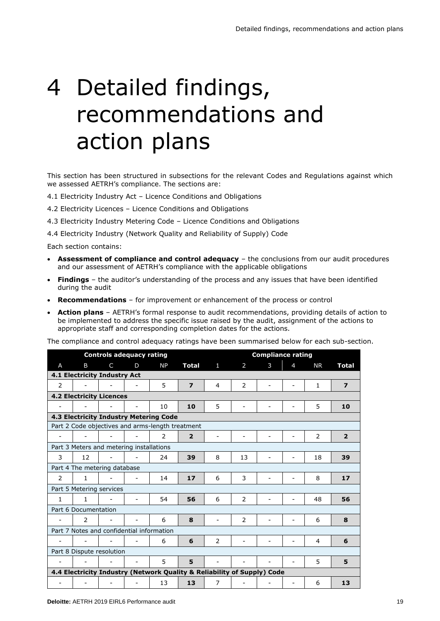# 4 Detailed findings, recommendations and action plans

This section has been structured in subsections for the relevant Codes and Regulations against which we assessed AETRH's compliance. The sections are:

- 4.1 Electricity Industry Act Licence Conditions and Obligations
- 4.2 Electricity Licences Licence Conditions and Obligations
- 4.3 Electricity Industry Metering Code Licence Conditions and Obligations

4.4 Electricity Industry (Network Quality and Reliability of Supply) Code

Each section contains:

- **Assessment of compliance and control adequacy**  the conclusions from our audit procedures and our assessment of AETRH's compliance with the applicable obligations
- **Findings**  the auditor's understanding of the process and any issues that have been identified during the audit
- **Recommendations** for improvement or enhancement of the process or control
- **Action plans** AETRH's formal response to audit recommendations, providing details of action to be implemented to address the specific issue raised by the audit, assignment of the actions to appropriate staff and corresponding completion dates for the actions.

The compliance and control adequacy ratings have been summarised below for each sub-section.

|              |                                                  | <b>Controls adequacy rating</b> |   |                                                                         |                         | <b>Compliance rating</b> |                |                          |   |           |                         |  |
|--------------|--------------------------------------------------|---------------------------------|---|-------------------------------------------------------------------------|-------------------------|--------------------------|----------------|--------------------------|---|-----------|-------------------------|--|
| A            | B                                                | C                               | D | <b>NP</b>                                                               | Total                   | 1                        | 2              | 3                        | 4 | <b>NR</b> | <b>Total</b>            |  |
|              | 4.1 Electricity Industry Act                     |                                 |   |                                                                         |                         |                          |                |                          |   |           |                         |  |
| 2            |                                                  |                                 |   | 5                                                                       | $\overline{\mathbf{z}}$ | 4                        | $\overline{2}$ |                          |   | 1         | $\overline{\mathbf{z}}$ |  |
|              | <b>4.2 Electricity Licences</b>                  |                                 |   |                                                                         |                         |                          |                |                          |   |           |                         |  |
|              |                                                  |                                 |   | 10                                                                      | 10                      | 5                        |                |                          |   | 5         | 10                      |  |
|              | 4.3 Electricity Industry Metering Code           |                                 |   |                                                                         |                         |                          |                |                          |   |           |                         |  |
|              | Part 2 Code objectives and arms-length treatment |                                 |   |                                                                         |                         |                          |                |                          |   |           |                         |  |
|              |                                                  |                                 |   | 2                                                                       | $\overline{2}$          |                          |                |                          |   | 2         | $\overline{2}$          |  |
|              | Part 3 Meters and metering installations         |                                 |   |                                                                         |                         |                          |                |                          |   |           |                         |  |
| 3            | 12                                               |                                 |   | 24                                                                      | 39                      | 8                        | 13             |                          |   | 18        | 39                      |  |
|              | Part 4 The metering database                     |                                 |   |                                                                         |                         |                          |                |                          |   |           |                         |  |
| 2            | $\mathbf{1}$                                     |                                 |   | 14                                                                      | 17                      | 6                        | 3              |                          |   | 8         | 17                      |  |
|              | Part 5 Metering services                         |                                 |   |                                                                         |                         |                          |                |                          |   |           |                         |  |
| $\mathbf{1}$ | $\mathbf{1}$                                     |                                 | ۰ | 54                                                                      | 56                      | 6                        | 2              | $\overline{\phantom{a}}$ |   | 48        | 56                      |  |
|              | Part 6 Documentation                             |                                 |   |                                                                         |                         |                          |                |                          |   |           |                         |  |
|              | $\mathcal{P}$                                    |                                 |   | 6                                                                       | 8                       |                          | $\overline{2}$ |                          |   | 6         | 8                       |  |
|              | Part 7 Notes and confidential information        |                                 |   |                                                                         |                         |                          |                |                          |   |           |                         |  |
|              |                                                  |                                 |   | 6                                                                       | 6                       | $\overline{2}$           |                |                          |   | 4         | 6                       |  |
|              | Part 8 Dispute resolution                        |                                 |   |                                                                         |                         |                          |                |                          |   |           |                         |  |
|              |                                                  |                                 |   | 5                                                                       | 5                       |                          |                |                          |   | 5         | 5                       |  |
|              |                                                  |                                 |   | 4.4 Electricity Industry (Network Quality & Reliability of Supply) Code |                         |                          |                |                          |   |           |                         |  |
|              |                                                  |                                 |   | 13                                                                      | 13                      | 7                        |                |                          |   | 6         | 13                      |  |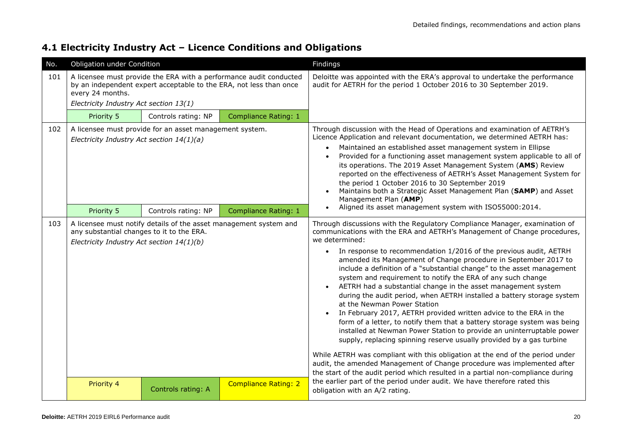### **4.1 Electricity Industry Act – Licence Conditions and Obligations**

| No. | Obligation under Condition                                                             |                                                                   |                                                                                                                                          | Findings                                                                                                                                                                                                                                                                                                                                                                                                                                                                                                                                                                                                                                                                                                                                                                                                                                                                                                                                                                                                                                                                                                                                                                                          |
|-----|----------------------------------------------------------------------------------------|-------------------------------------------------------------------|------------------------------------------------------------------------------------------------------------------------------------------|---------------------------------------------------------------------------------------------------------------------------------------------------------------------------------------------------------------------------------------------------------------------------------------------------------------------------------------------------------------------------------------------------------------------------------------------------------------------------------------------------------------------------------------------------------------------------------------------------------------------------------------------------------------------------------------------------------------------------------------------------------------------------------------------------------------------------------------------------------------------------------------------------------------------------------------------------------------------------------------------------------------------------------------------------------------------------------------------------------------------------------------------------------------------------------------------------|
| 101 | every 24 months.<br>Electricity Industry Act section 13(1)                             |                                                                   | A licensee must provide the ERA with a performance audit conducted<br>by an independent expert acceptable to the ERA, not less than once | Deloitte was appointed with the ERA's approval to undertake the performance<br>audit for AETRH for the period 1 October 2016 to 30 September 2019.                                                                                                                                                                                                                                                                                                                                                                                                                                                                                                                                                                                                                                                                                                                                                                                                                                                                                                                                                                                                                                                |
|     | Priority 5                                                                             | Controls rating: NP                                               | <b>Compliance Rating: 1</b>                                                                                                              |                                                                                                                                                                                                                                                                                                                                                                                                                                                                                                                                                                                                                                                                                                                                                                                                                                                                                                                                                                                                                                                                                                                                                                                                   |
| 102 | Electricity Industry Act section 14(1)(a)                                              | A licensee must provide for an asset management system.           |                                                                                                                                          | Through discussion with the Head of Operations and examination of AETRH's<br>Licence Application and relevant documentation, we determined AETRH has:<br>Maintained an established asset management system in Ellipse<br>Provided for a functioning asset management system applicable to all of<br>its operations. The 2019 Asset Management System (AMS) Review<br>reported on the effectiveness of AETRH's Asset Management System for<br>the period 1 October 2016 to 30 September 2019<br>Maintains both a Strategic Asset Management Plan (SAMP) and Asset<br>Management Plan (AMP)                                                                                                                                                                                                                                                                                                                                                                                                                                                                                                                                                                                                         |
|     | Priority 5                                                                             | Controls rating: NP                                               | <b>Compliance Rating: 1</b>                                                                                                              | Aligned its asset management system with ISO55000:2014.                                                                                                                                                                                                                                                                                                                                                                                                                                                                                                                                                                                                                                                                                                                                                                                                                                                                                                                                                                                                                                                                                                                                           |
| 103 | any substantial changes to it to the ERA.<br>Electricity Industry Act section 14(1)(b) | A licensee must notify details of the asset management system and |                                                                                                                                          | Through discussions with the Regulatory Compliance Manager, examination of<br>communications with the ERA and AETRH's Management of Change procedures,<br>we determined:<br>In response to recommendation 1/2016 of the previous audit, AETRH<br>$\bullet$<br>amended its Management of Change procedure in September 2017 to<br>include a definition of a "substantial change" to the asset management<br>system and requirement to notify the ERA of any such change<br>AETRH had a substantial change in the asset management system<br>during the audit period, when AETRH installed a battery storage system<br>at the Newman Power Station<br>In February 2017, AETRH provided written advice to the ERA in the<br>form of a letter, to notify them that a battery storage system was being<br>installed at Newman Power Station to provide an uninterruptable power<br>supply, replacing spinning reserve usually provided by a gas turbine<br>While AETRH was compliant with this obligation at the end of the period under<br>audit, the amended Management of Change procedure was implemented after<br>the start of the audit period which resulted in a partial non-compliance during |
|     | Priority 4                                                                             | Controls rating: A                                                | <b>Compliance Rating: 2</b>                                                                                                              | the earlier part of the period under audit. We have therefore rated this<br>obligation with an A/2 rating.                                                                                                                                                                                                                                                                                                                                                                                                                                                                                                                                                                                                                                                                                                                                                                                                                                                                                                                                                                                                                                                                                        |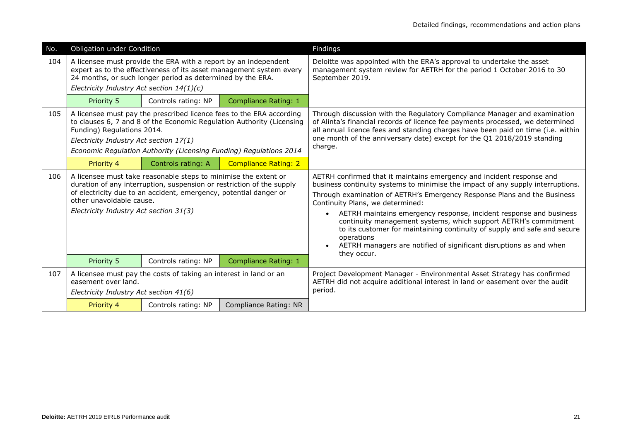| No. | Obligation under Condition                                           |                                                                                                                                                                                                               |                                                                                                                                                                                                                     | Findings                                                                                                                                                                                                                                                                                                                                                                                                                                                                                                                                                                                                      |
|-----|----------------------------------------------------------------------|---------------------------------------------------------------------------------------------------------------------------------------------------------------------------------------------------------------|---------------------------------------------------------------------------------------------------------------------------------------------------------------------------------------------------------------------|---------------------------------------------------------------------------------------------------------------------------------------------------------------------------------------------------------------------------------------------------------------------------------------------------------------------------------------------------------------------------------------------------------------------------------------------------------------------------------------------------------------------------------------------------------------------------------------------------------------|
| 104 | Electricity Industry Act section $14(1)(c)$                          | A licensee must provide the ERA with a report by an independent<br>24 months, or such longer period as determined by the ERA.                                                                                 | expert as to the effectiveness of its asset management system every                                                                                                                                                 | Deloitte was appointed with the ERA's approval to undertake the asset<br>management system review for AETRH for the period 1 October 2016 to 30<br>September 2019.                                                                                                                                                                                                                                                                                                                                                                                                                                            |
|     | Priority 5                                                           | Controls rating: NP                                                                                                                                                                                           | Compliance Rating: 1                                                                                                                                                                                                |                                                                                                                                                                                                                                                                                                                                                                                                                                                                                                                                                                                                               |
| 105 | Funding) Regulations 2014.<br>Electricity Industry Act section 17(1) |                                                                                                                                                                                                               | A licensee must pay the prescribed licence fees to the ERA according<br>to clauses 6, 7 and 8 of the Economic Regulation Authority (Licensing<br>Economic Regulation Authority (Licensing Funding) Regulations 2014 | Through discussion with the Regulatory Compliance Manager and examination<br>of Alinta's financial records of licence fee payments processed, we determined<br>all annual licence fees and standing charges have been paid on time (i.e. within<br>one month of the anniversary date) except for the Q1 2018/2019 standing<br>charge.                                                                                                                                                                                                                                                                         |
|     | Priority 4                                                           | Controls rating: A                                                                                                                                                                                            | <b>Compliance Rating: 2</b>                                                                                                                                                                                         |                                                                                                                                                                                                                                                                                                                                                                                                                                                                                                                                                                                                               |
| 106 | other unavoidable cause.<br>Electricity Industry Act section 31(3)   | A licensee must take reasonable steps to minimise the extent or<br>duration of any interruption, suspension or restriction of the supply<br>of electricity due to an accident, emergency, potential danger or |                                                                                                                                                                                                                     | AETRH confirmed that it maintains emergency and incident response and<br>business continuity systems to minimise the impact of any supply interruptions.<br>Through examination of AETRH's Emergency Response Plans and the Business<br>Continuity Plans, we determined:<br>AETRH maintains emergency response, incident response and business<br>$\bullet$<br>continuity management systems, which support AETRH's commitment<br>to its customer for maintaining continuity of supply and safe and secure<br>operations<br>AETRH managers are notified of significant disruptions as and when<br>they occur. |
|     | Priority 5                                                           | Controls rating: NP                                                                                                                                                                                           | <b>Compliance Rating: 1</b>                                                                                                                                                                                         |                                                                                                                                                                                                                                                                                                                                                                                                                                                                                                                                                                                                               |
| 107 | easement over land.<br>Electricity Industry Act section 41(6)        | A licensee must pay the costs of taking an interest in land or an                                                                                                                                             |                                                                                                                                                                                                                     | Project Development Manager - Environmental Asset Strategy has confirmed<br>AETRH did not acquire additional interest in land or easement over the audit<br>period.                                                                                                                                                                                                                                                                                                                                                                                                                                           |
|     | Priority 4                                                           | Controls rating: NP                                                                                                                                                                                           | Compliance Rating: NR                                                                                                                                                                                               |                                                                                                                                                                                                                                                                                                                                                                                                                                                                                                                                                                                                               |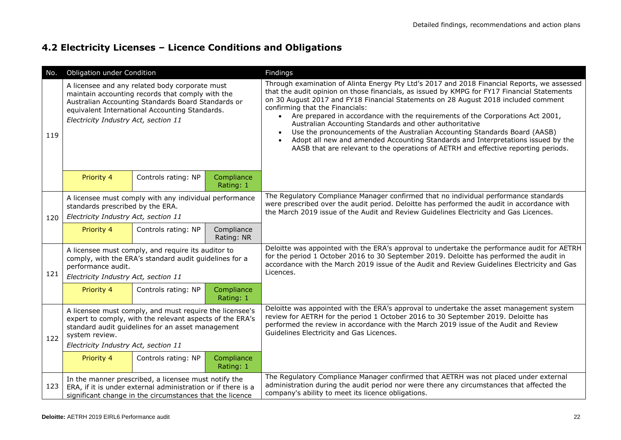### **4.2 Electricity Licenses – Licence Conditions and Obligations**

| No. | Obligation under Condition                                                                                                                                                                                                         |                                                                                                                                                                                                                                                    |                          | Findings                                                                                                                                                                                                                                                                                                                                                                                                                                                                                                                                                                                                                                                                                                                              |
|-----|------------------------------------------------------------------------------------------------------------------------------------------------------------------------------------------------------------------------------------|----------------------------------------------------------------------------------------------------------------------------------------------------------------------------------------------------------------------------------------------------|--------------------------|---------------------------------------------------------------------------------------------------------------------------------------------------------------------------------------------------------------------------------------------------------------------------------------------------------------------------------------------------------------------------------------------------------------------------------------------------------------------------------------------------------------------------------------------------------------------------------------------------------------------------------------------------------------------------------------------------------------------------------------|
| 119 |                                                                                                                                                                                                                                    | A licensee and any related body corporate must<br>maintain accounting records that comply with the<br>Australian Accounting Standards Board Standards or<br>equivalent International Accounting Standards.<br>Electricity Industry Act, section 11 |                          | Through examination of Alinta Energy Pty Ltd's 2017 and 2018 Financial Reports, we assessed<br>that the audit opinion on those financials, as issued by KMPG for FY17 Financial Statements<br>on 30 August 2017 and FY18 Financial Statements on 28 August 2018 included comment<br>confirming that the Financials:<br>Are prepared in accordance with the requirements of the Corporations Act 2001,<br>$\bullet$<br>Australian Accounting Standards and other authoritative<br>Use the pronouncements of the Australian Accounting Standards Board (AASB)<br>Adopt all new and amended Accounting Standards and Interpretations issued by the<br>AASB that are relevant to the operations of AETRH and effective reporting periods. |
|     | Priority 4                                                                                                                                                                                                                         | Controls rating: NP                                                                                                                                                                                                                                | Compliance<br>Rating: 1  |                                                                                                                                                                                                                                                                                                                                                                                                                                                                                                                                                                                                                                                                                                                                       |
| 120 | A licensee must comply with any individual performance<br>standards prescribed by the ERA.<br>Electricity Industry Act, section 11                                                                                                 |                                                                                                                                                                                                                                                    |                          | The Regulatory Compliance Manager confirmed that no individual performance standards<br>were prescribed over the audit period. Deloitte has performed the audit in accordance with<br>the March 2019 issue of the Audit and Review Guidelines Electricity and Gas Licences.                                                                                                                                                                                                                                                                                                                                                                                                                                                           |
|     | Priority 4                                                                                                                                                                                                                         | Controls rating: NP                                                                                                                                                                                                                                | Compliance<br>Rating: NR |                                                                                                                                                                                                                                                                                                                                                                                                                                                                                                                                                                                                                                                                                                                                       |
| 121 | performance audit.<br>Electricity Industry Act, section 11                                                                                                                                                                         | A licensee must comply, and require its auditor to<br>comply, with the ERA's standard audit guidelines for a                                                                                                                                       |                          | Deloitte was appointed with the ERA's approval to undertake the performance audit for AETRH<br>for the period 1 October 2016 to 30 September 2019. Deloitte has performed the audit in<br>accordance with the March 2019 issue of the Audit and Review Guidelines Electricity and Gas<br>Licences.                                                                                                                                                                                                                                                                                                                                                                                                                                    |
|     | Priority 4                                                                                                                                                                                                                         | Controls rating: NP                                                                                                                                                                                                                                | Compliance<br>Rating: 1  |                                                                                                                                                                                                                                                                                                                                                                                                                                                                                                                                                                                                                                                                                                                                       |
| 122 | A licensee must comply, and must require the licensee's<br>expert to comply, with the relevant aspects of the ERA's<br>standard audit guidelines for an asset management<br>system review.<br>Electricity Industry Act, section 11 |                                                                                                                                                                                                                                                    |                          | Deloitte was appointed with the ERA's approval to undertake the asset management system<br>review for AETRH for the period 1 October 2016 to 30 September 2019. Deloitte has<br>performed the review in accordance with the March 2019 issue of the Audit and Review<br>Guidelines Electricity and Gas Licences.                                                                                                                                                                                                                                                                                                                                                                                                                      |
|     | Priority 4                                                                                                                                                                                                                         | Controls rating: NP                                                                                                                                                                                                                                | Compliance<br>Rating: 1  |                                                                                                                                                                                                                                                                                                                                                                                                                                                                                                                                                                                                                                                                                                                                       |
| 123 |                                                                                                                                                                                                                                    | In the manner prescribed, a licensee must notify the<br>ERA, if it is under external administration or if there is a<br>significant change in the circumstances that the licence                                                                   |                          | The Regulatory Compliance Manager confirmed that AETRH was not placed under external<br>administration during the audit period nor were there any circumstances that affected the<br>company's ability to meet its licence obligations.                                                                                                                                                                                                                                                                                                                                                                                                                                                                                               |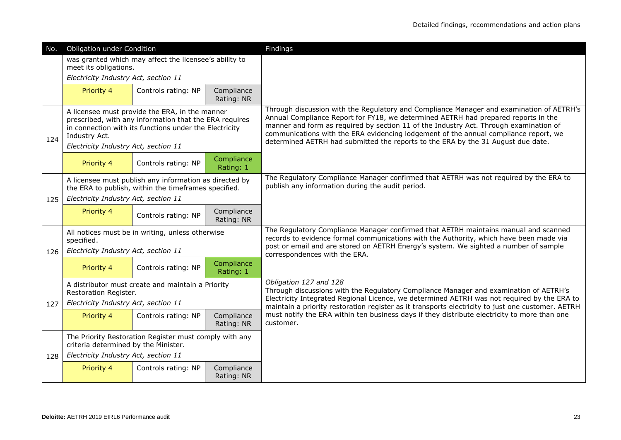| No. | Obligation under Condition                                                                                                                                                                                                  |                                                                                                                |                          | Findings                                                                                                                                                                                                                                                                                                                                                                                                                                            |
|-----|-----------------------------------------------------------------------------------------------------------------------------------------------------------------------------------------------------------------------------|----------------------------------------------------------------------------------------------------------------|--------------------------|-----------------------------------------------------------------------------------------------------------------------------------------------------------------------------------------------------------------------------------------------------------------------------------------------------------------------------------------------------------------------------------------------------------------------------------------------------|
|     | meet its obligations.                                                                                                                                                                                                       | was granted which may affect the licensee's ability to                                                         |                          |                                                                                                                                                                                                                                                                                                                                                                                                                                                     |
|     | Electricity Industry Act, section 11                                                                                                                                                                                        |                                                                                                                |                          |                                                                                                                                                                                                                                                                                                                                                                                                                                                     |
|     | Priority 4                                                                                                                                                                                                                  | Controls rating: NP                                                                                            | Compliance               |                                                                                                                                                                                                                                                                                                                                                                                                                                                     |
|     |                                                                                                                                                                                                                             |                                                                                                                | Rating: NR               |                                                                                                                                                                                                                                                                                                                                                                                                                                                     |
| 124 | A licensee must provide the ERA, in the manner<br>prescribed, with any information that the ERA requires<br>in connection with its functions under the Electricity<br>Industry Act.<br>Electricity Industry Act, section 11 |                                                                                                                |                          | Through discussion with the Regulatory and Compliance Manager and examination of AETRH's<br>Annual Compliance Report for FY18, we determined AETRH had prepared reports in the<br>manner and form as required by section 11 of the Industry Act. Through examination of<br>communications with the ERA evidencing lodgement of the annual compliance report, we<br>determined AETRH had submitted the reports to the ERA by the 31 August due date. |
|     | Priority 4                                                                                                                                                                                                                  | Controls rating: NP                                                                                            | Compliance<br>Rating: 1  |                                                                                                                                                                                                                                                                                                                                                                                                                                                     |
|     |                                                                                                                                                                                                                             | A licensee must publish any information as directed by<br>the ERA to publish, within the timeframes specified. |                          | The Regulatory Compliance Manager confirmed that AETRH was not required by the ERA to<br>publish any information during the audit period.                                                                                                                                                                                                                                                                                                           |
| 125 | Electricity Industry Act, section 11                                                                                                                                                                                        |                                                                                                                |                          |                                                                                                                                                                                                                                                                                                                                                                                                                                                     |
|     | Priority 4                                                                                                                                                                                                                  | Controls rating: NP                                                                                            | Compliance<br>Rating: NR |                                                                                                                                                                                                                                                                                                                                                                                                                                                     |
|     | specified.                                                                                                                                                                                                                  | All notices must be in writing, unless otherwise                                                               |                          | The Regulatory Compliance Manager confirmed that AETRH maintains manual and scanned<br>records to evidence formal communications with the Authority, which have been made via<br>post or email and are stored on AETRH Energy's system. We sighted a number of sample                                                                                                                                                                               |
| 126 | Electricity Industry Act, section 11                                                                                                                                                                                        |                                                                                                                |                          | correspondences with the ERA.                                                                                                                                                                                                                                                                                                                                                                                                                       |
|     | Priority 4                                                                                                                                                                                                                  | Controls rating: NP                                                                                            | Compliance<br>Rating: 1  |                                                                                                                                                                                                                                                                                                                                                                                                                                                     |
|     | Restoration Register.                                                                                                                                                                                                       | A distributor must create and maintain a Priority                                                              |                          | Obligation 127 and 128<br>Through discussions with the Regulatory Compliance Manager and examination of AETRH's                                                                                                                                                                                                                                                                                                                                     |
| 127 | Electricity Industry Act, section 11                                                                                                                                                                                        |                                                                                                                |                          | Electricity Integrated Regional Licence, we determined AETRH was not required by the ERA to<br>maintain a priority restoration register as it transports electricity to just one customer. AETRH                                                                                                                                                                                                                                                    |
|     | Priority 4                                                                                                                                                                                                                  | Controls rating: NP                                                                                            | Compliance<br>Rating: NR | must notify the ERA within ten business days if they distribute electricity to more than one<br>customer.                                                                                                                                                                                                                                                                                                                                           |
|     | The Priority Restoration Register must comply with any<br>criteria determined by the Minister.                                                                                                                              |                                                                                                                |                          |                                                                                                                                                                                                                                                                                                                                                                                                                                                     |
| 128 | Electricity Industry Act, section 11                                                                                                                                                                                        |                                                                                                                |                          |                                                                                                                                                                                                                                                                                                                                                                                                                                                     |
|     | Priority 4                                                                                                                                                                                                                  | Controls rating: NP                                                                                            | Compliance<br>Rating: NR |                                                                                                                                                                                                                                                                                                                                                                                                                                                     |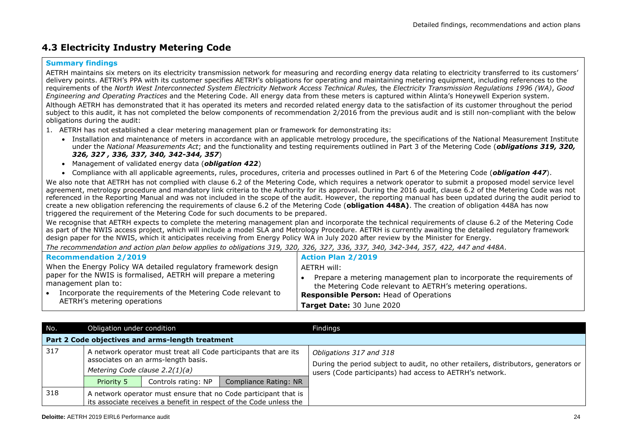### **4.3 Electricity Industry Metering Code**

#### **Summary findings**

AETRH maintains six meters on its electricity transmission network for measuring and recording energy data relating to electricity transferred to its customers' delivery points. AETRH's PPA with its customer specifies AETRH's obligations for operating and maintaining metering equipment, including references to the requirements of the *North West Interconnected System Electricity Network Access Technical Rules,* the *Electricity Transmission Regulations 1996 (WA)*, *Good Engineering and Operating Practices* and the Metering Code. All energy data from these meters is captured within Alinta's Honeywell Experion system. Although AETRH has demonstrated that it has operated its meters and recorded related energy data to the satisfaction of its customer throughout the period subject to this audit, it has not completed the below components of recommendation 2/2016 from the previous audit and is still non-compliant with the below obligations during the audit:

- 1. AETRH has not established a clear metering management plan or framework for demonstrating its:
	- Installation and maintenance of meters in accordance with an applicable metrology procedure, the specifications of the National Measurement Institute under the *National Measurements Act*; and the functionality and testing requirements outlined in Part 3 of the Metering Code (*obligations 319, 320, 326, 327 , 336, 337, 340, 342-344, 357*)
	- Management of validated energy data (*obligation 422*)
	- Compliance with all applicable agreements, rules, procedures, criteria and processes outlined in Part 6 of the Metering Code (*obligation 447*).

We also note that AETRH has not complied with clause 6.2 of the Metering Code, which requires a network operator to submit a proposed model service level agreement, metrology procedure and mandatory link criteria to the Authority for its approval. During the 2016 audit, clause 6.2 of the Metering Code was not referenced in the Reporting Manual and was not included in the scope of the audit. However, the reporting manual has been updated during the audit period to create a new obligation referencing the requirements of clause 6.2 of the Metering Code (**obligation 448A)**. The creation of obligation 448A has now triggered the requirement of the Metering Code for such documents to be prepared.

We recognise that AETRH expects to complete the metering management plan and incorporate the technical requirements of clause 6.2 of the Metering Code as part of the NWIS access project, which will include a model SLA and Metrology Procedure. AETRH is currently awaiting the detailed regulatory framework design paper for the NWIS, which it anticipates receiving from Energy Policy WA in July 2020 after review by the Minister for Energy.

*The recommendation and action plan below applies to obligations 319, 320, 326, 327, 336, 337, 340, 342-344, 357, 422, 447 and 448A*.

| <b>Recommendation 2/2019</b>                                                                                                                                         | <b>Action Plan 2/2019</b>                                                                                                                                                            |
|----------------------------------------------------------------------------------------------------------------------------------------------------------------------|--------------------------------------------------------------------------------------------------------------------------------------------------------------------------------------|
| When the Energy Policy WA detailed regulatory framework design                                                                                                       | AETRH will:                                                                                                                                                                          |
| paper for the NWIS is formalised, AETRH will prepare a metering<br>management plan to:<br>Incorporate the requirements of the Metering Code relevant to<br>$\bullet$ | Prepare a metering management plan to incorporate the requirements of<br>the Metering Code relevant to AETRH's metering operations.<br><b>Responsible Person: Head of Operations</b> |
| AETRH's metering operations                                                                                                                                          | Target Date: 30 June 2020                                                                                                                                                            |

| No. | Obligation under condition     |                                                  |                                                                                                                                       | Findings                                                                                                                                                                   |  |  |  |  |
|-----|--------------------------------|--------------------------------------------------|---------------------------------------------------------------------------------------------------------------------------------------|----------------------------------------------------------------------------------------------------------------------------------------------------------------------------|--|--|--|--|
|     |                                | Part 2 Code objectives and arms-length treatment |                                                                                                                                       |                                                                                                                                                                            |  |  |  |  |
| 317 | Metering Code clause 2.2(1)(a) | associates on an arms-length basis.              | A network operator must treat all Code participants that are its                                                                      | Obligations 317 and 318<br>During the period subject to audit, no other retailers, distributors, generators or<br>users (Code participants) had access to AETRH's network. |  |  |  |  |
|     | Priority 5                     | Controls rating: NP                              | Compliance Rating: NR                                                                                                                 |                                                                                                                                                                            |  |  |  |  |
| 318 |                                |                                                  | A network operator must ensure that no Code participant that is<br>its associate receives a benefit in respect of the Code unless the |                                                                                                                                                                            |  |  |  |  |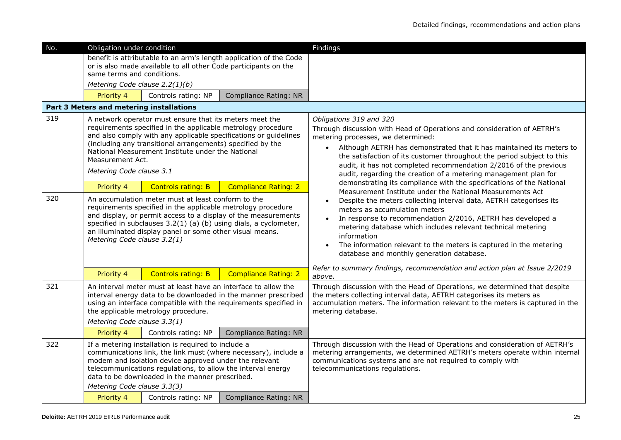| No. | Obligation under condition                                                                                                                                                                                                                                                                                                                                     |                                                                                                                                                                                                                                  |                                                                    | Findings                                                                                                                                                                                                                                                                                                                                                                                                                                        |
|-----|----------------------------------------------------------------------------------------------------------------------------------------------------------------------------------------------------------------------------------------------------------------------------------------------------------------------------------------------------------------|----------------------------------------------------------------------------------------------------------------------------------------------------------------------------------------------------------------------------------|--------------------------------------------------------------------|-------------------------------------------------------------------------------------------------------------------------------------------------------------------------------------------------------------------------------------------------------------------------------------------------------------------------------------------------------------------------------------------------------------------------------------------------|
|     | same terms and conditions.<br>Metering Code clause 2.2(1)(b)                                                                                                                                                                                                                                                                                                   | or is also made available to all other Code participants on the                                                                                                                                                                  | benefit is attributable to an arm's length application of the Code |                                                                                                                                                                                                                                                                                                                                                                                                                                                 |
|     | Priority 4                                                                                                                                                                                                                                                                                                                                                     | Controls rating: NP                                                                                                                                                                                                              | Compliance Rating: NR                                              |                                                                                                                                                                                                                                                                                                                                                                                                                                                 |
|     | Part 3 Meters and metering installations                                                                                                                                                                                                                                                                                                                       |                                                                                                                                                                                                                                  |                                                                    |                                                                                                                                                                                                                                                                                                                                                                                                                                                 |
| 319 | A network operator must ensure that its meters meet the<br>requirements specified in the applicable metrology procedure<br>and also comply with any applicable specifications or guidelines<br>(including any transitional arrangements) specified by the<br>National Measurement Institute under the National<br>Measurement Act.<br>Metering Code clause 3.1 |                                                                                                                                                                                                                                  |                                                                    | Obligations 319 and 320<br>Through discussion with Head of Operations and consideration of AETRH's<br>metering processes, we determined:<br>Although AETRH has demonstrated that it has maintained its meters to<br>$\bullet$<br>the satisfaction of its customer throughout the period subject to this<br>audit, it has not completed recommendation 2/2016 of the previous<br>audit, regarding the creation of a metering management plan for |
|     | Priority 4                                                                                                                                                                                                                                                                                                                                                     | <b>Controls rating: B</b>                                                                                                                                                                                                        | <b>Compliance Rating: 2</b>                                        | demonstrating its compliance with the specifications of the National<br>Measurement Institute under the National Measurements Act                                                                                                                                                                                                                                                                                                               |
| 320 | An accumulation meter must at least conform to the<br>requirements specified in the applicable metrology procedure<br>and display, or permit access to a display of the measurements<br>specified in subclauses 3.2(1) (a) (b) using dials, a cyclometer,<br>an illuminated display panel or some other visual means.<br>Metering Code clause 3.2(1)           |                                                                                                                                                                                                                                  |                                                                    | Despite the meters collecting interval data, AETRH categorises its<br>meters as accumulation meters<br>In response to recommendation 2/2016, AETRH has developed a<br>metering database which includes relevant technical metering<br>information<br>The information relevant to the meters is captured in the metering<br>$\bullet$<br>database and monthly generation database.                                                               |
|     | Priority 4                                                                                                                                                                                                                                                                                                                                                     | <b>Controls rating: B</b>                                                                                                                                                                                                        | <b>Compliance Rating: 2</b>                                        | Refer to summary findings, recommendation and action plan at Issue 2/2019<br>above.                                                                                                                                                                                                                                                                                                                                                             |
| 321 | An interval meter must at least have an interface to allow the<br>interval energy data to be downloaded in the manner prescribed<br>using an interface compatible with the requirements specified in<br>the applicable metrology procedure.<br>Metering Code clause 3.3(1)                                                                                     |                                                                                                                                                                                                                                  |                                                                    | Through discussion with the Head of Operations, we determined that despite<br>the meters collecting interval data, AETRH categorises its meters as<br>accumulation meters. The information relevant to the meters is captured in the<br>metering database.                                                                                                                                                                                      |
|     | Priority 4                                                                                                                                                                                                                                                                                                                                                     | Controls rating: NP                                                                                                                                                                                                              | Compliance Rating: NR                                              |                                                                                                                                                                                                                                                                                                                                                                                                                                                 |
| 322 | Metering Code clause 3.3(3)                                                                                                                                                                                                                                                                                                                                    | If a metering installation is required to include a<br>modem and isolation device approved under the relevant<br>telecommunications regulations, to allow the interval energy<br>data to be downloaded in the manner prescribed. | communications link, the link must (where necessary), include a    | Through discussion with the Head of Operations and consideration of AETRH's<br>metering arrangements, we determined AETRH's meters operate within internal<br>communications systems and are not required to comply with<br>telecommunications regulations.                                                                                                                                                                                     |
|     | Priority 4                                                                                                                                                                                                                                                                                                                                                     | Controls rating: NP                                                                                                                                                                                                              | Compliance Rating: NR                                              |                                                                                                                                                                                                                                                                                                                                                                                                                                                 |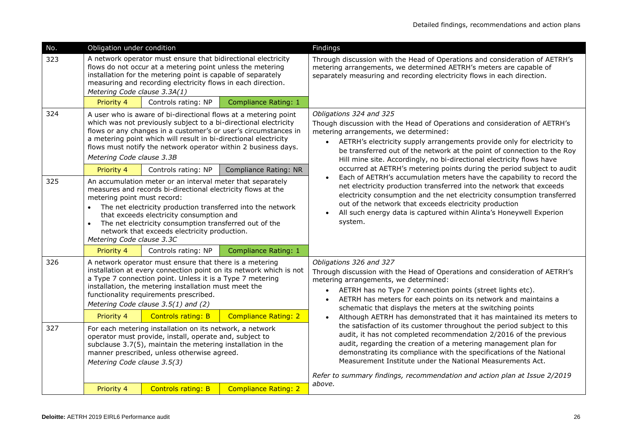| No. | Obligation under condition                                                                                                                                                                                                                                                                                                                                                                                               |                                                                                                                                      |                                                                                                                                                                                                      | Findings                                                                                                                                                                                                                                                                                                                                                                      |
|-----|--------------------------------------------------------------------------------------------------------------------------------------------------------------------------------------------------------------------------------------------------------------------------------------------------------------------------------------------------------------------------------------------------------------------------|--------------------------------------------------------------------------------------------------------------------------------------|------------------------------------------------------------------------------------------------------------------------------------------------------------------------------------------------------|-------------------------------------------------------------------------------------------------------------------------------------------------------------------------------------------------------------------------------------------------------------------------------------------------------------------------------------------------------------------------------|
| 323 | A network operator must ensure that bidirectional electricity<br>flows do not occur at a metering point unless the metering<br>installation for the metering point is capable of separately<br>measuring and recording electricity flows in each direction.<br>Metering Code clause 3.3A(1)                                                                                                                              |                                                                                                                                      |                                                                                                                                                                                                      | Through discussion with the Head of Operations and consideration of AETRH's<br>metering arrangements, we determined AETRH's meters are capable of<br>separately measuring and recording electricity flows in each direction.                                                                                                                                                  |
|     | Priority 4                                                                                                                                                                                                                                                                                                                                                                                                               | Controls rating: NP                                                                                                                  | <b>Compliance Rating: 1</b>                                                                                                                                                                          |                                                                                                                                                                                                                                                                                                                                                                               |
| 324 | Metering Code clause 3.3B                                                                                                                                                                                                                                                                                                                                                                                                | which was not previously subject to a bi-directional electricity<br>a metering point which will result in bi-directional electricity | A user who is aware of bi-directional flows at a metering point<br>flows or any changes in a customer's or user's circumstances in<br>flows must notify the network operator within 2 business days. | Obligations 324 and 325<br>Though discussion with the Head of Operations and consideration of AETRH's<br>metering arrangements, we determined:<br>AETRH's electricity supply arrangements provide only for electricity to<br>be transferred out of the network at the point of connection to the Roy<br>Hill mine site. Accordingly, no bi-directional electricity flows have |
|     | Priority 4                                                                                                                                                                                                                                                                                                                                                                                                               | Controls rating: NP                                                                                                                  | <b>Compliance Rating: NR</b>                                                                                                                                                                         | occurred at AETRH's metering points during the period subject to audit<br>Each of AETRH's accumulation meters have the capability to record the                                                                                                                                                                                                                               |
| 325 | An accumulation meter or an interval meter that separately<br>measures and records bi-directional electricity flows at the<br>metering point must record:<br>The net electricity production transferred into the network<br>that exceeds electricity consumption and<br>The net electricity consumption transferred out of the<br>$\bullet$<br>network that exceeds electricity production.<br>Metering Code clause 3.3C |                                                                                                                                      |                                                                                                                                                                                                      | net electricity production transferred into the network that exceeds<br>electricity consumption and the net electricity consumption transferred<br>out of the network that exceeds electricity production<br>All such energy data is captured within Alinta's Honeywell Experion<br>system.                                                                                   |
|     | Priority 4                                                                                                                                                                                                                                                                                                                                                                                                               | Controls rating: NP                                                                                                                  | <b>Compliance Rating: 1</b>                                                                                                                                                                          |                                                                                                                                                                                                                                                                                                                                                                               |
| 326 | A network operator must ensure that there is a metering<br>installation at every connection point on its network which is not<br>a Type 7 connection point. Unless it is a Type 7 metering<br>installation, the metering installation must meet the<br>functionality requirements prescribed.<br>Metering Code clause 3.5(1) and (2)                                                                                     |                                                                                                                                      |                                                                                                                                                                                                      | Obligations 326 and 327<br>Through discussion with the Head of Operations and consideration of AETRH's<br>metering arrangements, we determined:<br>AETRH has no Type 7 connection points (street lights etc).<br>$\bullet$<br>AETRH has meters for each points on its network and maintains a<br>$\bullet$<br>schematic that displays the meters at the switching points      |
|     | Priority 4                                                                                                                                                                                                                                                                                                                                                                                                               | <b>Controls rating: B</b>                                                                                                            | <b>Compliance Rating: 2</b>                                                                                                                                                                          | Although AETRH has demonstrated that it has maintained its meters to                                                                                                                                                                                                                                                                                                          |
| 327 | For each metering installation on its network, a network<br>operator must provide, install, operate and, subject to<br>subclause 3.7(5), maintain the metering installation in the<br>manner prescribed, unless otherwise agreed.<br>Metering Code clause 3.5(3)                                                                                                                                                         |                                                                                                                                      |                                                                                                                                                                                                      | the satisfaction of its customer throughout the period subject to this<br>audit, it has not completed recommendation 2/2016 of the previous<br>audit, regarding the creation of a metering management plan for<br>demonstrating its compliance with the specifications of the National<br>Measurement Institute under the National Measurements Act.                          |
|     |                                                                                                                                                                                                                                                                                                                                                                                                                          |                                                                                                                                      |                                                                                                                                                                                                      | Refer to summary findings, recommendation and action plan at Issue 2/2019                                                                                                                                                                                                                                                                                                     |
|     | Priority 4                                                                                                                                                                                                                                                                                                                                                                                                               | <b>Controls rating: B</b>                                                                                                            | <b>Compliance Rating: 2</b>                                                                                                                                                                          | above.                                                                                                                                                                                                                                                                                                                                                                        |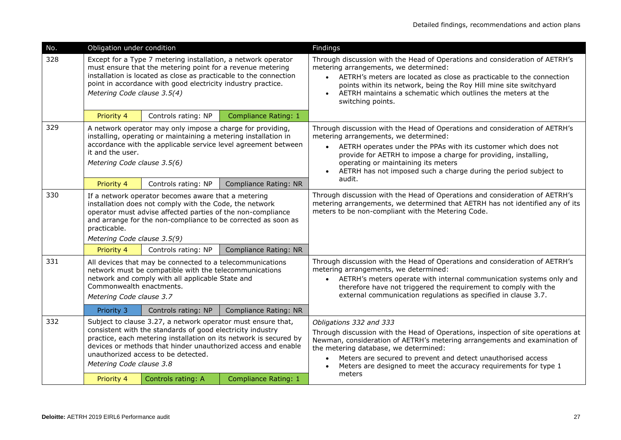| No. | Obligation under condition                                                                                                                                                                                                                                                                                                          |                     |                              | Findings                                                                                                                                                                                                                                                                                                                                                                                     |
|-----|-------------------------------------------------------------------------------------------------------------------------------------------------------------------------------------------------------------------------------------------------------------------------------------------------------------------------------------|---------------------|------------------------------|----------------------------------------------------------------------------------------------------------------------------------------------------------------------------------------------------------------------------------------------------------------------------------------------------------------------------------------------------------------------------------------------|
| 328 | Except for a Type 7 metering installation, a network operator<br>must ensure that the metering point for a revenue metering<br>installation is located as close as practicable to the connection<br>point in accordance with good electricity industry practice.<br>Metering Code clause 3.5(4)                                     |                     |                              | Through discussion with the Head of Operations and consideration of AETRH's<br>metering arrangements, we determined:<br>• AETRH's meters are located as close as practicable to the connection<br>points within its network, being the Roy Hill mine site switchyard<br>AETRH maintains a schematic which outlines the meters at the<br>switching points.                                    |
|     | Priority 4                                                                                                                                                                                                                                                                                                                          | Controls rating: NP | <b>Compliance Rating: 1</b>  |                                                                                                                                                                                                                                                                                                                                                                                              |
| 329 | A network operator may only impose a charge for providing,<br>installing, operating or maintaining a metering installation in<br>accordance with the applicable service level agreement between<br>it and the user.<br>Metering Code clause 3.5(6)                                                                                  |                     |                              | Through discussion with the Head of Operations and consideration of AETRH's<br>metering arrangements, we determined:<br>AETRH operates under the PPAs with its customer which does not<br>$\bullet$<br>provide for AETRH to impose a charge for providing, installing,<br>operating or maintaining its meters<br>AETRH has not imposed such a charge during the period subject to            |
|     | Priority 4                                                                                                                                                                                                                                                                                                                          | Controls rating: NP | <b>Compliance Rating: NR</b> | audit.                                                                                                                                                                                                                                                                                                                                                                                       |
| 330 | If a network operator becomes aware that a metering<br>installation does not comply with the Code, the network<br>operator must advise affected parties of the non-compliance<br>and arrange for the non-compliance to be corrected as soon as<br>practicable.<br>Metering Code clause 3.5(9)                                       |                     |                              | Through discussion with the Head of Operations and consideration of AETRH's<br>metering arrangements, we determined that AETRH has not identified any of its<br>meters to be non-compliant with the Metering Code.                                                                                                                                                                           |
|     | Priority 4                                                                                                                                                                                                                                                                                                                          | Controls rating: NP | <b>Compliance Rating: NR</b> |                                                                                                                                                                                                                                                                                                                                                                                              |
| 331 | All devices that may be connected to a telecommunications<br>network must be compatible with the telecommunications<br>network and comply with all applicable State and<br>Commonwealth enactments.<br>Metering Code clause 3.7                                                                                                     |                     |                              | Through discussion with the Head of Operations and consideration of AETRH's<br>metering arrangements, we determined:<br>AETRH's meters operate with internal communication systems only and<br>$\bullet$<br>therefore have not triggered the requirement to comply with the<br>external communication regulations as specified in clause 3.7.                                                |
|     | Priority 3                                                                                                                                                                                                                                                                                                                          | Controls rating: NP | <b>Compliance Rating: NR</b> |                                                                                                                                                                                                                                                                                                                                                                                              |
| 332 | Subject to clause 3.27, a network operator must ensure that,<br>consistent with the standards of good electricity industry<br>practice, each metering installation on its network is secured by<br>devices or methods that hinder unauthorized access and enable<br>unauthorized access to be detected.<br>Metering Code clause 3.8 |                     |                              | Obligations 332 and 333<br>Through discussion with the Head of Operations, inspection of site operations at<br>Newman, consideration of AETRH's metering arrangements and examination of<br>the metering database, we determined:<br>Meters are secured to prevent and detect unauthorised access<br>Meters are designed to meet the accuracy requirements for type 1<br>$\bullet$<br>meters |
|     | Priority 4                                                                                                                                                                                                                                                                                                                          | Controls rating: A  | <b>Compliance Rating: 1</b>  |                                                                                                                                                                                                                                                                                                                                                                                              |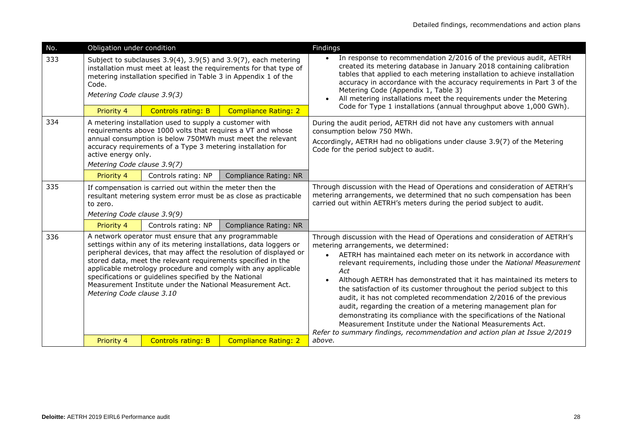| No. | Obligation under condition                                                                                                                                                                                                                                                                                                                                                                                                                                                            |                                                                 |                                                                                                                                     | Findings                                                                                                                                                                                                                                                                                                                                                                                                                                                                                                                                                                                                                                                                                                                                                                                                         |
|-----|---------------------------------------------------------------------------------------------------------------------------------------------------------------------------------------------------------------------------------------------------------------------------------------------------------------------------------------------------------------------------------------------------------------------------------------------------------------------------------------|-----------------------------------------------------------------|-------------------------------------------------------------------------------------------------------------------------------------|------------------------------------------------------------------------------------------------------------------------------------------------------------------------------------------------------------------------------------------------------------------------------------------------------------------------------------------------------------------------------------------------------------------------------------------------------------------------------------------------------------------------------------------------------------------------------------------------------------------------------------------------------------------------------------------------------------------------------------------------------------------------------------------------------------------|
| 333 | Code.<br>Metering Code clause 3.9(3)                                                                                                                                                                                                                                                                                                                                                                                                                                                  | metering installation specified in Table 3 in Appendix 1 of the | Subject to subclauses 3.9(4), 3.9(5) and 3.9(7), each metering<br>installation must meet at least the requirements for that type of | In response to recommendation 2/2016 of the previous audit, AETRH<br>created its metering database in January 2018 containing calibration<br>tables that applied to each metering installation to achieve installation<br>accuracy in accordance with the accuracy requirements in Part 3 of the<br>Metering Code (Appendix 1, Table 3)<br>All metering installations meet the requirements under the Metering                                                                                                                                                                                                                                                                                                                                                                                                   |
|     | Priority 4                                                                                                                                                                                                                                                                                                                                                                                                                                                                            | <b>Controls rating: B</b>                                       | <b>Compliance Rating: 2</b>                                                                                                         | Code for Type 1 installations (annual throughput above 1,000 GWh).                                                                                                                                                                                                                                                                                                                                                                                                                                                                                                                                                                                                                                                                                                                                               |
| 334 | A metering installation used to supply a customer with<br>requirements above 1000 volts that requires a VT and whose<br>annual consumption is below 750MWh must meet the relevant<br>accuracy requirements of a Type 3 metering installation for<br>active energy only.<br>Metering Code clause 3.9(7)                                                                                                                                                                                |                                                                 |                                                                                                                                     | During the audit period, AETRH did not have any customers with annual<br>consumption below 750 MWh.<br>Accordingly, AETRH had no obligations under clause 3.9(7) of the Metering<br>Code for the period subject to audit.                                                                                                                                                                                                                                                                                                                                                                                                                                                                                                                                                                                        |
|     | Priority 4                                                                                                                                                                                                                                                                                                                                                                                                                                                                            | Controls rating: NP                                             | <b>Compliance Rating: NR</b>                                                                                                        |                                                                                                                                                                                                                                                                                                                                                                                                                                                                                                                                                                                                                                                                                                                                                                                                                  |
| 335 | If compensation is carried out within the meter then the<br>resultant metering system error must be as close as practicable<br>to zero.<br>Metering Code clause 3.9(9)                                                                                                                                                                                                                                                                                                                |                                                                 |                                                                                                                                     | Through discussion with the Head of Operations and consideration of AETRH's<br>metering arrangements, we determined that no such compensation has been<br>carried out within AETRH's meters during the period subject to audit.                                                                                                                                                                                                                                                                                                                                                                                                                                                                                                                                                                                  |
|     | Priority 4                                                                                                                                                                                                                                                                                                                                                                                                                                                                            | Controls rating: NP                                             | <b>Compliance Rating: NR</b>                                                                                                        |                                                                                                                                                                                                                                                                                                                                                                                                                                                                                                                                                                                                                                                                                                                                                                                                                  |
| 336 | A network operator must ensure that any programmable<br>settings within any of its metering installations, data loggers or<br>peripheral devices, that may affect the resolution of displayed or<br>stored data, meet the relevant requirements specified in the<br>applicable metrology procedure and comply with any applicable<br>specifications or guidelines specified by the National<br>Measurement Institute under the National Measurement Act.<br>Metering Code clause 3.10 |                                                                 |                                                                                                                                     | Through discussion with the Head of Operations and consideration of AETRH's<br>metering arrangements, we determined:<br>AETRH has maintained each meter on its network in accordance with<br>$\bullet$<br>relevant requirements, including those under the National Measurement<br>Act<br>Although AETRH has demonstrated that it has maintained its meters to<br>$\bullet$<br>the satisfaction of its customer throughout the period subject to this<br>audit, it has not completed recommendation 2/2016 of the previous<br>audit, regarding the creation of a metering management plan for<br>demonstrating its compliance with the specifications of the National<br>Measurement Institute under the National Measurements Act.<br>Refer to summary findings, recommendation and action plan at Issue 2/2019 |
|     | Priority 4                                                                                                                                                                                                                                                                                                                                                                                                                                                                            | <b>Controls rating: B</b>                                       | <b>Compliance Rating: 2</b>                                                                                                         | above.                                                                                                                                                                                                                                                                                                                                                                                                                                                                                                                                                                                                                                                                                                                                                                                                           |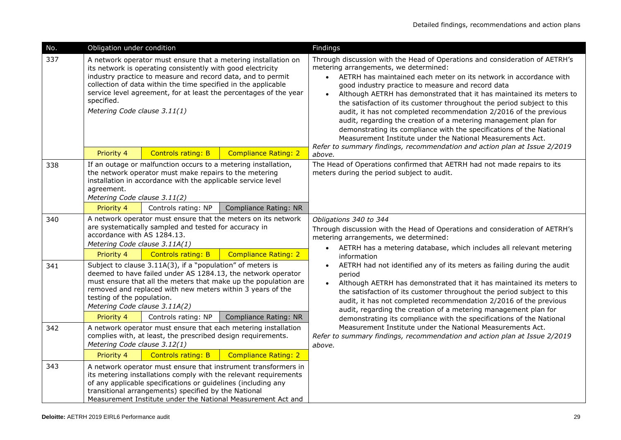| No. | Obligation under condition                                                                                                                                                                                                                                                                                                                                                        |                                                                                                                          |                                                                                                                                                                                                    | Findings                                                                                                                                                                                                                                                                                                                                                                                                                                                                                                                                                                                                                                                                                                                                                      |
|-----|-----------------------------------------------------------------------------------------------------------------------------------------------------------------------------------------------------------------------------------------------------------------------------------------------------------------------------------------------------------------------------------|--------------------------------------------------------------------------------------------------------------------------|----------------------------------------------------------------------------------------------------------------------------------------------------------------------------------------------------|---------------------------------------------------------------------------------------------------------------------------------------------------------------------------------------------------------------------------------------------------------------------------------------------------------------------------------------------------------------------------------------------------------------------------------------------------------------------------------------------------------------------------------------------------------------------------------------------------------------------------------------------------------------------------------------------------------------------------------------------------------------|
| 337 | A network operator must ensure that a metering installation on<br>its network is operating consistently with good electricity<br>industry practice to measure and record data, and to permit<br>collection of data within the time specified in the applicable<br>service level agreement, for at least the percentages of the year<br>specified.<br>Metering Code clause 3.11(1) |                                                                                                                          |                                                                                                                                                                                                    | Through discussion with the Head of Operations and consideration of AETRH's<br>metering arrangements, we determined:<br>• AETRH has maintained each meter on its network in accordance with<br>good industry practice to measure and record data<br>Although AETRH has demonstrated that it has maintained its meters to<br>the satisfaction of its customer throughout the period subject to this<br>audit, it has not completed recommendation 2/2016 of the previous<br>audit, regarding the creation of a metering management plan for<br>demonstrating its compliance with the specifications of the National<br>Measurement Institute under the National Measurements Act.<br>Refer to summary findings, recommendation and action plan at Issue 2/2019 |
|     | Priority 4                                                                                                                                                                                                                                                                                                                                                                        | <b>Controls rating: B</b>                                                                                                | <b>Compliance Rating: 2</b>                                                                                                                                                                        | above.                                                                                                                                                                                                                                                                                                                                                                                                                                                                                                                                                                                                                                                                                                                                                        |
| 338 | If an outage or malfunction occurs to a metering installation,<br>the network operator must make repairs to the metering<br>installation in accordance with the applicable service level<br>agreement.<br>Metering Code clause 3.11(2)                                                                                                                                            |                                                                                                                          |                                                                                                                                                                                                    | The Head of Operations confirmed that AETRH had not made repairs to its<br>meters during the period subject to audit.                                                                                                                                                                                                                                                                                                                                                                                                                                                                                                                                                                                                                                         |
|     | Priority 4                                                                                                                                                                                                                                                                                                                                                                        | Controls rating: NP                                                                                                      | Compliance Rating: NR                                                                                                                                                                              |                                                                                                                                                                                                                                                                                                                                                                                                                                                                                                                                                                                                                                                                                                                                                               |
| 340 | A network operator must ensure that the meters on its network<br>are systematically sampled and tested for accuracy in<br>accordance with AS 1284.13.<br>Metering Code clause 3.11A(1)                                                                                                                                                                                            |                                                                                                                          |                                                                                                                                                                                                    | Obligations 340 to 344<br>Through discussion with the Head of Operations and consideration of AETRH's<br>metering arrangements, we determined:                                                                                                                                                                                                                                                                                                                                                                                                                                                                                                                                                                                                                |
|     | Priority 4                                                                                                                                                                                                                                                                                                                                                                        | <b>Controls rating: B</b>                                                                                                | <b>Compliance Rating: 2</b>                                                                                                                                                                        | AETRH has a metering database, which includes all relevant metering<br>$\bullet$<br>information                                                                                                                                                                                                                                                                                                                                                                                                                                                                                                                                                                                                                                                               |
| 341 | testing of the population.<br>Metering Code clause 3.11A(2)                                                                                                                                                                                                                                                                                                                       | Subject to clause 3.11A(3), if a "population" of meters is<br>removed and replaced with new meters within 3 years of the | deemed to have failed under AS 1284.13, the network operator<br>must ensure that all the meters that make up the population are                                                                    | AETRH had not identified any of its meters as failing during the audit<br>period<br>Although AETRH has demonstrated that it has maintained its meters to<br>the satisfaction of its customer throughout the period subject to this<br>audit, it has not completed recommendation 2/2016 of the previous<br>audit, regarding the creation of a metering management plan for                                                                                                                                                                                                                                                                                                                                                                                    |
|     | Priority 4                                                                                                                                                                                                                                                                                                                                                                        | Controls rating: NP                                                                                                      | <b>Compliance Rating: NR</b>                                                                                                                                                                       | demonstrating its compliance with the specifications of the National<br>Measurement Institute under the National Measurements Act.                                                                                                                                                                                                                                                                                                                                                                                                                                                                                                                                                                                                                            |
| 342 | A network operator must ensure that each metering installation<br>complies with, at least, the prescribed design requirements.<br>Metering Code clause 3.12(1)<br><b>Controls rating: B</b><br>Priority 4<br><b>Compliance Rating: 2</b>                                                                                                                                          |                                                                                                                          |                                                                                                                                                                                                    | Refer to summary findings, recommendation and action plan at Issue 2/2019<br>above.                                                                                                                                                                                                                                                                                                                                                                                                                                                                                                                                                                                                                                                                           |
| 343 |                                                                                                                                                                                                                                                                                                                                                                                   | of any applicable specifications or guidelines (including any<br>transitional arrangements) specified by the National    | A network operator must ensure that instrument transformers in<br>its metering installations comply with the relevant requirements<br>Measurement Institute under the National Measurement Act and |                                                                                                                                                                                                                                                                                                                                                                                                                                                                                                                                                                                                                                                                                                                                                               |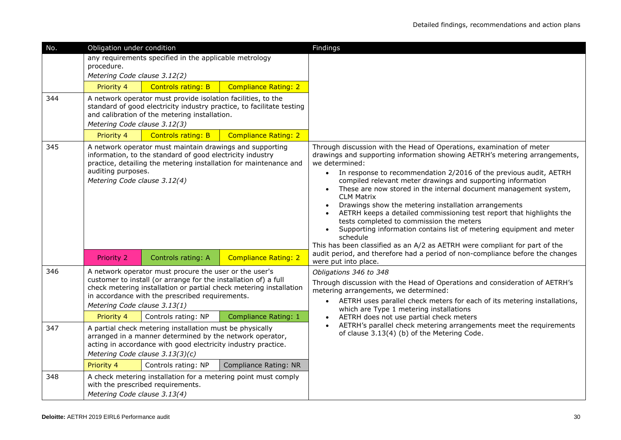| No. | Obligation under condition                                                                                                                                                                                                                                                         |                                                                                                                                                                                                                          |                                                                                                      | Findings                                                                                                                                                                                                                                                                                                                                                                                                                                                                                                                                                                                                                                                                                                                                                                                                                                      |
|-----|------------------------------------------------------------------------------------------------------------------------------------------------------------------------------------------------------------------------------------------------------------------------------------|--------------------------------------------------------------------------------------------------------------------------------------------------------------------------------------------------------------------------|------------------------------------------------------------------------------------------------------|-----------------------------------------------------------------------------------------------------------------------------------------------------------------------------------------------------------------------------------------------------------------------------------------------------------------------------------------------------------------------------------------------------------------------------------------------------------------------------------------------------------------------------------------------------------------------------------------------------------------------------------------------------------------------------------------------------------------------------------------------------------------------------------------------------------------------------------------------|
|     | procedure.<br>Metering Code clause 3.12(2)                                                                                                                                                                                                                                         | any requirements specified in the applicable metrology                                                                                                                                                                   |                                                                                                      |                                                                                                                                                                                                                                                                                                                                                                                                                                                                                                                                                                                                                                                                                                                                                                                                                                               |
|     | Priority 4                                                                                                                                                                                                                                                                         | <b>Controls rating: B</b>                                                                                                                                                                                                | <b>Compliance Rating: 2</b>                                                                          |                                                                                                                                                                                                                                                                                                                                                                                                                                                                                                                                                                                                                                                                                                                                                                                                                                               |
| 344 | Metering Code clause 3.12(3)<br>Priority 4                                                                                                                                                                                                                                         | A network operator must provide isolation facilities, to the<br>and calibration of the metering installation.<br><b>Controls rating: B</b>                                                                               | standard of good electricity industry practice, to facilitate testing<br><b>Compliance Rating: 2</b> |                                                                                                                                                                                                                                                                                                                                                                                                                                                                                                                                                                                                                                                                                                                                                                                                                                               |
| 345 | A network operator must maintain drawings and supporting<br>information, to the standard of good electricity industry<br>practice, detailing the metering installation for maintenance and<br>auditing purposes.<br>Metering Code clause 3.12(4)                                   |                                                                                                                                                                                                                          |                                                                                                      | Through discussion with the Head of Operations, examination of meter<br>drawings and supporting information showing AETRH's metering arrangements,<br>we determined:<br>In response to recommendation 2/2016 of the previous audit, AETRH<br>$\bullet$<br>compiled relevant meter drawings and supporting information<br>These are now stored in the internal document management system,<br><b>CLM Matrix</b><br>Drawings show the metering installation arrangements<br>AETRH keeps a detailed commissioning test report that highlights the<br>tests completed to commission the meters<br>Supporting information contains list of metering equipment and meter<br>schedule<br>This has been classified as an A/2 as AETRH were compliant for part of the<br>audit period, and therefore had a period of non-compliance before the changes |
|     | <b>Priority 2</b>                                                                                                                                                                                                                                                                  | Controls rating: A                                                                                                                                                                                                       | <b>Compliance Rating: 2</b>                                                                          | were put into place                                                                                                                                                                                                                                                                                                                                                                                                                                                                                                                                                                                                                                                                                                                                                                                                                           |
| 346 | A network operator must procure the user or the user's<br>customer to install (or arrange for the installation of) a full<br>check metering installation or partial check metering installation<br>in accordance with the prescribed requirements.<br>Metering Code clause 3.13(1) |                                                                                                                                                                                                                          |                                                                                                      | Obligations 346 to 348<br>Through discussion with the Head of Operations and consideration of AETRH's<br>metering arrangements, we determined:<br>AETRH uses parallel check meters for each of its metering installations,<br>$\bullet$<br>which are Type 1 metering installations                                                                                                                                                                                                                                                                                                                                                                                                                                                                                                                                                            |
|     | Priority 4                                                                                                                                                                                                                                                                         | Controls rating: NP                                                                                                                                                                                                      | Compliance Rating: 1                                                                                 | AETRH does not use partial check meters                                                                                                                                                                                                                                                                                                                                                                                                                                                                                                                                                                                                                                                                                                                                                                                                       |
| 347 |                                                                                                                                                                                                                                                                                    | A partial check metering installation must be physically<br>arranged in a manner determined by the network operator,<br>acting in accordance with good electricity industry practice.<br>Metering Code clause 3.13(3)(c) |                                                                                                      | AETRH's parallel check metering arrangements meet the requirements<br>of clause 3.13(4) (b) of the Metering Code.                                                                                                                                                                                                                                                                                                                                                                                                                                                                                                                                                                                                                                                                                                                             |
|     | Priority 4                                                                                                                                                                                                                                                                         | Controls rating: NP                                                                                                                                                                                                      | Compliance Rating: NR                                                                                |                                                                                                                                                                                                                                                                                                                                                                                                                                                                                                                                                                                                                                                                                                                                                                                                                                               |
| 348 | A check metering installation for a metering point must comply<br>with the prescribed requirements.<br>Metering Code clause 3.13(4)                                                                                                                                                |                                                                                                                                                                                                                          |                                                                                                      |                                                                                                                                                                                                                                                                                                                                                                                                                                                                                                                                                                                                                                                                                                                                                                                                                                               |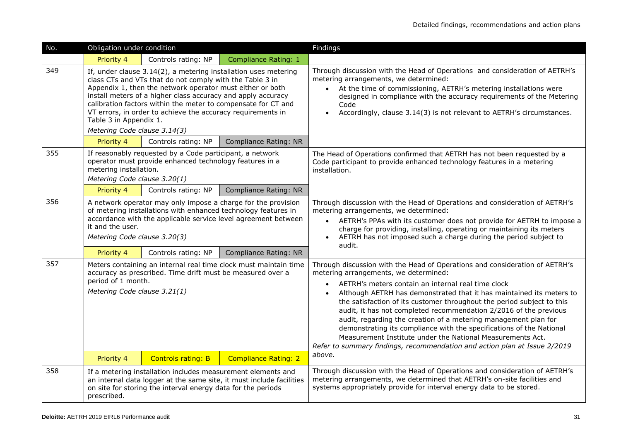| No. | Obligation under condition                                                                                                                                                                                                                                                                                                                                                                                                                         |                                                                                                                              |                                                                      | Findings                                                                                                                                                                                                                                                                                                                                                                                                                                                                                                                                                                                                                                                                                                          |
|-----|----------------------------------------------------------------------------------------------------------------------------------------------------------------------------------------------------------------------------------------------------------------------------------------------------------------------------------------------------------------------------------------------------------------------------------------------------|------------------------------------------------------------------------------------------------------------------------------|----------------------------------------------------------------------|-------------------------------------------------------------------------------------------------------------------------------------------------------------------------------------------------------------------------------------------------------------------------------------------------------------------------------------------------------------------------------------------------------------------------------------------------------------------------------------------------------------------------------------------------------------------------------------------------------------------------------------------------------------------------------------------------------------------|
|     | Priority 4                                                                                                                                                                                                                                                                                                                                                                                                                                         | Controls rating: NP                                                                                                          | <b>Compliance Rating: 1</b>                                          |                                                                                                                                                                                                                                                                                                                                                                                                                                                                                                                                                                                                                                                                                                                   |
| 349 | If, under clause 3.14(2), a metering installation uses metering<br>class CTs and VTs that do not comply with the Table 3 in<br>Appendix 1, then the network operator must either or both<br>install meters of a higher class accuracy and apply accuracy<br>calibration factors within the meter to compensate for CT and<br>VT errors, in order to achieve the accuracy requirements in<br>Table 3 in Appendix 1.<br>Metering Code clause 3.14(3) |                                                                                                                              |                                                                      | Through discussion with the Head of Operations and consideration of AETRH's<br>metering arrangements, we determined:<br>• At the time of commissioning, AETRH's metering installations were<br>designed in compliance with the accuracy requirements of the Metering<br>Code<br>Accordingly, clause 3.14(3) is not relevant to AETRH's circumstances.                                                                                                                                                                                                                                                                                                                                                             |
|     | Priority 4                                                                                                                                                                                                                                                                                                                                                                                                                                         | Controls rating: NP                                                                                                          | <b>Compliance Rating: NR</b>                                         |                                                                                                                                                                                                                                                                                                                                                                                                                                                                                                                                                                                                                                                                                                                   |
| 355 | If reasonably requested by a Code participant, a network<br>operator must provide enhanced technology features in a<br>metering installation.<br>Metering Code clause 3.20(1)                                                                                                                                                                                                                                                                      |                                                                                                                              |                                                                      | The Head of Operations confirmed that AETRH has not been requested by a<br>Code participant to provide enhanced technology features in a metering<br>installation.                                                                                                                                                                                                                                                                                                                                                                                                                                                                                                                                                |
|     | Priority 4                                                                                                                                                                                                                                                                                                                                                                                                                                         | Controls rating: NP                                                                                                          | <b>Compliance Rating: NR</b>                                         |                                                                                                                                                                                                                                                                                                                                                                                                                                                                                                                                                                                                                                                                                                                   |
| 356 | A network operator may only impose a charge for the provision<br>of metering installations with enhanced technology features in<br>accordance with the applicable service level agreement between<br>it and the user.<br>Metering Code clause 3.20(3)                                                                                                                                                                                              |                                                                                                                              |                                                                      | Through discussion with the Head of Operations and consideration of AETRH's<br>metering arrangements, we determined:<br>AETRH's PPAs with its customer does not provide for AETRH to impose a<br>charge for providing, installing, operating or maintaining its meters<br>AETRH has not imposed such a charge during the period subject to<br>audit.                                                                                                                                                                                                                                                                                                                                                              |
|     | Priority 4                                                                                                                                                                                                                                                                                                                                                                                                                                         | Controls rating: NP                                                                                                          | <b>Compliance Rating: NR</b>                                         |                                                                                                                                                                                                                                                                                                                                                                                                                                                                                                                                                                                                                                                                                                                   |
| 357 | Meters containing an internal real time clock must maintain time<br>accuracy as prescribed. Time drift must be measured over a<br>period of 1 month.<br>Metering Code clause 3.21(1)                                                                                                                                                                                                                                                               |                                                                                                                              |                                                                      | Through discussion with the Head of Operations and consideration of AETRH's<br>metering arrangements, we determined:<br>AETRH's meters contain an internal real time clock<br>$\bullet$<br>Although AETRH has demonstrated that it has maintained its meters to<br>$\bullet$<br>the satisfaction of its customer throughout the period subject to this<br>audit, it has not completed recommendation 2/2016 of the previous<br>audit, regarding the creation of a metering management plan for<br>demonstrating its compliance with the specifications of the National<br>Measurement Institute under the National Measurements Act.<br>Refer to summary findings, recommendation and action plan at Issue 2/2019 |
|     | Priority 4                                                                                                                                                                                                                                                                                                                                                                                                                                         | <b>Controls rating: B</b>                                                                                                    | <b>Compliance Rating: 2</b>                                          | above.                                                                                                                                                                                                                                                                                                                                                                                                                                                                                                                                                                                                                                                                                                            |
| 358 | prescribed.                                                                                                                                                                                                                                                                                                                                                                                                                                        | If a metering installation includes measurement elements and<br>on site for storing the interval energy data for the periods | an internal data logger at the same site, it must include facilities | Through discussion with the Head of Operations and consideration of AETRH's<br>metering arrangements, we determined that AETRH's on-site facilities and<br>systems appropriately provide for interval energy data to be stored.                                                                                                                                                                                                                                                                                                                                                                                                                                                                                   |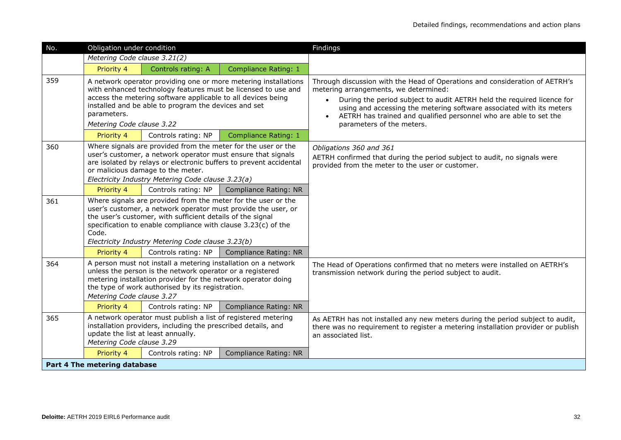| No. | Obligation under condition                                                                                                                                                                                                                                                                                                  |                     |                              | Findings                                                                                                                                                                                                                                                                                                                                                                              |
|-----|-----------------------------------------------------------------------------------------------------------------------------------------------------------------------------------------------------------------------------------------------------------------------------------------------------------------------------|---------------------|------------------------------|---------------------------------------------------------------------------------------------------------------------------------------------------------------------------------------------------------------------------------------------------------------------------------------------------------------------------------------------------------------------------------------|
|     | Metering Code clause 3.21(2)                                                                                                                                                                                                                                                                                                |                     |                              |                                                                                                                                                                                                                                                                                                                                                                                       |
|     | Priority 4                                                                                                                                                                                                                                                                                                                  | Controls rating: A  | <b>Compliance Rating: 1</b>  |                                                                                                                                                                                                                                                                                                                                                                                       |
| 359 | A network operator providing one or more metering installations<br>with enhanced technology features must be licensed to use and<br>access the metering software applicable to all devices being<br>installed and be able to program the devices and set<br>parameters.<br>Metering Code clause 3.22                        |                     |                              | Through discussion with the Head of Operations and consideration of AETRH's<br>metering arrangements, we determined:<br>During the period subject to audit AETRH held the required licence for<br>$\bullet$<br>using and accessing the metering software associated with its meters<br>AETRH has trained and qualified personnel who are able to set the<br>parameters of the meters. |
|     | Priority 4                                                                                                                                                                                                                                                                                                                  | Controls rating: NP | <b>Compliance Rating: 1</b>  |                                                                                                                                                                                                                                                                                                                                                                                       |
| 360 | Where signals are provided from the meter for the user or the<br>user's customer, a network operator must ensure that signals<br>are isolated by relays or electronic buffers to prevent accidental<br>or malicious damage to the meter.<br>Electricity Industry Metering Code clause 3.23(a)                               |                     |                              | Obligations 360 and 361<br>AETRH confirmed that during the period subject to audit, no signals were<br>provided from the meter to the user or customer.                                                                                                                                                                                                                               |
|     | Priority 4                                                                                                                                                                                                                                                                                                                  | Controls rating: NP | Compliance Rating: NR        |                                                                                                                                                                                                                                                                                                                                                                                       |
| 361 | Where signals are provided from the meter for the user or the<br>user's customer, a network operator must provide the user, or<br>the user's customer, with sufficient details of the signal<br>specification to enable compliance with clause 3.23(c) of the<br>Code.<br>Electricity Industry Metering Code clause 3.23(b) |                     |                              |                                                                                                                                                                                                                                                                                                                                                                                       |
|     | Priority 4                                                                                                                                                                                                                                                                                                                  | Controls rating: NP | Compliance Rating: NR        |                                                                                                                                                                                                                                                                                                                                                                                       |
| 364 | A person must not install a metering installation on a network<br>unless the person is the network operator or a registered<br>metering installation provider for the network operator doing<br>the type of work authorised by its registration.<br>Metering Code clause 3.27                                               |                     |                              | The Head of Operations confirmed that no meters were installed on AETRH's<br>transmission network during the period subject to audit.                                                                                                                                                                                                                                                 |
|     | Priority 4                                                                                                                                                                                                                                                                                                                  | Controls rating: NP | Compliance Rating: NR        |                                                                                                                                                                                                                                                                                                                                                                                       |
| 365 | A network operator must publish a list of registered metering<br>installation providers, including the prescribed details, and<br>update the list at least annually.<br>Metering Code clause 3.29                                                                                                                           |                     |                              | As AETRH has not installed any new meters during the period subject to audit,<br>there was no requirement to register a metering installation provider or publish<br>an associated list.                                                                                                                                                                                              |
|     | Priority 4                                                                                                                                                                                                                                                                                                                  | Controls rating: NP | <b>Compliance Rating: NR</b> |                                                                                                                                                                                                                                                                                                                                                                                       |
|     | Part 4 The metering database                                                                                                                                                                                                                                                                                                |                     |                              |                                                                                                                                                                                                                                                                                                                                                                                       |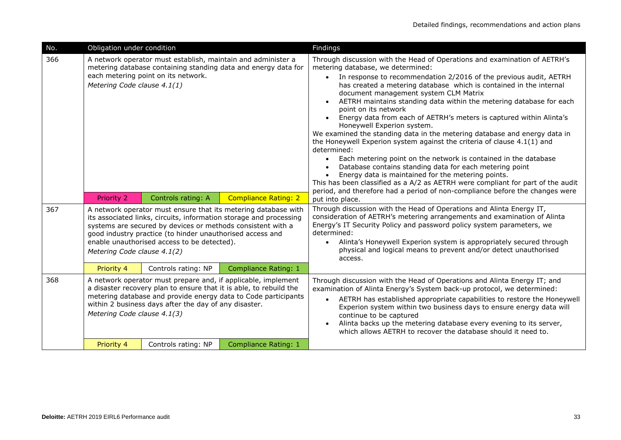| No. | Obligation under condition                                                                                                                                                                                                                                                                                                                     |                     |                             | Findings                                                                                                                                                                                                                                                                                                                                                                                                                                                                                                                                                                                                                                                                                                                                                                                                                                                                                                                                                                                                                                                                                 |
|-----|------------------------------------------------------------------------------------------------------------------------------------------------------------------------------------------------------------------------------------------------------------------------------------------------------------------------------------------------|---------------------|-----------------------------|------------------------------------------------------------------------------------------------------------------------------------------------------------------------------------------------------------------------------------------------------------------------------------------------------------------------------------------------------------------------------------------------------------------------------------------------------------------------------------------------------------------------------------------------------------------------------------------------------------------------------------------------------------------------------------------------------------------------------------------------------------------------------------------------------------------------------------------------------------------------------------------------------------------------------------------------------------------------------------------------------------------------------------------------------------------------------------------|
| 366 | A network operator must establish, maintain and administer a<br>metering database containing standing data and energy data for<br>each metering point on its network.<br>Metering Code clause 4.1(1)                                                                                                                                           |                     |                             | Through discussion with the Head of Operations and examination of AETRH's<br>metering database, we determined:<br>In response to recommendation 2/2016 of the previous audit, AETRH<br>$\bullet$<br>has created a metering database which is contained in the internal<br>document management system CLM Matrix<br>AETRH maintains standing data within the metering database for each<br>point on its network<br>Energy data from each of AETRH's meters is captured within Alinta's<br>Honeywell Experion system.<br>We examined the standing data in the metering database and energy data in<br>the Honeywell Experion system against the criteria of clause 4.1(1) and<br>determined:<br>Each metering point on the network is contained in the database<br>$\bullet$<br>Database contains standing data for each metering point<br>$\bullet$<br>Energy data is maintained for the metering points.<br>$\bullet$<br>This has been classified as a A/2 as AETRH were compliant for part of the audit<br>period, and therefore had a period of non-compliance before the changes were |
|     | Priority 2                                                                                                                                                                                                                                                                                                                                     | Controls rating: A  | <b>Compliance Rating: 2</b> | put into place.                                                                                                                                                                                                                                                                                                                                                                                                                                                                                                                                                                                                                                                                                                                                                                                                                                                                                                                                                                                                                                                                          |
| 367 | A network operator must ensure that its metering database with<br>its associated links, circuits, information storage and processing<br>systems are secured by devices or methods consistent with a<br>good industry practice (to hinder unauthorised access and<br>enable unauthorised access to be detected).<br>Metering Code clause 4.1(2) |                     |                             | Through discussion with the Head of Operations and Alinta Energy IT,<br>consideration of AETRH's metering arrangements and examination of Alinta<br>Energy's IT Security Policy and password policy system parameters, we<br>determined:<br>Alinta's Honeywell Experion system is appropriately secured through<br>physical and logical means to prevent and/or detect unauthorised<br>access.                                                                                                                                                                                                                                                                                                                                                                                                                                                                                                                                                                                                                                                                                           |
|     | Priority 4                                                                                                                                                                                                                                                                                                                                     | Controls rating: NP | <b>Compliance Rating: 1</b> |                                                                                                                                                                                                                                                                                                                                                                                                                                                                                                                                                                                                                                                                                                                                                                                                                                                                                                                                                                                                                                                                                          |
| 368 | A network operator must prepare and, if applicable, implement<br>a disaster recovery plan to ensure that it is able, to rebuild the<br>metering database and provide energy data to Code participants<br>within 2 business days after the day of any disaster.<br>Metering Code clause 4.1(3)                                                  |                     |                             | Through discussion with the Head of Operations and Alinta Energy IT; and<br>examination of Alinta Energy's System back-up protocol, we determined:<br>AETRH has established appropriate capabilities to restore the Honeywell<br>$\bullet$<br>Experion system within two business days to ensure energy data will<br>continue to be captured<br>Alinta backs up the metering database every evening to its server,<br>$\bullet$<br>which allows AETRH to recover the database should it need to.                                                                                                                                                                                                                                                                                                                                                                                                                                                                                                                                                                                         |
|     | Priority 4                                                                                                                                                                                                                                                                                                                                     | Controls rating: NP | Compliance Rating: 1        |                                                                                                                                                                                                                                                                                                                                                                                                                                                                                                                                                                                                                                                                                                                                                                                                                                                                                                                                                                                                                                                                                          |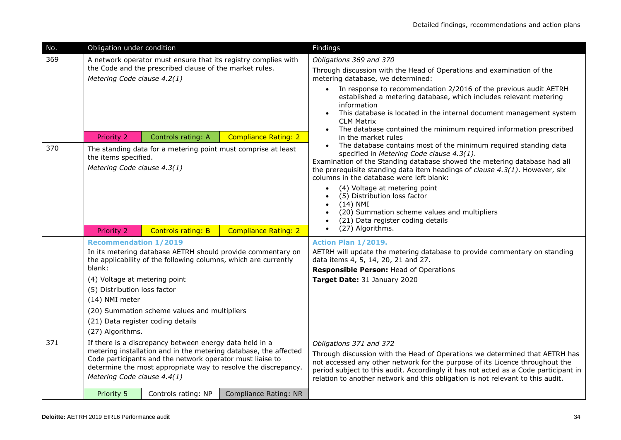| No.              | Obligation under condition                                                                                                                                                                                                                                                                |                                                                                     |                                                                | Findings                                                                                                                                                                                                                                                                                                                                                                                                                                                                                                                                                                                                                                                                                                                                                                    |
|------------------|-------------------------------------------------------------------------------------------------------------------------------------------------------------------------------------------------------------------------------------------------------------------------------------------|-------------------------------------------------------------------------------------|----------------------------------------------------------------|-----------------------------------------------------------------------------------------------------------------------------------------------------------------------------------------------------------------------------------------------------------------------------------------------------------------------------------------------------------------------------------------------------------------------------------------------------------------------------------------------------------------------------------------------------------------------------------------------------------------------------------------------------------------------------------------------------------------------------------------------------------------------------|
| 369              |                                                                                                                                                                                                                                                                                           |                                                                                     | A network operator must ensure that its registry complies with | Obligations 369 and 370                                                                                                                                                                                                                                                                                                                                                                                                                                                                                                                                                                                                                                                                                                                                                     |
|                  |                                                                                                                                                                                                                                                                                           | the Code and the prescribed clause of the market rules.                             |                                                                | Through discussion with the Head of Operations and examination of the                                                                                                                                                                                                                                                                                                                                                                                                                                                                                                                                                                                                                                                                                                       |
|                  | Metering Code clause 4.2(1)                                                                                                                                                                                                                                                               |                                                                                     |                                                                | metering database, we determined:                                                                                                                                                                                                                                                                                                                                                                                                                                                                                                                                                                                                                                                                                                                                           |
| 370              | <b>Priority 2</b><br>the items specified.<br>Metering Code clause 4.3(1)                                                                                                                                                                                                                  | Controls rating: A<br>The standing data for a metering point must comprise at least | <b>Compliance Rating: 2</b>                                    | • In response to recommendation 2/2016 of the previous audit AETRH<br>established a metering database, which includes relevant metering<br>information<br>This database is located in the internal document management system<br><b>CLM Matrix</b><br>The database contained the minimum required information prescribed<br>$\bullet$<br>in the market rules<br>The database contains most of the minimum required standing data<br>specified in Metering Code clause 4.3(1).<br>Examination of the Standing database showed the metering database had all<br>the prerequisite standing data item headings of <i>clause 4.3(1)</i> . However, six<br>columns in the database were left blank:<br>(4) Voltage at metering point<br>$\bullet$<br>(5) Distribution loss factor |
|                  |                                                                                                                                                                                                                                                                                           |                                                                                     |                                                                | $(14)$ NMI<br>(20) Summation scheme values and multipliers<br>(21) Data register coding details                                                                                                                                                                                                                                                                                                                                                                                                                                                                                                                                                                                                                                                                             |
|                  |                                                                                                                                                                                                                                                                                           |                                                                                     |                                                                |                                                                                                                                                                                                                                                                                                                                                                                                                                                                                                                                                                                                                                                                                                                                                                             |
|                  | Priority 2                                                                                                                                                                                                                                                                                | <b>Controls rating: B</b>                                                           | <b>Compliance Rating: 2</b>                                    | (27) Algorithms.                                                                                                                                                                                                                                                                                                                                                                                                                                                                                                                                                                                                                                                                                                                                                            |
|                  | <b>Recommendation 1/2019</b>                                                                                                                                                                                                                                                              |                                                                                     |                                                                | Action Plan 1/2019.                                                                                                                                                                                                                                                                                                                                                                                                                                                                                                                                                                                                                                                                                                                                                         |
|                  | blank:                                                                                                                                                                                                                                                                                    | the applicability of the following columns, which are currently                     | In its metering database AETRH should provide commentary on    | AETRH will update the metering database to provide commentary on standing<br>data items 4, 5, 14, 20, 21 and 27.                                                                                                                                                                                                                                                                                                                                                                                                                                                                                                                                                                                                                                                            |
|                  |                                                                                                                                                                                                                                                                                           |                                                                                     |                                                                | Responsible Person: Head of Operations                                                                                                                                                                                                                                                                                                                                                                                                                                                                                                                                                                                                                                                                                                                                      |
|                  | (4) Voltage at metering point<br>(5) Distribution loss factor                                                                                                                                                                                                                             |                                                                                     |                                                                | Target Date: 31 January 2020                                                                                                                                                                                                                                                                                                                                                                                                                                                                                                                                                                                                                                                                                                                                                |
|                  | (14) NMI meter                                                                                                                                                                                                                                                                            |                                                                                     |                                                                |                                                                                                                                                                                                                                                                                                                                                                                                                                                                                                                                                                                                                                                                                                                                                                             |
|                  |                                                                                                                                                                                                                                                                                           | (20) Summation scheme values and multipliers                                        |                                                                |                                                                                                                                                                                                                                                                                                                                                                                                                                                                                                                                                                                                                                                                                                                                                                             |
|                  |                                                                                                                                                                                                                                                                                           | (21) Data register coding details                                                   |                                                                |                                                                                                                                                                                                                                                                                                                                                                                                                                                                                                                                                                                                                                                                                                                                                                             |
| (27) Algorithms. |                                                                                                                                                                                                                                                                                           |                                                                                     |                                                                |                                                                                                                                                                                                                                                                                                                                                                                                                                                                                                                                                                                                                                                                                                                                                                             |
| 371              | If there is a discrepancy between energy data held in a<br>metering installation and in the metering database, the affected<br>Code participants and the network operator must liaise to<br>determine the most appropriate way to resolve the discrepancy.<br>Metering Code clause 4.4(1) |                                                                                     |                                                                | Obligations 371 and 372<br>Through discussion with the Head of Operations we determined that AETRH has<br>not accessed any other network for the purpose of its Licence throughout the<br>period subject to this audit. Accordingly it has not acted as a Code participant in<br>relation to another network and this obligation is not relevant to this audit.                                                                                                                                                                                                                                                                                                                                                                                                             |
|                  | Priority 5                                                                                                                                                                                                                                                                                | Controls rating: NP                                                                 | Compliance Rating: NR                                          |                                                                                                                                                                                                                                                                                                                                                                                                                                                                                                                                                                                                                                                                                                                                                                             |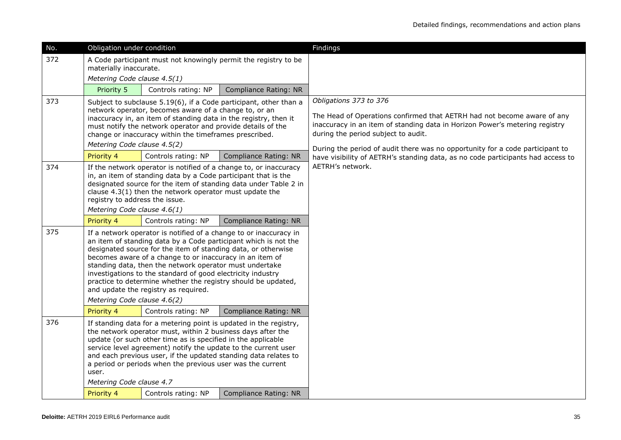| No. | Obligation under condition                                                                                                                                                                                                                                                                                                                                                                                                                                                                                                          |                     |                              | Findings                                                                                                                                                                                                                                                                                                 |
|-----|-------------------------------------------------------------------------------------------------------------------------------------------------------------------------------------------------------------------------------------------------------------------------------------------------------------------------------------------------------------------------------------------------------------------------------------------------------------------------------------------------------------------------------------|---------------------|------------------------------|----------------------------------------------------------------------------------------------------------------------------------------------------------------------------------------------------------------------------------------------------------------------------------------------------------|
| 372 | A Code participant must not knowingly permit the registry to be<br>materially inaccurate.                                                                                                                                                                                                                                                                                                                                                                                                                                           |                     |                              |                                                                                                                                                                                                                                                                                                          |
|     | Metering Code clause 4.5(1)                                                                                                                                                                                                                                                                                                                                                                                                                                                                                                         |                     |                              |                                                                                                                                                                                                                                                                                                          |
|     | Priority 5                                                                                                                                                                                                                                                                                                                                                                                                                                                                                                                          | Controls rating: NP | Compliance Rating: NR        |                                                                                                                                                                                                                                                                                                          |
| 373 | Subject to subclause 5.19(6), if a Code participant, other than a<br>network operator, becomes aware of a change to, or an<br>inaccuracy in, an item of standing data in the registry, then it<br>must notify the network operator and provide details of the<br>change or inaccuracy within the timeframes prescribed.<br>Metering Code clause 4.5(2)                                                                                                                                                                              |                     |                              | Obligations 373 to 376<br>The Head of Operations confirmed that AETRH had not become aware of any<br>inaccuracy in an item of standing data in Horizon Power's metering registry<br>during the period subject to audit.<br>During the period of audit there was no opportunity for a code participant to |
|     | Priority 4                                                                                                                                                                                                                                                                                                                                                                                                                                                                                                                          | Controls rating: NP | <b>Compliance Rating: NR</b> | have visibility of AETRH's standing data, as no code participants had access to                                                                                                                                                                                                                          |
| 374 | If the network operator is notified of a change to, or inaccuracy<br>in, an item of standing data by a Code participant that is the<br>designated source for the item of standing data under Table 2 in<br>clause 4.3(1) then the network operator must update the<br>registry to address the issue.<br>Metering Code clause 4.6(1)                                                                                                                                                                                                 |                     |                              | AETRH's network.                                                                                                                                                                                                                                                                                         |
|     | Priority 4                                                                                                                                                                                                                                                                                                                                                                                                                                                                                                                          | Controls rating: NP | Compliance Rating: NR        |                                                                                                                                                                                                                                                                                                          |
| 375 | If a network operator is notified of a change to or inaccuracy in<br>an item of standing data by a Code participant which is not the<br>designated source for the item of standing data, or otherwise<br>becomes aware of a change to or inaccuracy in an item of<br>standing data, then the network operator must undertake<br>investigations to the standard of good electricity industry<br>practice to determine whether the registry should be updated,<br>and update the registry as required.<br>Metering Code clause 4.6(2) |                     |                              |                                                                                                                                                                                                                                                                                                          |
|     | Priority 4                                                                                                                                                                                                                                                                                                                                                                                                                                                                                                                          | Controls rating: NP | Compliance Rating: NR        |                                                                                                                                                                                                                                                                                                          |
| 376 | If standing data for a metering point is updated in the registry,<br>the network operator must, within 2 business days after the<br>update (or such other time as is specified in the applicable<br>service level agreement) notify the update to the current user<br>and each previous user, if the updated standing data relates to<br>a period or periods when the previous user was the current<br>user.<br>Metering Code clause 4.7<br>Priority 4<br>Controls rating: NP<br>Compliance Rating: NR                              |                     |                              |                                                                                                                                                                                                                                                                                                          |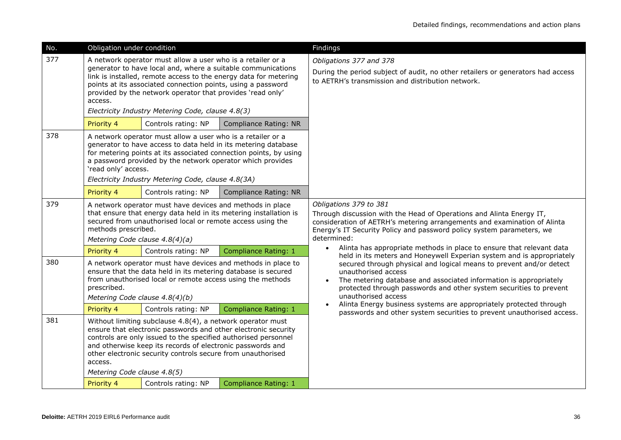| No. | Obligation under condition                                                                                                                                                                                                                                                                                                                                            |                                                                                                                                                                                                                                                 |                                                                  | Findings                                                                                                                                                                                                                                                                                                                           |
|-----|-----------------------------------------------------------------------------------------------------------------------------------------------------------------------------------------------------------------------------------------------------------------------------------------------------------------------------------------------------------------------|-------------------------------------------------------------------------------------------------------------------------------------------------------------------------------------------------------------------------------------------------|------------------------------------------------------------------|------------------------------------------------------------------------------------------------------------------------------------------------------------------------------------------------------------------------------------------------------------------------------------------------------------------------------------|
| 377 |                                                                                                                                                                                                                                                                                                                                                                       | A network operator must allow a user who is a retailer or a                                                                                                                                                                                     |                                                                  | Obligations 377 and 378                                                                                                                                                                                                                                                                                                            |
|     | access.                                                                                                                                                                                                                                                                                                                                                               | generator to have local and, where a suitable communications<br>points at its associated connection points, using a password<br>provided by the network operator that provides 'read only'<br>Electricity Industry Metering Code, clause 4.8(3) | link is installed, remote access to the energy data for metering | During the period subject of audit, no other retailers or generators had access<br>to AETRH's transmission and distribution network.                                                                                                                                                                                               |
|     | Priority 4                                                                                                                                                                                                                                                                                                                                                            | Controls rating: NP                                                                                                                                                                                                                             | <b>Compliance Rating: NR</b>                                     |                                                                                                                                                                                                                                                                                                                                    |
| 378 | A network operator must allow a user who is a retailer or a<br>generator to have access to data held in its metering database<br>for metering points at its associated connection points, by using<br>a password provided by the network operator which provides<br>'read only' access.<br>Electricity Industry Metering Code, clause 4.8(3A)                         |                                                                                                                                                                                                                                                 |                                                                  |                                                                                                                                                                                                                                                                                                                                    |
|     | Priority 4                                                                                                                                                                                                                                                                                                                                                            | Controls rating: NP                                                                                                                                                                                                                             | Compliance Rating: NR                                            |                                                                                                                                                                                                                                                                                                                                    |
| 379 | A network operator must have devices and methods in place<br>that ensure that energy data held in its metering installation is<br>secured from unauthorised local or remote access using the<br>methods prescribed.<br>Metering Code clause 4.8(4)(a)                                                                                                                 |                                                                                                                                                                                                                                                 |                                                                  | Obligations 379 to 381<br>Through discussion with the Head of Operations and Alinta Energy IT,<br>consideration of AETRH's metering arrangements and examination of Alinta<br>Energy's IT Security Policy and password policy system parameters, we<br>determined:                                                                 |
|     | Priority 4                                                                                                                                                                                                                                                                                                                                                            | Controls rating: NP                                                                                                                                                                                                                             | <b>Compliance Rating: 1</b>                                      | Alinta has appropriate methods in place to ensure that relevant data<br>held in its meters and Honeywell Experian system and is appropriately                                                                                                                                                                                      |
| 380 | prescribed.<br>Metering Code clause 4.8(4)(b)                                                                                                                                                                                                                                                                                                                         | ensure that the data held in its metering database is secured<br>from unauthorised local or remote access using the methods                                                                                                                     | A network operator must have devices and methods in place to     | secured through physical and logical means to prevent and/or detect<br>unauthorised access<br>The metering database and associated information is appropriately<br>protected through passwords and other system securities to prevent<br>unauthorised access<br>Alinta Energy business systems are appropriately protected through |
|     | Priority 4                                                                                                                                                                                                                                                                                                                                                            | Controls rating: NP                                                                                                                                                                                                                             | Compliance Rating: 1                                             | passwords and other system securities to prevent unauthorised access.                                                                                                                                                                                                                                                              |
| 381 | Without limiting subclause 4.8(4), a network operator must<br>ensure that electronic passwords and other electronic security<br>controls are only issued to the specified authorised personnel<br>and otherwise keep its records of electronic passwords and<br>other electronic security controls secure from unauthorised<br>access.<br>Metering Code clause 4.8(5) |                                                                                                                                                                                                                                                 |                                                                  |                                                                                                                                                                                                                                                                                                                                    |
|     | Priority 4                                                                                                                                                                                                                                                                                                                                                            | Controls rating: NP                                                                                                                                                                                                                             | <b>Compliance Rating: 1</b>                                      |                                                                                                                                                                                                                                                                                                                                    |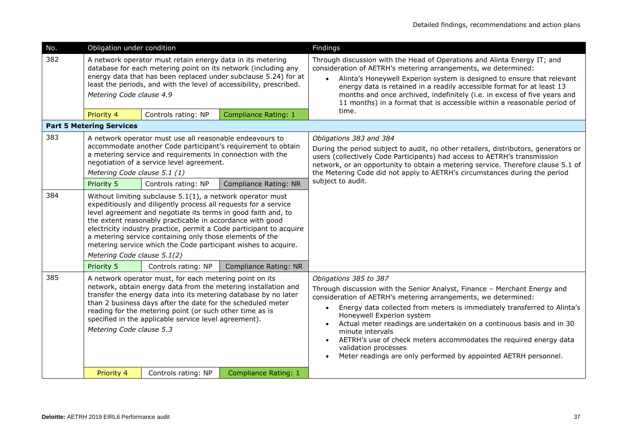| No.        | Obligation under condition                                                                                                                                                                                                                                                                                                                                                                                                                                                                             |                     |                             | Findings                                                                                                                                                                                                                                                                                                                                                                                                                                                                                                                                                             |
|------------|--------------------------------------------------------------------------------------------------------------------------------------------------------------------------------------------------------------------------------------------------------------------------------------------------------------------------------------------------------------------------------------------------------------------------------------------------------------------------------------------------------|---------------------|-----------------------------|----------------------------------------------------------------------------------------------------------------------------------------------------------------------------------------------------------------------------------------------------------------------------------------------------------------------------------------------------------------------------------------------------------------------------------------------------------------------------------------------------------------------------------------------------------------------|
| 382        | A network operator must retain energy data in its metering<br>database for each metering point on its network (including any<br>energy data that has been replaced under subclause 5.24) for at<br>least the periods, and with the level of accessibility, prescribed.<br>Metering Code clause 4.9                                                                                                                                                                                                     |                     |                             | Through discussion with the Head of Operations and Alinta Energy IT; and<br>consideration of AETRH's metering arrangements, we determined:<br>Alinta's Honeywell Experion system is designed to ensure that relevant<br>$\bullet$<br>energy data is retained in a readily accessible format for at least 13<br>months and once archived, indefinitely (i.e. in excess of five years and<br>11 months) in a format that is accessible within a reasonable period of<br>time.                                                                                          |
|            | Priority 4<br><b>Part 5 Metering Services</b>                                                                                                                                                                                                                                                                                                                                                                                                                                                          | Controls rating: NP | <b>Compliance Rating: 1</b> |                                                                                                                                                                                                                                                                                                                                                                                                                                                                                                                                                                      |
| 383<br>384 | A network operator must use all reasonable endeavours to<br>accommodate another Code participant's requirement to obtain<br>a metering service and requirements in connection with the<br>negotiation of a service level agreement.<br>Metering Code clause 5.1 (1)<br>Priority 5<br>Controls rating: NP<br>Compliance Rating: NR<br>Without limiting subclause $5.1(1)$ , a network operator must                                                                                                     |                     |                             | Obligations 383 and 384<br>During the period subject to audit, no other retailers, distributors, generators or<br>users (collectively Code Participants) had access to AETRH's transmission<br>network, or an opportunity to obtain a metering service. Therefore clause 5.1 of<br>the Metering Code did not apply to AETRH's circumstances during the period<br>subject to audit.                                                                                                                                                                                   |
|            | expeditiously and diligently process all requests for a service<br>level agreement and negotiate its terms in good faith and, to<br>the extent reasonably practicable in accordance with good<br>electricity industry practice, permit a Code participant to acquire<br>a metering service containing only those elements of the<br>metering service which the Code participant wishes to acquire.<br>Metering Code clause 5.1(2)<br>Priority 5<br>Controls rating: NP<br><b>Compliance Rating: NR</b> |                     |                             |                                                                                                                                                                                                                                                                                                                                                                                                                                                                                                                                                                      |
| 385        | A network operator must, for each metering point on its<br>network, obtain energy data from the metering installation and<br>transfer the energy data into its metering database by no later<br>than 2 business days after the date for the scheduled meter<br>reading for the metering point (or such other time as is<br>specified in the applicable service level agreement).<br>Metering Code clause 5.3                                                                                           |                     |                             | Obligations 385 to 387<br>Through discussion with the Senior Analyst, Finance - Merchant Energy and<br>consideration of AETRH's metering arrangements, we determined:<br>Energy data collected from meters is immediately transferred to Alinta's<br>$\bullet$<br>Honeywell Experion system<br>Actual meter readings are undertaken on a continuous basis and in 30<br>minute intervals<br>AETRH's use of check meters accommodates the required energy data<br>$\bullet$<br>validation processes<br>Meter readings are only performed by appointed AETRH personnel. |
|            | Priority 4                                                                                                                                                                                                                                                                                                                                                                                                                                                                                             | Controls rating: NP | Compliance Rating: 1        |                                                                                                                                                                                                                                                                                                                                                                                                                                                                                                                                                                      |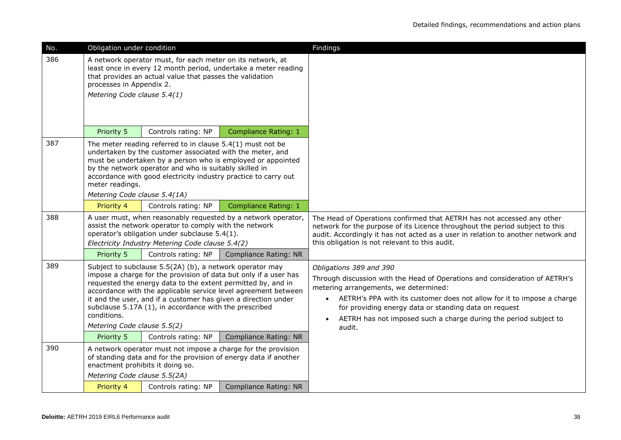| No. | Obligation under condition                                                                                                                                                                                                                                                                                                                                                                                                                                                                             |                                                                                                                                                             |                                                                  | Findings                                                                                                                                                                                                                                                                                                                                                                      |
|-----|--------------------------------------------------------------------------------------------------------------------------------------------------------------------------------------------------------------------------------------------------------------------------------------------------------------------------------------------------------------------------------------------------------------------------------------------------------------------------------------------------------|-------------------------------------------------------------------------------------------------------------------------------------------------------------|------------------------------------------------------------------|-------------------------------------------------------------------------------------------------------------------------------------------------------------------------------------------------------------------------------------------------------------------------------------------------------------------------------------------------------------------------------|
| 386 | A network operator must, for each meter on its network, at<br>least once in every 12 month period, undertake a meter reading<br>that provides an actual value that passes the validation<br>processes in Appendix 2.<br>Metering Code clause 5.4(1)                                                                                                                                                                                                                                                    |                                                                                                                                                             |                                                                  |                                                                                                                                                                                                                                                                                                                                                                               |
|     | Priority 5                                                                                                                                                                                                                                                                                                                                                                                                                                                                                             | Controls rating: NP                                                                                                                                         | <b>Compliance Rating: 1</b>                                      |                                                                                                                                                                                                                                                                                                                                                                               |
| 387 | The meter reading referred to in clause $5.4(1)$ must not be<br>undertaken by the customer associated with the meter, and<br>must be undertaken by a person who is employed or appointed<br>by the network operator and who is suitably skilled in<br>accordance with good electricity industry practice to carry out<br>meter readings.<br>Metering Code clause 5.4(1A)                                                                                                                               |                                                                                                                                                             |                                                                  |                                                                                                                                                                                                                                                                                                                                                                               |
|     | Priority 4                                                                                                                                                                                                                                                                                                                                                                                                                                                                                             | Controls rating: NP                                                                                                                                         | Compliance Rating: 1                                             |                                                                                                                                                                                                                                                                                                                                                                               |
| 388 |                                                                                                                                                                                                                                                                                                                                                                                                                                                                                                        | assist the network operator to comply with the network<br>operator's obligation under subclause 5.4(1).<br>Electricity Industry Metering Code clause 5.4(2) | A user must, when reasonably requested by a network operator,    | The Head of Operations confirmed that AETRH has not accessed any other<br>network for the purpose of its Licence throughout the period subject to this<br>audit. Accordingly it has not acted as a user in relation to another network and<br>this obligation is not relevant to this audit.                                                                                  |
|     | Priority 5                                                                                                                                                                                                                                                                                                                                                                                                                                                                                             | Controls rating: NP                                                                                                                                         | Compliance Rating: NR                                            |                                                                                                                                                                                                                                                                                                                                                                               |
| 389 | Subject to subclause 5.5(2A) (b), a network operator may<br>impose a charge for the provision of data but only if a user has<br>requested the energy data to the extent permitted by, and in<br>accordance with the applicable service level agreement between<br>it and the user, and if a customer has given a direction under<br>subclause 5.17A (1), in accordance with the prescribed<br>conditions.<br>Metering Code clause 5.5(2)<br>Priority 5<br>Controls rating: NP<br>Compliance Rating: NR |                                                                                                                                                             |                                                                  | Obligations 389 and 390<br>Through discussion with the Head of Operations and consideration of AETRH's<br>metering arrangements, we determined:<br>AETRH's PPA with its customer does not allow for it to impose a charge<br>$\bullet$<br>for providing energy data or standing data on request<br>AETRH has not imposed such a charge during the period subject to<br>audit. |
| 390 |                                                                                                                                                                                                                                                                                                                                                                                                                                                                                                        |                                                                                                                                                             | A network operator must not impose a charge for the provision    |                                                                                                                                                                                                                                                                                                                                                                               |
|     | enactment prohibits it doing so.<br>Metering Code clause 5.5(2A)                                                                                                                                                                                                                                                                                                                                                                                                                                       |                                                                                                                                                             | of standing data and for the provision of energy data if another |                                                                                                                                                                                                                                                                                                                                                                               |
|     | Priority 4                                                                                                                                                                                                                                                                                                                                                                                                                                                                                             | Controls rating: NP                                                                                                                                         | Compliance Rating: NR                                            |                                                                                                                                                                                                                                                                                                                                                                               |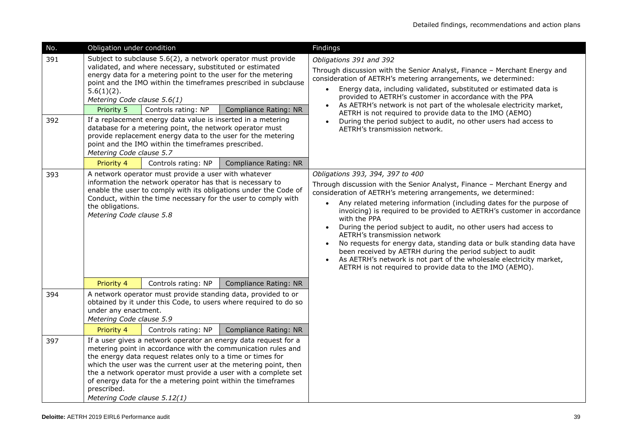| No.        | Obligation under condition                                                                                                                                                                                                                                                                                                                                                                                                                                                                                                                                                                                                                                       |                     |                              | Findings                                                                                                                                                                                                                                                                                                                                                                                                                                                                                                                                                                                                                                                                                                                                                  |
|------------|------------------------------------------------------------------------------------------------------------------------------------------------------------------------------------------------------------------------------------------------------------------------------------------------------------------------------------------------------------------------------------------------------------------------------------------------------------------------------------------------------------------------------------------------------------------------------------------------------------------------------------------------------------------|---------------------|------------------------------|-----------------------------------------------------------------------------------------------------------------------------------------------------------------------------------------------------------------------------------------------------------------------------------------------------------------------------------------------------------------------------------------------------------------------------------------------------------------------------------------------------------------------------------------------------------------------------------------------------------------------------------------------------------------------------------------------------------------------------------------------------------|
| 391<br>392 | Subject to subclause 5.6(2), a network operator must provide<br>validated, and where necessary, substituted or estimated<br>energy data for a metering point to the user for the metering<br>point and the IMO within the timeframes prescribed in subclause<br>$5.6(1)(2)$ .<br>Metering Code clause 5.6(1)<br>Priority 5<br>Controls rating: NP<br><b>Compliance Rating: NR</b><br>If a replacement energy data value is inserted in a metering<br>database for a metering point, the network operator must<br>provide replacement energy data to the user for the metering<br>point and the IMO within the timeframes prescribed.<br>Metering Code clause 5.7 |                     |                              | Obligations 391 and 392<br>Through discussion with the Senior Analyst, Finance - Merchant Energy and<br>consideration of AETRH's metering arrangements, we determined:<br>Energy data, including validated, substituted or estimated data is<br>provided to AETRH's customer in accordance with the PPA<br>As AETRH's network is not part of the wholesale electricity market,<br>AETRH is not required to provide data to the IMO (AEMO)<br>During the period subject to audit, no other users had access to<br>AETRH's transmission network.                                                                                                                                                                                                            |
|            | Priority 4                                                                                                                                                                                                                                                                                                                                                                                                                                                                                                                                                                                                                                                       | Controls rating: NP | <b>Compliance Rating: NR</b> |                                                                                                                                                                                                                                                                                                                                                                                                                                                                                                                                                                                                                                                                                                                                                           |
| 393        | A network operator must provide a user with whatever<br>information the network operator has that is necessary to<br>enable the user to comply with its obligations under the Code of<br>Conduct, within the time necessary for the user to comply with<br>the obligations.<br>Metering Code clause 5.8                                                                                                                                                                                                                                                                                                                                                          |                     |                              | Obligations 393, 394, 397 to 400<br>Through discussion with the Senior Analyst, Finance - Merchant Energy and<br>consideration of AETRH's metering arrangements, we determined:<br>Any related metering information (including dates for the purpose of<br>invoicing) is required to be provided to AETRH's customer in accordance<br>with the PPA<br>During the period subject to audit, no other users had access to<br>$\bullet$<br>AETRH's transmission network<br>No requests for energy data, standing data or bulk standing data have<br>been received by AETRH during the period subject to audit<br>As AETRH's network is not part of the wholesale electricity market,<br>$\bullet$<br>AETRH is not required to provide data to the IMO (AEMO). |
|            | Priority 4                                                                                                                                                                                                                                                                                                                                                                                                                                                                                                                                                                                                                                                       | Controls rating: NP | <b>Compliance Rating: NR</b> |                                                                                                                                                                                                                                                                                                                                                                                                                                                                                                                                                                                                                                                                                                                                                           |
| 394        | A network operator must provide standing data, provided to or<br>obtained by it under this Code, to users where required to do so<br>under any enactment.<br>Metering Code clause 5.9<br>Controls rating: NP<br>Priority 4<br>Compliance Rating: NR                                                                                                                                                                                                                                                                                                                                                                                                              |                     |                              |                                                                                                                                                                                                                                                                                                                                                                                                                                                                                                                                                                                                                                                                                                                                                           |
| 397        | If a user gives a network operator an energy data request for a<br>metering point in accordance with the communication rules and<br>the energy data request relates only to a time or times for<br>which the user was the current user at the metering point, then<br>the a network operator must provide a user with a complete set<br>of energy data for the a metering point within the timeframes<br>prescribed.<br>Metering Code clause 5.12(1)                                                                                                                                                                                                             |                     |                              |                                                                                                                                                                                                                                                                                                                                                                                                                                                                                                                                                                                                                                                                                                                                                           |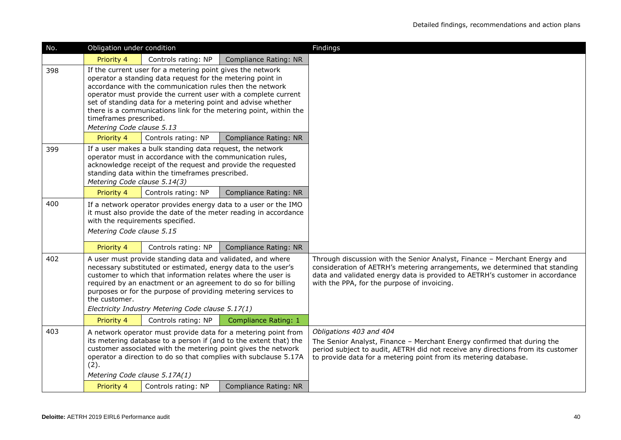| No. | Obligation under condition                                                                                                                                                                                                                                                                                                                                                                                                                         |                                  |                                                                                                                                                                                                                                                                          | Findings                                                                                                                                                                                                                                                                                |
|-----|----------------------------------------------------------------------------------------------------------------------------------------------------------------------------------------------------------------------------------------------------------------------------------------------------------------------------------------------------------------------------------------------------------------------------------------------------|----------------------------------|--------------------------------------------------------------------------------------------------------------------------------------------------------------------------------------------------------------------------------------------------------------------------|-----------------------------------------------------------------------------------------------------------------------------------------------------------------------------------------------------------------------------------------------------------------------------------------|
|     | Priority 4                                                                                                                                                                                                                                                                                                                                                                                                                                         | Controls rating: NP              | <b>Compliance Rating: NR</b>                                                                                                                                                                                                                                             |                                                                                                                                                                                                                                                                                         |
| 398 | If the current user for a metering point gives the network<br>operator a standing data request for the metering point in<br>accordance with the communication rules then the network<br>operator must provide the current user with a complete current<br>set of standing data for a metering point and advise whether<br>there is a communications link for the metering point, within the<br>timeframes prescribed.<br>Metering Code clause 5.13 |                                  |                                                                                                                                                                                                                                                                          |                                                                                                                                                                                                                                                                                         |
|     | Priority 4                                                                                                                                                                                                                                                                                                                                                                                                                                         | Controls rating: NP              | <b>Compliance Rating: NR</b>                                                                                                                                                                                                                                             |                                                                                                                                                                                                                                                                                         |
| 399 | If a user makes a bulk standing data request, the network<br>operator must in accordance with the communication rules,<br>acknowledge receipt of the request and provide the requested<br>standing data within the timeframes prescribed.<br>Metering Code clause 5.14(3)                                                                                                                                                                          |                                  |                                                                                                                                                                                                                                                                          |                                                                                                                                                                                                                                                                                         |
|     | Priority 4                                                                                                                                                                                                                                                                                                                                                                                                                                         | Controls rating: NP              | Compliance Rating: NR                                                                                                                                                                                                                                                    |                                                                                                                                                                                                                                                                                         |
| 400 | Metering Code clause 5.15                                                                                                                                                                                                                                                                                                                                                                                                                          | with the requirements specified. | If a network operator provides energy data to a user or the IMO<br>it must also provide the date of the meter reading in accordance                                                                                                                                      |                                                                                                                                                                                                                                                                                         |
|     | Priority 4                                                                                                                                                                                                                                                                                                                                                                                                                                         | Controls rating: NP              | Compliance Rating: NR                                                                                                                                                                                                                                                    |                                                                                                                                                                                                                                                                                         |
| 402 | A user must provide standing data and validated, and where<br>necessary substituted or estimated, energy data to the user's<br>customer to which that information relates where the user is<br>required by an enactment or an agreement to do so for billing<br>purposes or for the purpose of providing metering services to<br>the customer.<br>Electricity Industry Metering Code clause 5.17(1)                                                |                                  |                                                                                                                                                                                                                                                                          | Through discussion with the Senior Analyst, Finance - Merchant Energy and<br>consideration of AETRH's metering arrangements, we determined that standing<br>data and validated energy data is provided to AETRH's customer in accordance<br>with the PPA, for the purpose of invoicing. |
|     | Priority 4                                                                                                                                                                                                                                                                                                                                                                                                                                         | Controls rating: NP              | <b>Compliance Rating: 1</b>                                                                                                                                                                                                                                              |                                                                                                                                                                                                                                                                                         |
| 403 | (2).<br>Metering Code clause 5.17A(1)                                                                                                                                                                                                                                                                                                                                                                                                              |                                  | A network operator must provide data for a metering point from<br>its metering database to a person if (and to the extent that) the<br>customer associated with the metering point gives the network<br>operator a direction to do so that complies with subclause 5.17A | Obligations 403 and 404<br>The Senior Analyst, Finance - Merchant Energy confirmed that during the<br>period subject to audit, AETRH did not receive any directions from its customer<br>to provide data for a metering point from its metering database.                               |
|     | Priority 4                                                                                                                                                                                                                                                                                                                                                                                                                                         | Controls rating: NP              | Compliance Rating: NR                                                                                                                                                                                                                                                    |                                                                                                                                                                                                                                                                                         |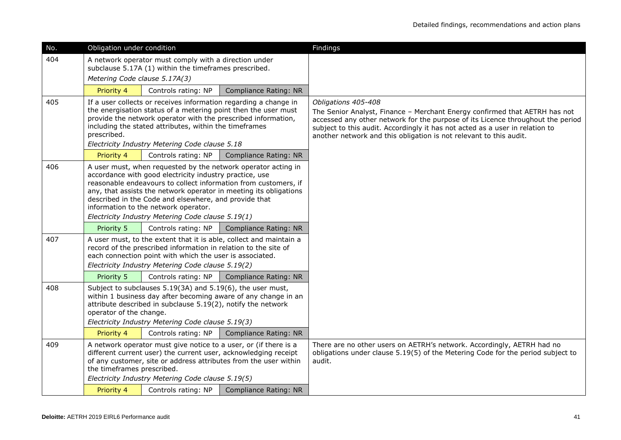| No. | Obligation under condition                                                                                                                                                                                                                                                                                                                                                                                             |                                                                                                                                                                                  |                                                                    | Findings                                                                                                                                                                                                                                                                                                                                   |
|-----|------------------------------------------------------------------------------------------------------------------------------------------------------------------------------------------------------------------------------------------------------------------------------------------------------------------------------------------------------------------------------------------------------------------------|----------------------------------------------------------------------------------------------------------------------------------------------------------------------------------|--------------------------------------------------------------------|--------------------------------------------------------------------------------------------------------------------------------------------------------------------------------------------------------------------------------------------------------------------------------------------------------------------------------------------|
| 404 |                                                                                                                                                                                                                                                                                                                                                                                                                        | A network operator must comply with a direction under<br>subclause 5.17A (1) within the timeframes prescribed.                                                                   |                                                                    |                                                                                                                                                                                                                                                                                                                                            |
|     | Metering Code clause 5.17A(3)                                                                                                                                                                                                                                                                                                                                                                                          |                                                                                                                                                                                  |                                                                    |                                                                                                                                                                                                                                                                                                                                            |
|     | Priority 4                                                                                                                                                                                                                                                                                                                                                                                                             | Controls rating: NP                                                                                                                                                              | Compliance Rating: NR                                              |                                                                                                                                                                                                                                                                                                                                            |
| 405 | If a user collects or receives information regarding a change in<br>the energisation status of a metering point then the user must<br>provide the network operator with the prescribed information,<br>including the stated attributes, within the timeframes<br>prescribed.<br>Electricity Industry Metering Code clause 5.18                                                                                         |                                                                                                                                                                                  |                                                                    | Obligations 405-408<br>The Senior Analyst, Finance - Merchant Energy confirmed that AETRH has not<br>accessed any other network for the purpose of its Licence throughout the period<br>subject to this audit. Accordingly it has not acted as a user in relation to<br>another network and this obligation is not relevant to this audit. |
|     | Priority 4                                                                                                                                                                                                                                                                                                                                                                                                             | Controls rating: NP                                                                                                                                                              | Compliance Rating: NR                                              |                                                                                                                                                                                                                                                                                                                                            |
| 406 | A user must, when requested by the network operator acting in<br>accordance with good electricity industry practice, use<br>reasonable endeavours to collect information from customers, if<br>any, that assists the network operator in meeting its obligations<br>described in the Code and elsewhere, and provide that<br>information to the network operator.<br>Electricity Industry Metering Code clause 5.19(1) |                                                                                                                                                                                  |                                                                    |                                                                                                                                                                                                                                                                                                                                            |
|     | Priority 5                                                                                                                                                                                                                                                                                                                                                                                                             | Controls rating: NP                                                                                                                                                              | <b>Compliance Rating: NR</b>                                       |                                                                                                                                                                                                                                                                                                                                            |
| 407 |                                                                                                                                                                                                                                                                                                                                                                                                                        | record of the prescribed information in relation to the site of<br>each connection point with which the user is associated.<br>Electricity Industry Metering Code clause 5.19(2) | A user must, to the extent that it is able, collect and maintain a |                                                                                                                                                                                                                                                                                                                                            |
|     | Priority 5                                                                                                                                                                                                                                                                                                                                                                                                             | Controls rating: NP                                                                                                                                                              | <b>Compliance Rating: NR</b>                                       |                                                                                                                                                                                                                                                                                                                                            |
| 408 | Subject to subclauses 5.19(3A) and 5.19(6), the user must,<br>within 1 business day after becoming aware of any change in an<br>attribute described in subclause 5.19(2), notify the network<br>operator of the change.<br>Electricity Industry Metering Code clause 5.19(3)                                                                                                                                           |                                                                                                                                                                                  |                                                                    |                                                                                                                                                                                                                                                                                                                                            |
|     | Priority 4                                                                                                                                                                                                                                                                                                                                                                                                             | Controls rating: NP                                                                                                                                                              | Compliance Rating: NR                                              |                                                                                                                                                                                                                                                                                                                                            |
| 409 | A network operator must give notice to a user, or (if there is a<br>different current user) the current user, acknowledging receipt<br>of any customer, site or address attributes from the user within<br>the timeframes prescribed.<br>Electricity Industry Metering Code clause 5.19(5)                                                                                                                             |                                                                                                                                                                                  |                                                                    | There are no other users on AETRH's network. Accordingly, AETRH had no<br>obligations under clause 5.19(5) of the Metering Code for the period subject to<br>audit.                                                                                                                                                                        |
|     | Priority 4                                                                                                                                                                                                                                                                                                                                                                                                             | Controls rating: NP                                                                                                                                                              | <b>Compliance Rating: NR</b>                                       |                                                                                                                                                                                                                                                                                                                                            |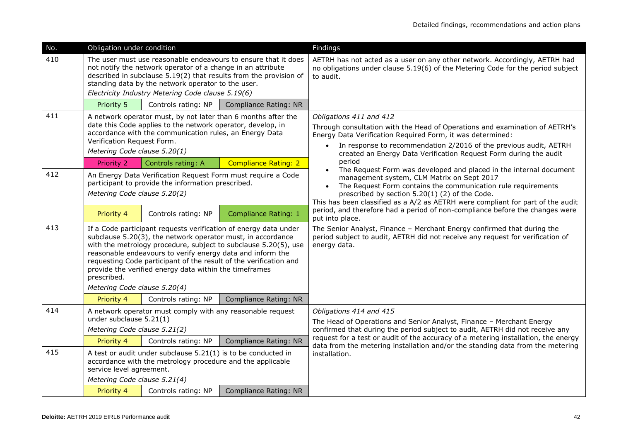| No. | Obligation under condition                                                                                                                                                                                                                                                                                                                                                                                                                     |                     |                              | Findings                                                                                                                                                                                                                                                                                                               |
|-----|------------------------------------------------------------------------------------------------------------------------------------------------------------------------------------------------------------------------------------------------------------------------------------------------------------------------------------------------------------------------------------------------------------------------------------------------|---------------------|------------------------------|------------------------------------------------------------------------------------------------------------------------------------------------------------------------------------------------------------------------------------------------------------------------------------------------------------------------|
| 410 | The user must use reasonable endeavours to ensure that it does<br>not notify the network operator of a change in an attribute<br>described in subclause 5.19(2) that results from the provision of<br>standing data by the network operator to the user.<br>Electricity Industry Metering Code clause 5.19(6)                                                                                                                                  |                     |                              | AETRH has not acted as a user on any other network. Accordingly, AETRH had<br>no obligations under clause 5.19(6) of the Metering Code for the period subject<br>to audit.                                                                                                                                             |
|     | Priority 5                                                                                                                                                                                                                                                                                                                                                                                                                                     | Controls rating: NP | <b>Compliance Rating: NR</b> |                                                                                                                                                                                                                                                                                                                        |
| 411 | A network operator must, by not later than 6 months after the<br>date this Code applies to the network operator, develop, in<br>accordance with the communication rules, an Energy Data<br>Verification Request Form.<br>Metering Code clause 5.20(1)                                                                                                                                                                                          |                     |                              | Obligations 411 and 412<br>Through consultation with the Head of Operations and examination of AETRH's<br>Energy Data Verification Required Form, it was determined:<br>In response to recommendation 2/2016 of the previous audit, AETRH<br>created an Energy Data Verification Request Form during the audit         |
|     | Priority 2                                                                                                                                                                                                                                                                                                                                                                                                                                     | Controls rating: A  | <b>Compliance Rating: 2</b>  | period                                                                                                                                                                                                                                                                                                                 |
| 412 | An Energy Data Verification Request Form must require a Code<br>participant to provide the information prescribed.<br>Metering Code clause 5.20(2)                                                                                                                                                                                                                                                                                             |                     |                              | The Request Form was developed and placed in the internal document<br>management system, CLM Matrix on Sept 2017<br>The Request Form contains the communication rule requirements<br>prescribed by section 5.20(1) (2) of the Code.<br>This has been classified as a A/2 as AETRH were compliant for part of the audit |
|     | Priority 4                                                                                                                                                                                                                                                                                                                                                                                                                                     | Controls rating: NP | <b>Compliance Rating: 1</b>  | period, and therefore had a period of non-compliance before the changes were<br>put into place.                                                                                                                                                                                                                        |
| 413 | If a Code participant requests verification of energy data under<br>subclause 5.20(3), the network operator must, in accordance<br>with the metrology procedure, subject to subclause 5.20(5), use<br>reasonable endeavours to verify energy data and inform the<br>requesting Code participant of the result of the verification and<br>provide the verified energy data within the timeframes<br>prescribed.<br>Metering Code clause 5.20(4) |                     |                              | The Senior Analyst, Finance - Merchant Energy confirmed that during the<br>period subject to audit, AETRH did not receive any request for verification of<br>energy data.                                                                                                                                              |
|     | Priority 4                                                                                                                                                                                                                                                                                                                                                                                                                                     | Controls rating: NP | Compliance Rating: NR        |                                                                                                                                                                                                                                                                                                                        |
| 414 | A network operator must comply with any reasonable request<br>under subclause 5.21(1)<br>Metering Code clause 5.21(2)                                                                                                                                                                                                                                                                                                                          |                     |                              | Obligations 414 and 415<br>The Head of Operations and Senior Analyst, Finance - Merchant Energy<br>confirmed that during the period subject to audit, AETRH did not receive any                                                                                                                                        |
|     | Priority 4                                                                                                                                                                                                                                                                                                                                                                                                                                     | Controls rating: NP | <b>Compliance Rating: NR</b> | request for a test or audit of the accuracy of a metering installation, the energy<br>data from the metering installation and/or the standing data from the metering                                                                                                                                                   |
| 415 | A test or audit under subclause $5.21(1)$ is to be conducted in<br>accordance with the metrology procedure and the applicable<br>service level agreement.                                                                                                                                                                                                                                                                                      |                     |                              | installation.                                                                                                                                                                                                                                                                                                          |
|     | Metering Code clause 5.21(4)                                                                                                                                                                                                                                                                                                                                                                                                                   | Controls rating: NP | Compliance Rating: NR        |                                                                                                                                                                                                                                                                                                                        |
|     | Priority 4                                                                                                                                                                                                                                                                                                                                                                                                                                     |                     |                              |                                                                                                                                                                                                                                                                                                                        |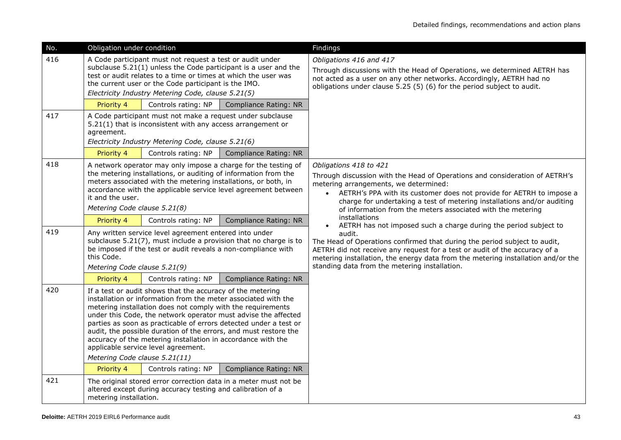| No. | Obligation under condition                                                                                                                                                                                                                                                                                                                                                                                                                                                                                                                     |                                                                                                                                                                                                                                           |                                                                  | Findings                                                                                                                                                                                                                                                                                                                                                         |
|-----|------------------------------------------------------------------------------------------------------------------------------------------------------------------------------------------------------------------------------------------------------------------------------------------------------------------------------------------------------------------------------------------------------------------------------------------------------------------------------------------------------------------------------------------------|-------------------------------------------------------------------------------------------------------------------------------------------------------------------------------------------------------------------------------------------|------------------------------------------------------------------|------------------------------------------------------------------------------------------------------------------------------------------------------------------------------------------------------------------------------------------------------------------------------------------------------------------------------------------------------------------|
| 416 |                                                                                                                                                                                                                                                                                                                                                                                                                                                                                                                                                | A Code participant must not request a test or audit under<br>test or audit relates to a time or times at which the user was<br>the current user or the Code participant is the IMO.<br>Electricity Industry Metering Code, clause 5.21(5) | subclause 5.21(1) unless the Code participant is a user and the  | Obligations 416 and 417<br>Through discussions with the Head of Operations, we determined AETRH has<br>not acted as a user on any other networks. Accordingly, AETRH had no<br>obligations under clause 5.25 (5) (6) for the period subject to audit.                                                                                                            |
|     | Priority 4                                                                                                                                                                                                                                                                                                                                                                                                                                                                                                                                     | Controls rating: NP                                                                                                                                                                                                                       | <b>Compliance Rating: NR</b>                                     |                                                                                                                                                                                                                                                                                                                                                                  |
| 417 | agreement.                                                                                                                                                                                                                                                                                                                                                                                                                                                                                                                                     | A Code participant must not make a request under subclause<br>5.21(1) that is inconsistent with any access arrangement or<br>Electricity Industry Metering Code, clause 5.21(6)                                                           |                                                                  |                                                                                                                                                                                                                                                                                                                                                                  |
|     | Priority 4                                                                                                                                                                                                                                                                                                                                                                                                                                                                                                                                     | Controls rating: NP                                                                                                                                                                                                                       | <b>Compliance Rating: NR</b>                                     |                                                                                                                                                                                                                                                                                                                                                                  |
| 418 | A network operator may only impose a charge for the testing of<br>the metering installations, or auditing of information from the<br>meters associated with the metering installations, or both, in<br>accordance with the applicable service level agreement between<br>it and the user.<br>Metering Code clause 5.21(8)                                                                                                                                                                                                                      |                                                                                                                                                                                                                                           |                                                                  | Obligations 418 to 421<br>Through discussion with the Head of Operations and consideration of AETRH's<br>metering arrangements, we determined:<br>AETRH's PPA with its customer does not provide for AETRH to impose a<br>charge for undertaking a test of metering installations and/or auditing<br>of information from the meters associated with the metering |
|     | Priority 4                                                                                                                                                                                                                                                                                                                                                                                                                                                                                                                                     | Controls rating: NP                                                                                                                                                                                                                       | Compliance Rating: NR                                            | installations<br>AETRH has not imposed such a charge during the period subject to                                                                                                                                                                                                                                                                                |
| 419 | Any written service level agreement entered into under<br>subclause 5.21(7), must include a provision that no charge is to<br>be imposed if the test or audit reveals a non-compliance with<br>this Code.<br>Metering Code clause 5.21(9)                                                                                                                                                                                                                                                                                                      |                                                                                                                                                                                                                                           |                                                                  | audit.<br>The Head of Operations confirmed that during the period subject to audit,<br>AETRH did not receive any request for a test or audit of the accuracy of a<br>metering installation, the energy data from the metering installation and/or the<br>standing data from the metering installation.                                                           |
|     | Priority 4                                                                                                                                                                                                                                                                                                                                                                                                                                                                                                                                     | Controls rating: NP                                                                                                                                                                                                                       | <b>Compliance Rating: NR</b>                                     |                                                                                                                                                                                                                                                                                                                                                                  |
| 420 | If a test or audit shows that the accuracy of the metering<br>installation or information from the meter associated with the<br>metering installation does not comply with the requirements<br>under this Code, the network operator must advise the affected<br>parties as soon as practicable of errors detected under a test or<br>audit, the possible duration of the errors, and must restore the<br>accuracy of the metering installation in accordance with the<br>applicable service level agreement.<br>Metering Code clause 5.21(11) |                                                                                                                                                                                                                                           |                                                                  |                                                                                                                                                                                                                                                                                                                                                                  |
|     | Priority 4                                                                                                                                                                                                                                                                                                                                                                                                                                                                                                                                     | Controls rating: NP                                                                                                                                                                                                                       | Compliance Rating: NR                                            |                                                                                                                                                                                                                                                                                                                                                                  |
| 421 | metering installation.                                                                                                                                                                                                                                                                                                                                                                                                                                                                                                                         | altered except during accuracy testing and calibration of a                                                                                                                                                                               | The original stored error correction data in a meter must not be |                                                                                                                                                                                                                                                                                                                                                                  |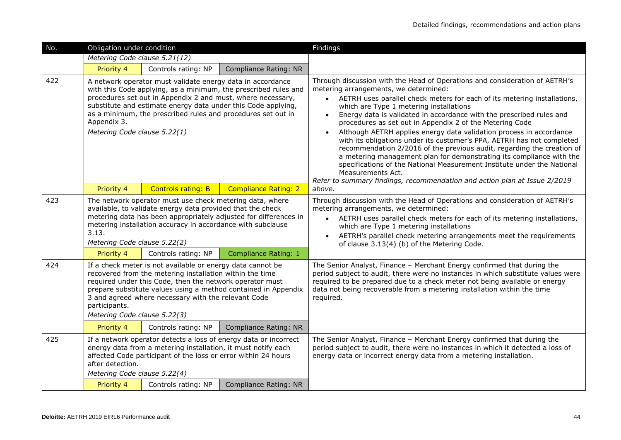| No. | Obligation under condition                                                                                                                                                                                                                                                                                                                                   |                                                                                                                                                                                                                                                            |                                                                 | Findings                                                                                                                                                                                                                                                                                                                                                                                                                                                                                                                                                                                                                                                                                                                                                                                                                                                                     |
|-----|--------------------------------------------------------------------------------------------------------------------------------------------------------------------------------------------------------------------------------------------------------------------------------------------------------------------------------------------------------------|------------------------------------------------------------------------------------------------------------------------------------------------------------------------------------------------------------------------------------------------------------|-----------------------------------------------------------------|------------------------------------------------------------------------------------------------------------------------------------------------------------------------------------------------------------------------------------------------------------------------------------------------------------------------------------------------------------------------------------------------------------------------------------------------------------------------------------------------------------------------------------------------------------------------------------------------------------------------------------------------------------------------------------------------------------------------------------------------------------------------------------------------------------------------------------------------------------------------------|
|     | Metering Code clause 5.21(12)                                                                                                                                                                                                                                                                                                                                |                                                                                                                                                                                                                                                            |                                                                 |                                                                                                                                                                                                                                                                                                                                                                                                                                                                                                                                                                                                                                                                                                                                                                                                                                                                              |
|     | Priority 4                                                                                                                                                                                                                                                                                                                                                   | Controls rating: NP                                                                                                                                                                                                                                        | <b>Compliance Rating: NR</b>                                    |                                                                                                                                                                                                                                                                                                                                                                                                                                                                                                                                                                                                                                                                                                                                                                                                                                                                              |
| 422 | Appendix 3.<br>Metering Code clause 5.22(1)                                                                                                                                                                                                                                                                                                                  | A network operator must validate energy data in accordance<br>procedures set out in Appendix 2 and must, where necessary,<br>substitute and estimate energy data under this Code applying,<br>as a minimum, the prescribed rules and procedures set out in | with this Code applying, as a minimum, the prescribed rules and | Through discussion with the Head of Operations and consideration of AETRH's<br>metering arrangements, we determined:<br>AETRH uses parallel check meters for each of its metering installations,<br>$\bullet$<br>which are Type 1 metering installations<br>Energy data is validated in accordance with the prescribed rules and<br>procedures as set out in Appendix 2 of the Metering Code<br>Although AETRH applies energy data validation process in accordance<br>with its obligations under its customer's PPA, AETRH has not completed<br>recommendation 2/2016 of the previous audit, regarding the creation of<br>a metering management plan for demonstrating its compliance with the<br>specifications of the National Measurement Institute under the National<br>Measurements Act.<br>Refer to summary findings, recommendation and action plan at Issue 2/2019 |
|     | Priority 4                                                                                                                                                                                                                                                                                                                                                   | <b>Controls rating: B</b>                                                                                                                                                                                                                                  | <b>Compliance Rating: 2</b>                                     | above.                                                                                                                                                                                                                                                                                                                                                                                                                                                                                                                                                                                                                                                                                                                                                                                                                                                                       |
| 423 | The network operator must use check metering data, where<br>available, to validate energy data provided that the check<br>metering data has been appropriately adjusted for differences in<br>metering installation accuracy in accordance with subclause<br>3.13.<br>Metering Code clause 5.22(2)                                                           |                                                                                                                                                                                                                                                            |                                                                 | Through discussion with the Head of Operations and consideration of AETRH's<br>metering arrangements, we determined:<br>AETRH uses parallel check meters for each of its metering installations,<br>$\bullet$<br>which are Type 1 metering installations<br>AETRH's parallel check metering arrangements meet the requirements<br>of clause 3.13(4) (b) of the Metering Code.                                                                                                                                                                                                                                                                                                                                                                                                                                                                                                |
|     | Priority 4                                                                                                                                                                                                                                                                                                                                                   | Controls rating: NP                                                                                                                                                                                                                                        | Compliance Rating: 1                                            |                                                                                                                                                                                                                                                                                                                                                                                                                                                                                                                                                                                                                                                                                                                                                                                                                                                                              |
| 424 | If a check meter is not available or energy data cannot be<br>recovered from the metering installation within the time<br>required under this Code, then the network operator must<br>prepare substitute values using a method contained in Appendix<br>3 and agreed where necessary with the relevant Code<br>participants.<br>Metering Code clause 5.22(3) |                                                                                                                                                                                                                                                            |                                                                 | The Senior Analyst, Finance - Merchant Energy confirmed that during the<br>period subject to audit, there were no instances in which substitute values were<br>required to be prepared due to a check meter not being available or energy<br>data not being recoverable from a metering installation within the time<br>required.                                                                                                                                                                                                                                                                                                                                                                                                                                                                                                                                            |
|     | Priority 4                                                                                                                                                                                                                                                                                                                                                   | Controls rating: NP                                                                                                                                                                                                                                        | Compliance Rating: NR                                           |                                                                                                                                                                                                                                                                                                                                                                                                                                                                                                                                                                                                                                                                                                                                                                                                                                                                              |
| 425 | If a network operator detects a loss of energy data or incorrect<br>energy data from a metering installation, it must notify each<br>affected Code participant of the loss or error within 24 hours<br>after detection.                                                                                                                                      |                                                                                                                                                                                                                                                            |                                                                 | The Senior Analyst, Finance - Merchant Energy confirmed that during the<br>period subject to audit, there were no instances in which it detected a loss of<br>energy data or incorrect energy data from a metering installation.                                                                                                                                                                                                                                                                                                                                                                                                                                                                                                                                                                                                                                             |
|     | Metering Code clause 5.22(4)<br>Priority 4                                                                                                                                                                                                                                                                                                                   | Controls rating: NP                                                                                                                                                                                                                                        | Compliance Rating: NR                                           |                                                                                                                                                                                                                                                                                                                                                                                                                                                                                                                                                                                                                                                                                                                                                                                                                                                                              |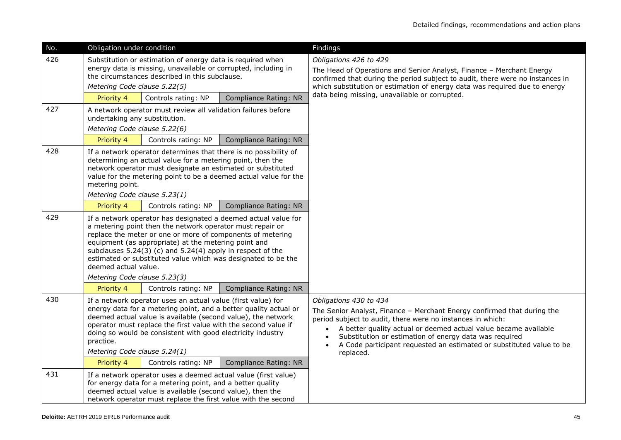| No. | Obligation under condition                                                                                                                                                                                                                                                                                                                                                     |                                                                                                                                                                                                                                                            |                                                                                                                                 | Findings                                                                                                                                                                                                                                                                                                                                                                                       |
|-----|--------------------------------------------------------------------------------------------------------------------------------------------------------------------------------------------------------------------------------------------------------------------------------------------------------------------------------------------------------------------------------|------------------------------------------------------------------------------------------------------------------------------------------------------------------------------------------------------------------------------------------------------------|---------------------------------------------------------------------------------------------------------------------------------|------------------------------------------------------------------------------------------------------------------------------------------------------------------------------------------------------------------------------------------------------------------------------------------------------------------------------------------------------------------------------------------------|
| 426 | Metering Code clause 5.22(5)                                                                                                                                                                                                                                                                                                                                                   | Substitution or estimation of energy data is required when<br>energy data is missing, unavailable or corrupted, including in<br>the circumstances described in this subclause.                                                                             |                                                                                                                                 | Obligations 426 to 429<br>The Head of Operations and Senior Analyst, Finance - Merchant Energy<br>confirmed that during the period subject to audit, there were no instances in<br>which substitution or estimation of energy data was required due to energy                                                                                                                                  |
|     | Priority 4                                                                                                                                                                                                                                                                                                                                                                     | Controls rating: NP                                                                                                                                                                                                                                        | <b>Compliance Rating: NR</b>                                                                                                    | data being missing, unavailable or corrupted.                                                                                                                                                                                                                                                                                                                                                  |
| 427 | undertaking any substitution.<br>Metering Code clause 5.22(6)                                                                                                                                                                                                                                                                                                                  | A network operator must review all validation failures before                                                                                                                                                                                              |                                                                                                                                 |                                                                                                                                                                                                                                                                                                                                                                                                |
|     | Priority 4                                                                                                                                                                                                                                                                                                                                                                     | Controls rating: NP                                                                                                                                                                                                                                        | Compliance Rating: NR                                                                                                           |                                                                                                                                                                                                                                                                                                                                                                                                |
| 428 | If a network operator determines that there is no possibility of<br>determining an actual value for a metering point, then the<br>network operator must designate an estimated or substituted<br>value for the metering point to be a deemed actual value for the<br>metering point.<br>Metering Code clause 5.23(1)                                                           |                                                                                                                                                                                                                                                            |                                                                                                                                 |                                                                                                                                                                                                                                                                                                                                                                                                |
|     | Priority 4                                                                                                                                                                                                                                                                                                                                                                     | Controls rating: NP                                                                                                                                                                                                                                        | Compliance Rating: NR                                                                                                           |                                                                                                                                                                                                                                                                                                                                                                                                |
| 429 | deemed actual value.<br>Metering Code clause 5.23(3)                                                                                                                                                                                                                                                                                                                           | a metering point then the network operator must repair or<br>replace the meter or one or more of components of metering<br>equipment (as appropriate) at the metering point and<br>subclauses 5.24(3) (c) and 5.24(4) apply in respect of the              | If a network operator has designated a deemed actual value for<br>estimated or substituted value which was designated to be the |                                                                                                                                                                                                                                                                                                                                                                                                |
|     | Priority 4                                                                                                                                                                                                                                                                                                                                                                     | Controls rating: NP                                                                                                                                                                                                                                        | Compliance Rating: NR                                                                                                           |                                                                                                                                                                                                                                                                                                                                                                                                |
| 430 | If a network operator uses an actual value (first value) for<br>energy data for a metering point, and a better quality actual or<br>deemed actual value is available (second value), the network<br>operator must replace the first value with the second value if<br>doing so would be consistent with good electricity industry<br>practice.<br>Metering Code clause 5.24(1) |                                                                                                                                                                                                                                                            |                                                                                                                                 | Obligations 430 to 434<br>The Senior Analyst, Finance - Merchant Energy confirmed that during the<br>period subject to audit, there were no instances in which:<br>A better quality actual or deemed actual value became available<br>$\bullet$<br>Substitution or estimation of energy data was required<br>A Code participant requested an estimated or substituted value to be<br>replaced. |
|     | Priority 4                                                                                                                                                                                                                                                                                                                                                                     | Controls rating: NP                                                                                                                                                                                                                                        | Compliance Rating: NR                                                                                                           |                                                                                                                                                                                                                                                                                                                                                                                                |
| 431 |                                                                                                                                                                                                                                                                                                                                                                                | If a network operator uses a deemed actual value (first value)<br>for energy data for a metering point, and a better quality<br>deemed actual value is available (second value), then the<br>network operator must replace the first value with the second |                                                                                                                                 |                                                                                                                                                                                                                                                                                                                                                                                                |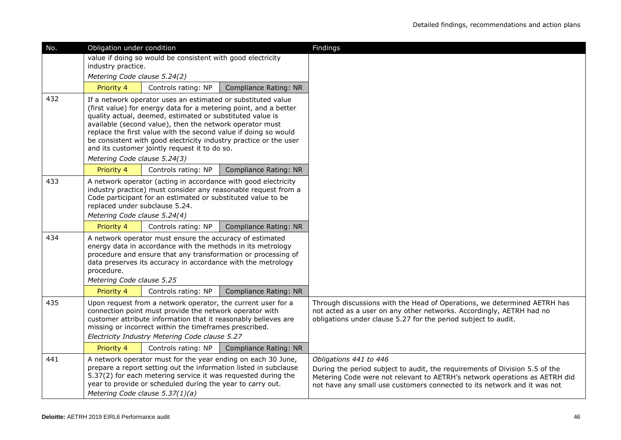| No. | Obligation under condition                                                                                                                                                                                                                                                                                                                                                                                                                                                         |                                                             |                       | Findings                                                                                                                                                                                                                                                        |
|-----|------------------------------------------------------------------------------------------------------------------------------------------------------------------------------------------------------------------------------------------------------------------------------------------------------------------------------------------------------------------------------------------------------------------------------------------------------------------------------------|-------------------------------------------------------------|-----------------------|-----------------------------------------------------------------------------------------------------------------------------------------------------------------------------------------------------------------------------------------------------------------|
|     |                                                                                                                                                                                                                                                                                                                                                                                                                                                                                    | value if doing so would be consistent with good electricity |                       |                                                                                                                                                                                                                                                                 |
|     | industry practice.<br>Metering Code clause 5.24(2)                                                                                                                                                                                                                                                                                                                                                                                                                                 |                                                             |                       |                                                                                                                                                                                                                                                                 |
|     | Priority 4                                                                                                                                                                                                                                                                                                                                                                                                                                                                         | Controls rating: NP                                         | Compliance Rating: NR |                                                                                                                                                                                                                                                                 |
| 432 | If a network operator uses an estimated or substituted value<br>(first value) for energy data for a metering point, and a better<br>quality actual, deemed, estimated or substituted value is<br>available (second value), then the network operator must<br>replace the first value with the second value if doing so would<br>be consistent with good electricity industry practice or the user<br>and its customer jointly request it to do so.<br>Metering Code clause 5.24(3) |                                                             |                       |                                                                                                                                                                                                                                                                 |
|     | Priority 4                                                                                                                                                                                                                                                                                                                                                                                                                                                                         | Controls rating: NP                                         | Compliance Rating: NR |                                                                                                                                                                                                                                                                 |
| 433 | A network operator (acting in accordance with good electricity<br>industry practice) must consider any reasonable request from a<br>Code participant for an estimated or substituted value to be<br>replaced under subclause 5.24.<br>Metering Code clause 5.24(4)                                                                                                                                                                                                                 |                                                             |                       |                                                                                                                                                                                                                                                                 |
|     | Priority 4                                                                                                                                                                                                                                                                                                                                                                                                                                                                         | Controls rating: NP                                         | Compliance Rating: NR |                                                                                                                                                                                                                                                                 |
| 434 | A network operator must ensure the accuracy of estimated<br>energy data in accordance with the methods in its metrology<br>procedure and ensure that any transformation or processing of<br>data preserves its accuracy in accordance with the metrology<br>procedure.<br>Metering Code clause 5.25                                                                                                                                                                                |                                                             |                       |                                                                                                                                                                                                                                                                 |
|     | Priority 4                                                                                                                                                                                                                                                                                                                                                                                                                                                                         | Controls rating: NP                                         | Compliance Rating: NR |                                                                                                                                                                                                                                                                 |
| 435 | Upon request from a network operator, the current user for a<br>connection point must provide the network operator with<br>customer attribute information that it reasonably believes are<br>missing or incorrect within the timeframes prescribed.<br>Electricity Industry Metering Code clause 5.27                                                                                                                                                                              |                                                             |                       | Through discussions with the Head of Operations, we determined AETRH has<br>not acted as a user on any other networks. Accordingly, AETRH had no<br>obligations under clause 5.27 for the period subject to audit.                                              |
|     | Priority 4                                                                                                                                                                                                                                                                                                                                                                                                                                                                         | Controls rating: NP                                         | Compliance Rating: NR |                                                                                                                                                                                                                                                                 |
| 441 | A network operator must for the year ending on each 30 June,<br>prepare a report setting out the information listed in subclause<br>5.37(2) for each metering service it was requested during the<br>year to provide or scheduled during the year to carry out.<br>Metering Code clause 5.37(1)(a)                                                                                                                                                                                 |                                                             |                       | Obligations 441 to 446<br>During the period subject to audit, the requirements of Division 5.5 of the<br>Metering Code were not relevant to AETRH's network operations as AETRH did<br>not have any small use customers connected to its network and it was not |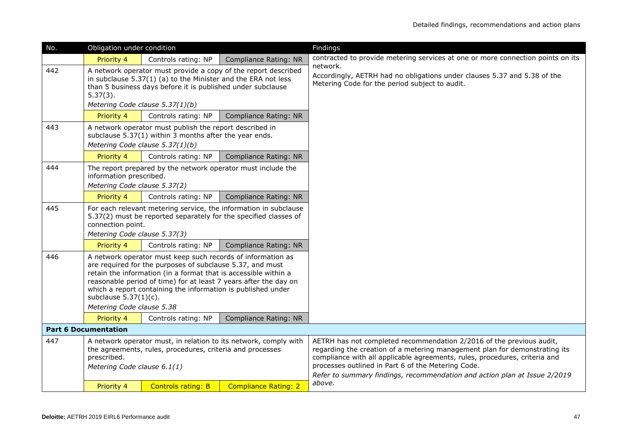| No. | Obligation under condition                                                                                                                                                                                                                                                                                                                                                               |                                                                                                                   |                              | Findings                                                                                                                                                                                                                                                                                                                                                            |
|-----|------------------------------------------------------------------------------------------------------------------------------------------------------------------------------------------------------------------------------------------------------------------------------------------------------------------------------------------------------------------------------------------|-------------------------------------------------------------------------------------------------------------------|------------------------------|---------------------------------------------------------------------------------------------------------------------------------------------------------------------------------------------------------------------------------------------------------------------------------------------------------------------------------------------------------------------|
|     | Priority 4                                                                                                                                                                                                                                                                                                                                                                               | Controls rating: NP                                                                                               | <b>Compliance Rating: NR</b> | contracted to provide metering services at one or more connection points on its                                                                                                                                                                                                                                                                                     |
| 442 | A network operator must provide a copy of the report described<br>in subclause $5.37(1)$ (a) to the Minister and the ERA not less<br>than 5 business days before it is published under subclause<br>$5.37(3)$ .<br>Metering Code clause 5.37(1)(b)                                                                                                                                       |                                                                                                                   |                              | network.<br>Accordingly, AETRH had no obligations under clauses 5.37 and 5.38 of the<br>Metering Code for the period subject to audit.                                                                                                                                                                                                                              |
|     | Priority 4                                                                                                                                                                                                                                                                                                                                                                               | Controls rating: NP                                                                                               | Compliance Rating: NR        |                                                                                                                                                                                                                                                                                                                                                                     |
| 443 |                                                                                                                                                                                                                                                                                                                                                                                          | A network operator must publish the report described in<br>subclause 5.37(1) within 3 months after the year ends. |                              |                                                                                                                                                                                                                                                                                                                                                                     |
|     |                                                                                                                                                                                                                                                                                                                                                                                          | Metering Code clause 5.37(1)(b)                                                                                   |                              |                                                                                                                                                                                                                                                                                                                                                                     |
|     | Priority 4                                                                                                                                                                                                                                                                                                                                                                               | Controls rating: NP                                                                                               | Compliance Rating: NR        |                                                                                                                                                                                                                                                                                                                                                                     |
| 444 | information prescribed.<br>Metering Code clause 5.37(2)                                                                                                                                                                                                                                                                                                                                  | The report prepared by the network operator must include the                                                      |                              |                                                                                                                                                                                                                                                                                                                                                                     |
|     | Priority 4                                                                                                                                                                                                                                                                                                                                                                               | Controls rating: NP                                                                                               | Compliance Rating: NR        |                                                                                                                                                                                                                                                                                                                                                                     |
| 445 | For each relevant metering service, the information in subclause<br>5.37(2) must be reported separately for the specified classes of<br>connection point.<br>Metering Code clause 5.37(3)                                                                                                                                                                                                |                                                                                                                   |                              |                                                                                                                                                                                                                                                                                                                                                                     |
|     | Priority 4                                                                                                                                                                                                                                                                                                                                                                               | Controls rating: NP                                                                                               | Compliance Rating: NR        |                                                                                                                                                                                                                                                                                                                                                                     |
| 446 | A network operator must keep such records of information as<br>are required for the purposes of subclause 5.37, and must<br>retain the information (in a format that is accessible within a<br>reasonable period of time) for at least 7 years after the day on<br>which a report containing the information is published under<br>subclause $5.37(1)(c)$ .<br>Metering Code clause 5.38 |                                                                                                                   |                              |                                                                                                                                                                                                                                                                                                                                                                     |
|     | Priority 4                                                                                                                                                                                                                                                                                                                                                                               | Controls rating: NP                                                                                               | Compliance Rating: NR        |                                                                                                                                                                                                                                                                                                                                                                     |
|     | <b>Part 6 Documentation</b>                                                                                                                                                                                                                                                                                                                                                              |                                                                                                                   |                              |                                                                                                                                                                                                                                                                                                                                                                     |
| 447 | A network operator must, in relation to its network, comply with<br>the agreements, rules, procedures, criteria and processes<br>prescribed.<br>Metering Code clause 6.1(1)                                                                                                                                                                                                              |                                                                                                                   |                              | AETRH has not completed recommendation 2/2016 of the previous audit,<br>regarding the creation of a metering management plan for demonstrating its<br>compliance with all applicable agreements, rules, procedures, criteria and<br>processes outlined in Part 6 of the Metering Code.<br>Refer to summary findings, recommendation and action plan at Issue 2/2019 |
|     | Priority 4                                                                                                                                                                                                                                                                                                                                                                               | <b>Controls rating: B</b>                                                                                         | <b>Compliance Rating: 2</b>  | above.                                                                                                                                                                                                                                                                                                                                                              |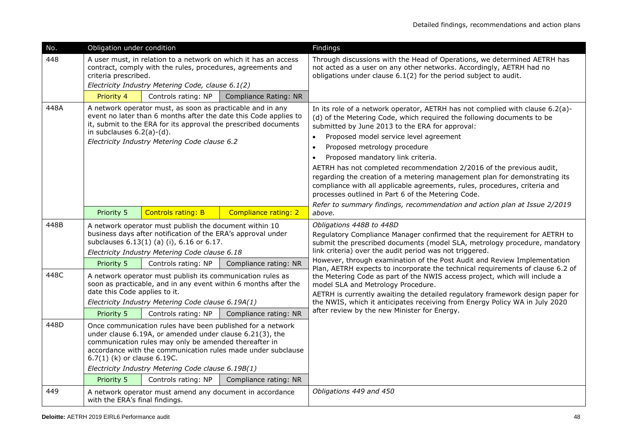| No.  | Obligation under condition                                                                                                                                                                                                                                                                                                                                                                                                                                       |                                                                                                                                                                                                                                              |                                                                 | Findings                                                                                                                                                                                                                                                                                                                                                                                                                                                                                                                                                                                                                                                   |
|------|------------------------------------------------------------------------------------------------------------------------------------------------------------------------------------------------------------------------------------------------------------------------------------------------------------------------------------------------------------------------------------------------------------------------------------------------------------------|----------------------------------------------------------------------------------------------------------------------------------------------------------------------------------------------------------------------------------------------|-----------------------------------------------------------------|------------------------------------------------------------------------------------------------------------------------------------------------------------------------------------------------------------------------------------------------------------------------------------------------------------------------------------------------------------------------------------------------------------------------------------------------------------------------------------------------------------------------------------------------------------------------------------------------------------------------------------------------------------|
| 448  | criteria prescribed.                                                                                                                                                                                                                                                                                                                                                                                                                                             | contract, comply with the rules, procedures, agreements and<br>Electricity Industry Metering Code, clause 6.1(2)                                                                                                                             | A user must, in relation to a network on which it has an access | Through discussions with the Head of Operations, we determined AETRH has<br>not acted as a user on any other networks. Accordingly, AETRH had no<br>obligations under clause 6.1(2) for the period subject to audit.                                                                                                                                                                                                                                                                                                                                                                                                                                       |
|      | Priority 4                                                                                                                                                                                                                                                                                                                                                                                                                                                       | Controls rating: NP                                                                                                                                                                                                                          | <b>Compliance Rating: NR</b>                                    |                                                                                                                                                                                                                                                                                                                                                                                                                                                                                                                                                                                                                                                            |
| 448A | A network operator must, as soon as practicable and in any<br>event no later than 6 months after the date this Code applies to<br>it, submit to the ERA for its approval the prescribed documents<br>in subclauses $6.2(a)-(d)$ .<br>Electricity Industry Metering Code clause 6.2                                                                                                                                                                               |                                                                                                                                                                                                                                              |                                                                 | In its role of a network operator, AETRH has not complied with clause 6.2(a)-<br>(d) of the Metering Code, which required the following documents to be<br>submitted by June 2013 to the ERA for approval:<br>Proposed model service level agreement<br>$\bullet$<br>Proposed metrology procedure<br>$\bullet$<br>Proposed mandatory link criteria.<br>$\bullet$<br>AETRH has not completed recommendation 2/2016 of the previous audit,<br>regarding the creation of a metering management plan for demonstrating its<br>compliance with all applicable agreements, rules, procedures, criteria and<br>processes outlined in Part 6 of the Metering Code. |
|      | Priority 5                                                                                                                                                                                                                                                                                                                                                                                                                                                       | <b>Controls rating: B</b>                                                                                                                                                                                                                    | Compliance rating: 2                                            | Refer to summary findings, recommendation and action plan at Issue 2/2019<br>above.                                                                                                                                                                                                                                                                                                                                                                                                                                                                                                                                                                        |
| 448B | Priority 5                                                                                                                                                                                                                                                                                                                                                                                                                                                       | A network operator must publish the document within 10<br>business days after notification of the ERA's approval under<br>subclauses 6.13(1) (a) (i), 6.16 or 6.17.<br>Electricity Industry Metering Code clause 6.18<br>Controls rating: NP | Compliance rating: NR                                           | Obligations 448B to 448D<br>Regulatory Compliance Manager confirmed that the requirement for AETRH to<br>submit the prescribed documents (model SLA, metrology procedure, mandatory<br>link criteria) over the audit period was not triggered.<br>However, through examination of the Post Audit and Review Implementation                                                                                                                                                                                                                                                                                                                                 |
| 448C | date this Code applies to it.                                                                                                                                                                                                                                                                                                                                                                                                                                    | A network operator must publish its communication rules as<br>Electricity Industry Metering Code clause 6.19A(1)                                                                                                                             | soon as practicable, and in any event within 6 months after the | Plan, AETRH expects to incorporate the technical requirements of clause 6.2 of<br>the Metering Code as part of the NWIS access project, which will include a<br>model SLA and Metrology Procedure.<br>AETRH is currently awaiting the detailed regulatory framework design paper for<br>the NWIS, which it anticipates receiving from Energy Policy WA in July 2020<br>after review by the new Minister for Energy.                                                                                                                                                                                                                                        |
| 448D | Priority 5<br>Controls rating: NP<br>Compliance rating: NR<br>Once communication rules have been published for a network<br>under clause 6.19A, or amended under clause 6.21(3), the<br>communication rules may only be amended thereafter in<br>accordance with the communication rules made under subclause<br>6.7(1) (k) or clause 6.19C.<br>Electricity Industry Metering Code clause 6.19B(1)<br>Priority 5<br>Controls rating: NP<br>Compliance rating: NR |                                                                                                                                                                                                                                              |                                                                 |                                                                                                                                                                                                                                                                                                                                                                                                                                                                                                                                                                                                                                                            |
| 449  | with the ERA's final findings.                                                                                                                                                                                                                                                                                                                                                                                                                                   | A network operator must amend any document in accordance                                                                                                                                                                                     |                                                                 | Obligations 449 and 450                                                                                                                                                                                                                                                                                                                                                                                                                                                                                                                                                                                                                                    |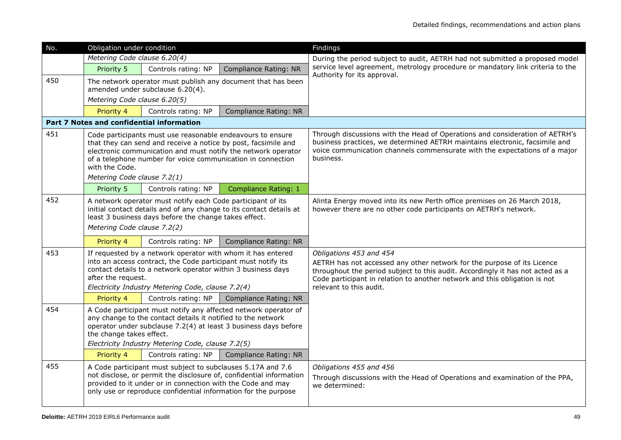| No. | Obligation under condition                                                                                                                                                                                                                                                                                    |                                                                                                                                                                                                                                                   |                                                                     | Findings                                                                                                                                                                                                                                                                                      |  |  |  |  |
|-----|---------------------------------------------------------------------------------------------------------------------------------------------------------------------------------------------------------------------------------------------------------------------------------------------------------------|---------------------------------------------------------------------------------------------------------------------------------------------------------------------------------------------------------------------------------------------------|---------------------------------------------------------------------|-----------------------------------------------------------------------------------------------------------------------------------------------------------------------------------------------------------------------------------------------------------------------------------------------|--|--|--|--|
|     | Metering Code clause 6.20(4)                                                                                                                                                                                                                                                                                  |                                                                                                                                                                                                                                                   |                                                                     | During the period subject to audit, AETRH had not submitted a proposed model                                                                                                                                                                                                                  |  |  |  |  |
|     | Priority 5                                                                                                                                                                                                                                                                                                    | Controls rating: NP                                                                                                                                                                                                                               | <b>Compliance Rating: NR</b>                                        | service level agreement, metrology procedure or mandatory link criteria to the<br>Authority for its approval.                                                                                                                                                                                 |  |  |  |  |
| 450 | Metering Code clause 6.20(5)                                                                                                                                                                                                                                                                                  | amended under subclause 6.20(4).                                                                                                                                                                                                                  | The network operator must publish any document that has been        |                                                                                                                                                                                                                                                                                               |  |  |  |  |
|     | Priority 4                                                                                                                                                                                                                                                                                                    | Controls rating: NP                                                                                                                                                                                                                               | <b>Compliance Rating: NR</b>                                        |                                                                                                                                                                                                                                                                                               |  |  |  |  |
|     |                                                                                                                                                                                                                                                                                                               | <b>Part 7 Notes and confidential information</b>                                                                                                                                                                                                  |                                                                     |                                                                                                                                                                                                                                                                                               |  |  |  |  |
| 451 | Code participants must use reasonable endeavours to ensure<br>that they can send and receive a notice by post, facsimile and<br>electronic communication and must notify the network operator<br>of a telephone number for voice communication in connection<br>with the Code.<br>Metering Code clause 7.2(1) |                                                                                                                                                                                                                                                   |                                                                     | Through discussions with the Head of Operations and consideration of AETRH's<br>business practices, we determined AETRH maintains electronic, facsimile and<br>voice communication channels commensurate with the expectations of a major<br>business.                                        |  |  |  |  |
|     | Priority 5                                                                                                                                                                                                                                                                                                    | Controls rating: NP                                                                                                                                                                                                                               | <b>Compliance Rating: 1</b>                                         |                                                                                                                                                                                                                                                                                               |  |  |  |  |
| 452 | A network operator must notify each Code participant of its<br>initial contact details and of any change to its contact details at<br>least 3 business days before the change takes effect.<br>Metering Code clause 7.2(2)                                                                                    |                                                                                                                                                                                                                                                   |                                                                     | Alinta Energy moved into its new Perth office premises on 26 March 2018,<br>however there are no other code participants on AETRH's network.                                                                                                                                                  |  |  |  |  |
|     | Priority 4                                                                                                                                                                                                                                                                                                    | Controls rating: NP                                                                                                                                                                                                                               | <b>Compliance Rating: NR</b>                                        |                                                                                                                                                                                                                                                                                               |  |  |  |  |
| 453 | after the request.                                                                                                                                                                                                                                                                                            | If requested by a network operator with whom it has entered<br>into an access contract, the Code participant must notify its<br>contact details to a network operator within 3 business days<br>Electricity Industry Metering Code, clause 7.2(4) |                                                                     | Obligations 453 and 454<br>AETRH has not accessed any other network for the purpose of its Licence<br>throughout the period subject to this audit. Accordingly it has not acted as a<br>Code participant in relation to another network and this obligation is not<br>relevant to this audit. |  |  |  |  |
|     | Priority 4                                                                                                                                                                                                                                                                                                    | Controls rating: NP                                                                                                                                                                                                                               | Compliance Rating: NR                                               |                                                                                                                                                                                                                                                                                               |  |  |  |  |
| 454 | A Code participant must notify any affected network operator of<br>any change to the contact details it notified to the network<br>operator under subclause 7.2(4) at least 3 business days before<br>the change takes effect.<br>Electricity Industry Metering Code, clause 7.2(5)                           |                                                                                                                                                                                                                                                   |                                                                     |                                                                                                                                                                                                                                                                                               |  |  |  |  |
|     | Priority 4                                                                                                                                                                                                                                                                                                    | Controls rating: NP                                                                                                                                                                                                                               | <b>Compliance Rating: NR</b>                                        |                                                                                                                                                                                                                                                                                               |  |  |  |  |
| 455 |                                                                                                                                                                                                                                                                                                               | A Code participant must subject to subclauses 5.17A and 7.6<br>provided to it under or in connection with the Code and may<br>only use or reproduce confidential information for the purpose                                                      | not disclose, or permit the disclosure of, confidential information | Obligations 455 and 456<br>Through discussions with the Head of Operations and examination of the PPA,<br>we determined:                                                                                                                                                                      |  |  |  |  |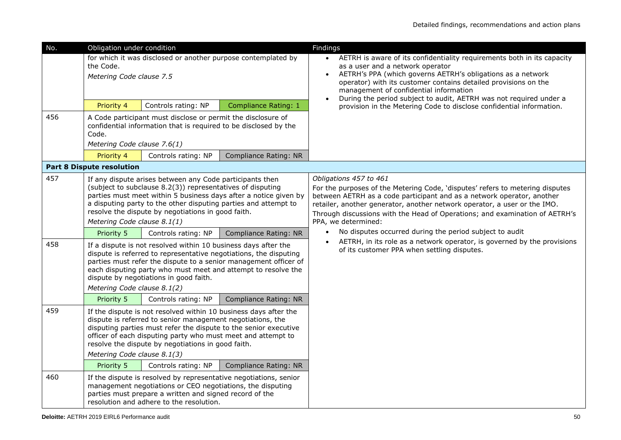| No.                                                                                                                                                                             | Obligation under condition                |                                                                                                                                                                                                                                                                                                                    |                                                                                                                                                                      | Findings                                                                                                                                                                                                                                                                                                                                                             |  |  |  |
|---------------------------------------------------------------------------------------------------------------------------------------------------------------------------------|-------------------------------------------|--------------------------------------------------------------------------------------------------------------------------------------------------------------------------------------------------------------------------------------------------------------------------------------------------------------------|----------------------------------------------------------------------------------------------------------------------------------------------------------------------|----------------------------------------------------------------------------------------------------------------------------------------------------------------------------------------------------------------------------------------------------------------------------------------------------------------------------------------------------------------------|--|--|--|
|                                                                                                                                                                                 | the Code.<br>Metering Code clause 7.5     |                                                                                                                                                                                                                                                                                                                    | for which it was disclosed or another purpose contemplated by                                                                                                        | AETRH is aware of its confidentiality requirements both in its capacity<br>$\bullet$<br>as a user and a network operator<br>AETRH's PPA (which governs AETRH's obligations as a network<br>operator) with its customer contains detailed provisions on the<br>management of confidential information                                                                 |  |  |  |
|                                                                                                                                                                                 | Priority 4                                | Controls rating: NP                                                                                                                                                                                                                                                                                                | <b>Compliance Rating: 1</b>                                                                                                                                          | During the period subject to audit, AETRH was not required under a<br>provision in the Metering Code to disclose confidential information.                                                                                                                                                                                                                           |  |  |  |
| 456<br>A Code participant must disclose or permit the disclosure of<br>confidential information that is required to be disclosed by the<br>Code.<br>Metering Code clause 7.6(1) |                                           |                                                                                                                                                                                                                                                                                                                    |                                                                                                                                                                      |                                                                                                                                                                                                                                                                                                                                                                      |  |  |  |
|                                                                                                                                                                                 | Priority 4                                | Controls rating: NP                                                                                                                                                                                                                                                                                                | <b>Compliance Rating: NR</b>                                                                                                                                         |                                                                                                                                                                                                                                                                                                                                                                      |  |  |  |
|                                                                                                                                                                                 | <b>Part 8 Dispute resolution</b>          |                                                                                                                                                                                                                                                                                                                    |                                                                                                                                                                      |                                                                                                                                                                                                                                                                                                                                                                      |  |  |  |
| 457                                                                                                                                                                             | Metering Code clause 8.1(1)               | If any dispute arises between any Code participants then<br>(subject to subclause 8.2(3)) representatives of disputing<br>resolve the dispute by negotiations in good faith.                                                                                                                                       | parties must meet within 5 business days after a notice given by<br>a disputing party to the other disputing parties and attempt to                                  | Obligations 457 to 461<br>For the purposes of the Metering Code, 'disputes' refers to metering disputes<br>between AETRH as a code participant and as a network operator, another<br>retailer, another generator, another network operator, a user or the IMO.<br>Through discussions with the Head of Operations; and examination of AETRH's<br>PPA, we determined: |  |  |  |
|                                                                                                                                                                                 | Priority 5                                | Controls rating: NP                                                                                                                                                                                                                                                                                                | Compliance Rating: NR                                                                                                                                                | No disputes occurred during the period subject to audit                                                                                                                                                                                                                                                                                                              |  |  |  |
| 458                                                                                                                                                                             | Metering Code clause 8.1(2)               | If a dispute is not resolved within 10 business days after the<br>dispute is referred to representative negotiations, the disputing<br>parties must refer the dispute to a senior management officer of<br>each disputing party who must meet and attempt to resolve the<br>dispute by negotiations in good faith. | AETRH, in its role as a network operator, is governed by the provisions<br>of its customer PPA when settling disputes.                                               |                                                                                                                                                                                                                                                                                                                                                                      |  |  |  |
|                                                                                                                                                                                 | Priority 5                                | Controls rating: NP                                                                                                                                                                                                                                                                                                | Compliance Rating: NR                                                                                                                                                |                                                                                                                                                                                                                                                                                                                                                                      |  |  |  |
| 459                                                                                                                                                                             | Metering Code clause 8.1(3)<br>Priority 5 | dispute is referred to senior management negotiations, the<br>officer of each disputing party who must meet and attempt to<br>resolve the dispute by negotiations in good faith.<br>Controls rating: NP                                                                                                            | If the dispute is not resolved within 10 business days after the<br>disputing parties must refer the dispute to the senior executive<br><b>Compliance Rating: NR</b> |                                                                                                                                                                                                                                                                                                                                                                      |  |  |  |
| 460                                                                                                                                                                             |                                           | management negotiations or CEO negotiations, the disputing<br>parties must prepare a written and signed record of the<br>resolution and adhere to the resolution.                                                                                                                                                  | If the dispute is resolved by representative negotiations, senior                                                                                                    |                                                                                                                                                                                                                                                                                                                                                                      |  |  |  |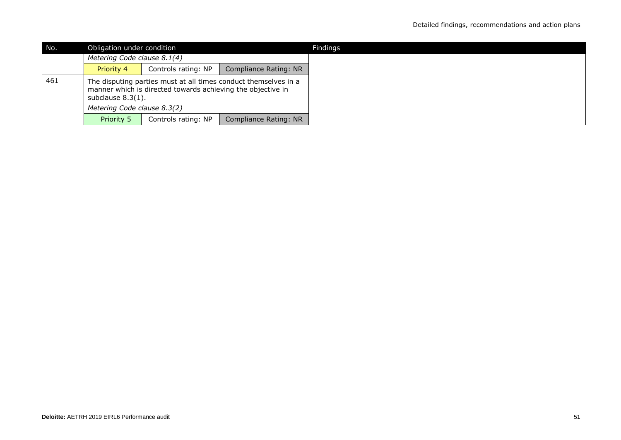| No. |                             | Obligation under condition                                  |                                                                 |  |  |
|-----|-----------------------------|-------------------------------------------------------------|-----------------------------------------------------------------|--|--|
|     | Metering Code clause 8.1(4) |                                                             |                                                                 |  |  |
|     | <b>Priority 4</b>           | Controls rating: NP                                         | Compliance Rating: NR                                           |  |  |
| 461 | subclause $8.3(1)$ .        | manner which is directed towards achieving the objective in | The disputing parties must at all times conduct themselves in a |  |  |
|     | Metering Code clause 8.3(2) |                                                             |                                                                 |  |  |
|     | Priority 5                  | Controls rating: NP                                         | Compliance Rating: NR                                           |  |  |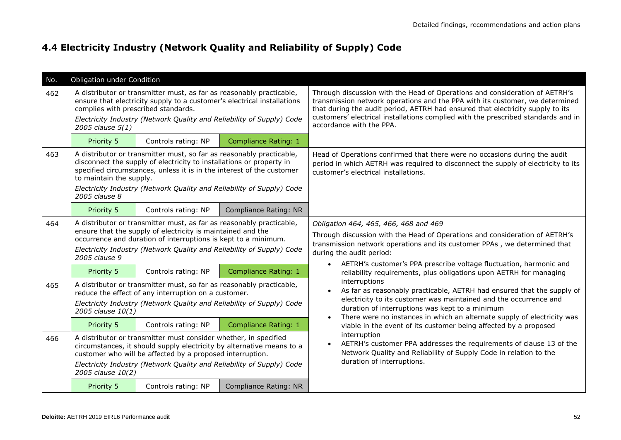### **4.4 Electricity Industry (Network Quality and Reliability of Supply) Code**

| No. | Obligation under Condition                                                                                                                                                                                                                                                                                                                                                                                                                                                                                                                            |                                                                                                                                                                                                       |                                                                                                                                                                                                                                                                                                                                                                                                                                                                           |                                                                                                                                                                                                                                                                                                                                                                |  |  |
|-----|-------------------------------------------------------------------------------------------------------------------------------------------------------------------------------------------------------------------------------------------------------------------------------------------------------------------------------------------------------------------------------------------------------------------------------------------------------------------------------------------------------------------------------------------------------|-------------------------------------------------------------------------------------------------------------------------------------------------------------------------------------------------------|---------------------------------------------------------------------------------------------------------------------------------------------------------------------------------------------------------------------------------------------------------------------------------------------------------------------------------------------------------------------------------------------------------------------------------------------------------------------------|----------------------------------------------------------------------------------------------------------------------------------------------------------------------------------------------------------------------------------------------------------------------------------------------------------------------------------------------------------------|--|--|
| 462 | complies with prescribed standards.<br>2005 clause 5(1)                                                                                                                                                                                                                                                                                                                                                                                                                                                                                               | A distributor or transmitter must, as far as reasonably practicable,<br>ensure that electricity supply to a customer's electrical installations                                                       | Electricity Industry (Network Quality and Reliability of Supply) Code                                                                                                                                                                                                                                                                                                                                                                                                     | Through discussion with the Head of Operations and consideration of AETRH's<br>transmission network operations and the PPA with its customer, we determined<br>that during the audit period, AETRH had ensured that electricity supply to its<br>customers' electrical installations complied with the prescribed standards and in<br>accordance with the PPA. |  |  |
|     | Priority 5                                                                                                                                                                                                                                                                                                                                                                                                                                                                                                                                            | Controls rating: NP                                                                                                                                                                                   | Compliance Rating: 1                                                                                                                                                                                                                                                                                                                                                                                                                                                      |                                                                                                                                                                                                                                                                                                                                                                |  |  |
| 463 | A distributor or transmitter must, so far as reasonably practicable,<br>Head of Operations confirmed that there were no occasions during the audit<br>disconnect the supply of electricity to installations or property in<br>period in which AETRH was required to disconnect the supply of electricity to its<br>specified circumstances, unless it is in the interest of the customer<br>customer's electrical installations.<br>to maintain the supply.<br>Electricity Industry (Network Quality and Reliability of Supply) Code<br>2005 clause 8 |                                                                                                                                                                                                       |                                                                                                                                                                                                                                                                                                                                                                                                                                                                           |                                                                                                                                                                                                                                                                                                                                                                |  |  |
|     | Priority 5                                                                                                                                                                                                                                                                                                                                                                                                                                                                                                                                            | Controls rating: NP                                                                                                                                                                                   | <b>Compliance Rating: NR</b>                                                                                                                                                                                                                                                                                                                                                                                                                                              |                                                                                                                                                                                                                                                                                                                                                                |  |  |
| 464 | 2005 clause 9                                                                                                                                                                                                                                                                                                                                                                                                                                                                                                                                         | A distributor or transmitter must, as far as reasonably practicable,<br>ensure that the supply of electricity is maintained and the<br>occurrence and duration of interruptions is kept to a minimum. | Electricity Industry (Network Quality and Reliability of Supply) Code                                                                                                                                                                                                                                                                                                                                                                                                     | Obligation 464, 465, 466, 468 and 469<br>Through discussion with the Head of Operations and consideration of AETRH's<br>transmission network operations and its customer PPAs, we determined that<br>during the audit period:                                                                                                                                  |  |  |
|     | Priority 5                                                                                                                                                                                                                                                                                                                                                                                                                                                                                                                                            | Controls rating: NP                                                                                                                                                                                   | <b>Compliance Rating: 1</b>                                                                                                                                                                                                                                                                                                                                                                                                                                               | AETRH's customer's PPA prescribe voltage fluctuation, harmonic and<br>reliability requirements, plus obligations upon AETRH for managing                                                                                                                                                                                                                       |  |  |
| 465 | 2005 clause 10(1)                                                                                                                                                                                                                                                                                                                                                                                                                                                                                                                                     | A distributor or transmitter must, so far as reasonably practicable,<br>reduce the effect of any interruption on a customer.                                                                          | Electricity Industry (Network Quality and Reliability of Supply) Code                                                                                                                                                                                                                                                                                                                                                                                                     | interruptions<br>As far as reasonably practicable, AETRH had ensured that the supply of<br>$\bullet$<br>electricity to its customer was maintained and the occurrence and<br>duration of interruptions was kept to a minimum<br>There were no instances in which an alternate supply of electricity was                                                        |  |  |
|     | Priority 5                                                                                                                                                                                                                                                                                                                                                                                                                                                                                                                                            | Controls rating: NP                                                                                                                                                                                   | <b>Compliance Rating: 1</b>                                                                                                                                                                                                                                                                                                                                                                                                                                               | viable in the event of its customer being affected by a proposed                                                                                                                                                                                                                                                                                               |  |  |
| 466 | 2005 clause 10(2)                                                                                                                                                                                                                                                                                                                                                                                                                                                                                                                                     |                                                                                                                                                                                                       | interruption<br>A distributor or transmitter must consider whether, in specified<br>AETRH's customer PPA addresses the requirements of clause 13 of the<br>circumstances, it should supply electricity by alternative means to a<br>Network Quality and Reliability of Supply Code in relation to the<br>customer who will be affected by a proposed interruption.<br>duration of interruptions.<br>Electricity Industry (Network Quality and Reliability of Supply) Code |                                                                                                                                                                                                                                                                                                                                                                |  |  |
|     | Priority 5                                                                                                                                                                                                                                                                                                                                                                                                                                                                                                                                            | Controls rating: NP                                                                                                                                                                                   | <b>Compliance Rating: NR</b>                                                                                                                                                                                                                                                                                                                                                                                                                                              |                                                                                                                                                                                                                                                                                                                                                                |  |  |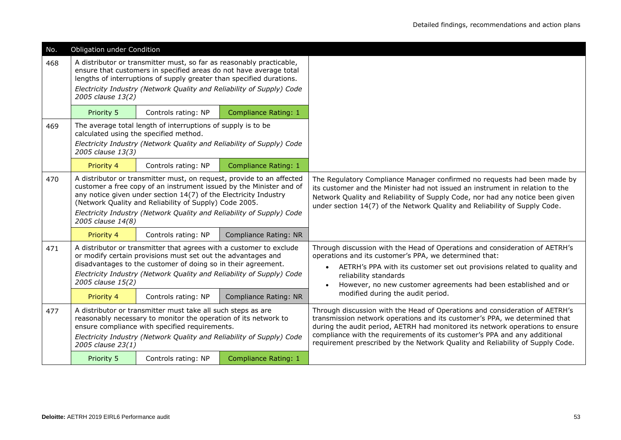| No. | Obligation under Condition                                                                                                                                                                                                                                                                                                                                               |                                                                                                                                                                                                                    |                                                                       |                                                                                                                                                                                                                                                                                                                                                                                                          |  |  |
|-----|--------------------------------------------------------------------------------------------------------------------------------------------------------------------------------------------------------------------------------------------------------------------------------------------------------------------------------------------------------------------------|--------------------------------------------------------------------------------------------------------------------------------------------------------------------------------------------------------------------|-----------------------------------------------------------------------|----------------------------------------------------------------------------------------------------------------------------------------------------------------------------------------------------------------------------------------------------------------------------------------------------------------------------------------------------------------------------------------------------------|--|--|
| 468 | 2005 clause 13(2)                                                                                                                                                                                                                                                                                                                                                        | A distributor or transmitter must, so far as reasonably practicable,<br>ensure that customers in specified areas do not have average total<br>lengths of interruptions of supply greater than specified durations. | Electricity Industry (Network Quality and Reliability of Supply) Code |                                                                                                                                                                                                                                                                                                                                                                                                          |  |  |
|     | Priority 5                                                                                                                                                                                                                                                                                                                                                               | Controls rating: NP                                                                                                                                                                                                | Compliance Rating: 1                                                  |                                                                                                                                                                                                                                                                                                                                                                                                          |  |  |
| 469 | 2005 clause 13(3)                                                                                                                                                                                                                                                                                                                                                        | The average total length of interruptions of supply is to be<br>calculated using the specified method.                                                                                                             | Electricity Industry (Network Quality and Reliability of Supply) Code |                                                                                                                                                                                                                                                                                                                                                                                                          |  |  |
|     | Priority 4                                                                                                                                                                                                                                                                                                                                                               | Controls rating: NP                                                                                                                                                                                                | <b>Compliance Rating: 1</b>                                           |                                                                                                                                                                                                                                                                                                                                                                                                          |  |  |
| 470 | A distributor or transmitter must, on request, provide to an affected<br>customer a free copy of an instrument issued by the Minister and of<br>any notice given under section 14(7) of the Electricity Industry<br>(Network Quality and Reliability of Supply) Code 2005.<br>Electricity Industry (Network Quality and Reliability of Supply) Code<br>2005 clause 14(8) |                                                                                                                                                                                                                    |                                                                       | The Regulatory Compliance Manager confirmed no requests had been made by<br>its customer and the Minister had not issued an instrument in relation to the<br>Network Quality and Reliability of Supply Code, nor had any notice been given<br>under section 14(7) of the Network Quality and Reliability of Supply Code.                                                                                 |  |  |
|     | Priority 4                                                                                                                                                                                                                                                                                                                                                               | Controls rating: NP                                                                                                                                                                                                | Compliance Rating: NR                                                 |                                                                                                                                                                                                                                                                                                                                                                                                          |  |  |
| 471 | A distributor or transmitter that agrees with a customer to exclude<br>or modify certain provisions must set out the advantages and<br>disadvantages to the customer of doing so in their agreement.<br>Electricity Industry (Network Quality and Reliability of Supply) Code<br>2005 clause 15(2)                                                                       |                                                                                                                                                                                                                    |                                                                       | Through discussion with the Head of Operations and consideration of AETRH's<br>operations and its customer's PPA, we determined that:<br>AETRH's PPA with its customer set out provisions related to quality and<br>$\bullet$<br>reliability standards<br>However, no new customer agreements had been established and or                                                                                |  |  |
|     | Priority 4                                                                                                                                                                                                                                                                                                                                                               | Controls rating: NP                                                                                                                                                                                                | <b>Compliance Rating: NR</b>                                          | modified during the audit period.                                                                                                                                                                                                                                                                                                                                                                        |  |  |
| 477 | A distributor or transmitter must take all such steps as are<br>reasonably necessary to monitor the operation of its network to<br>ensure compliance with specified requirements.<br>Electricity Industry (Network Quality and Reliability of Supply) Code<br>2005 clause 23(1)                                                                                          |                                                                                                                                                                                                                    |                                                                       | Through discussion with the Head of Operations and consideration of AETRH's<br>transmission network operations and its customer's PPA, we determined that<br>during the audit period, AETRH had monitored its network operations to ensure<br>compliance with the requirements of its customer's PPA and any additional<br>requirement prescribed by the Network Quality and Reliability of Supply Code. |  |  |
|     | Priority 5                                                                                                                                                                                                                                                                                                                                                               | Controls rating: NP                                                                                                                                                                                                | Compliance Rating: 1                                                  |                                                                                                                                                                                                                                                                                                                                                                                                          |  |  |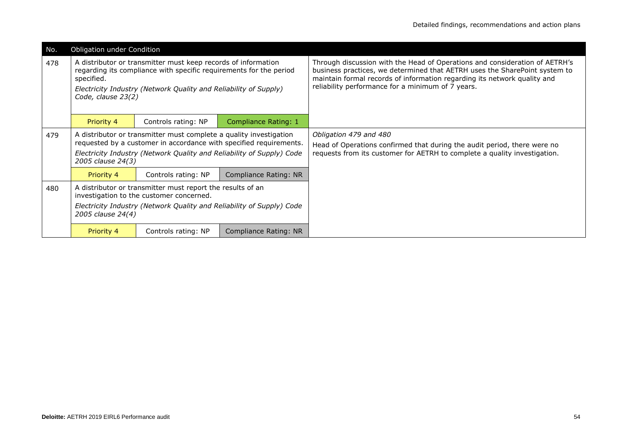| No. | Obligation under Condition       |                                                                                                                                                                                                         |                                                                                                                                             |                                                                                                                                                                                                                                                                                            |  |  |
|-----|----------------------------------|---------------------------------------------------------------------------------------------------------------------------------------------------------------------------------------------------------|---------------------------------------------------------------------------------------------------------------------------------------------|--------------------------------------------------------------------------------------------------------------------------------------------------------------------------------------------------------------------------------------------------------------------------------------------|--|--|
| 478 | specified.<br>Code, clause 23(2) | A distributor or transmitter must keep records of information<br>regarding its compliance with specific requirements for the period<br>Electricity Industry (Network Quality and Reliability of Supply) |                                                                                                                                             | Through discussion with the Head of Operations and consideration of AETRH's<br>business practices, we determined that AETRH uses the SharePoint system to<br>maintain formal records of information regarding its network quality and<br>reliability performance for a minimum of 7 years. |  |  |
|     | Priority 4                       | Controls rating: NP                                                                                                                                                                                     | <b>Compliance Rating: 1</b>                                                                                                                 |                                                                                                                                                                                                                                                                                            |  |  |
| 479 | 2005 clause 24(3)                | A distributor or transmitter must complete a quality investigation                                                                                                                                      | requested by a customer in accordance with specified requirements.<br>Electricity Industry (Network Quality and Reliability of Supply) Code | Obligation 479 and 480<br>Head of Operations confirmed that during the audit period, there were no<br>requests from its customer for AETRH to complete a quality investigation.                                                                                                            |  |  |
|     | Priority 4                       | Controls rating: NP                                                                                                                                                                                     | Compliance Rating: NR                                                                                                                       |                                                                                                                                                                                                                                                                                            |  |  |
| 480 | 2005 clause 24(4)                | A distributor or transmitter must report the results of an<br>investigation to the customer concerned.                                                                                                  | Electricity Industry (Network Quality and Reliability of Supply) Code                                                                       |                                                                                                                                                                                                                                                                                            |  |  |
|     | Priority 4                       | Controls rating: NP                                                                                                                                                                                     | Compliance Rating: NR                                                                                                                       |                                                                                                                                                                                                                                                                                            |  |  |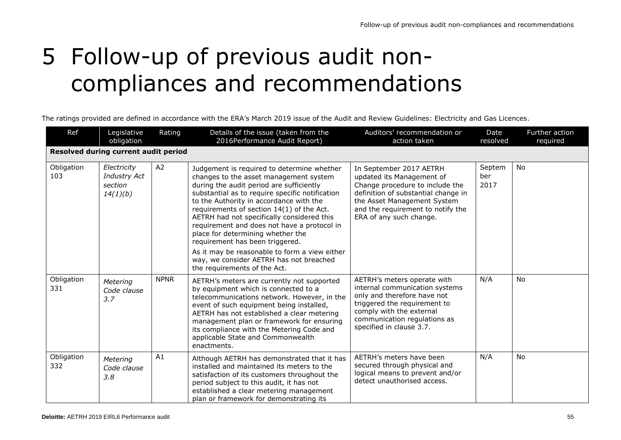# 5 Follow-up of previous audit noncompliances and recommendations

The ratings provided are defined in accordance with the ERA's March 2019 issue of the Audit and Review Guidelines: Electricity and Gas Licences.

| Ref                                  | Legislative<br>obligation                                 | Rating      | Details of the issue (taken from the<br>2016Performance Audit Report)                                                                                                                                                                                                                                                                                                                                                                                                                                                                                                        | Auditors' recommendation or<br>action taken                                                                                                                                                                                   | Date<br>resolved      | Further action<br>required |  |  |
|--------------------------------------|-----------------------------------------------------------|-------------|------------------------------------------------------------------------------------------------------------------------------------------------------------------------------------------------------------------------------------------------------------------------------------------------------------------------------------------------------------------------------------------------------------------------------------------------------------------------------------------------------------------------------------------------------------------------------|-------------------------------------------------------------------------------------------------------------------------------------------------------------------------------------------------------------------------------|-----------------------|----------------------------|--|--|
| Resolved during current audit period |                                                           |             |                                                                                                                                                                                                                                                                                                                                                                                                                                                                                                                                                                              |                                                                                                                                                                                                                               |                       |                            |  |  |
| Obligation<br>103                    | Electricity<br><b>Industry Act</b><br>section<br>14(1)(b) | A2          | Judgement is required to determine whether<br>changes to the asset management system<br>during the audit period are sufficiently<br>substantial as to require specific notification<br>to the Authority in accordance with the<br>requirements of section 14(1) of the Act.<br>AETRH had not specifically considered this<br>requirement and does not have a protocol in<br>place for determining whether the<br>requirement has been triggered.<br>As it may be reasonable to form a view either<br>way, we consider AETRH has not breached<br>the requirements of the Act. | In September 2017 AETRH<br>updated its Management of<br>Change procedure to include the<br>definition of substantial change in<br>the Asset Management System<br>and the requirement to notify the<br>ERA of any such change. | Septem<br>ber<br>2017 | No                         |  |  |
| Obligation<br>331                    | Metering<br>Code clause<br>3.7                            | <b>NPNR</b> | AETRH's meters are currently not supported<br>by equipment which is connected to a<br>telecommunications network. However, in the<br>event of such equipment being installed,<br>AETRH has not established a clear metering<br>management plan or framework for ensuring<br>its compliance with the Metering Code and<br>applicable State and Commonwealth<br>enactments.                                                                                                                                                                                                    | AETRH's meters operate with<br>internal communication systems<br>only and therefore have not<br>triggered the requirement to<br>comply with the external<br>communication regulations as<br>specified in clause 3.7.          | N/A                   | <b>No</b>                  |  |  |
| Obligation<br>332                    | Metering<br>Code clause<br>3.8                            | A1          | Although AETRH has demonstrated that it has<br>installed and maintained its meters to the<br>satisfaction of its customers throughout the<br>period subject to this audit, it has not<br>established a clear metering management<br>plan or framework for demonstrating its                                                                                                                                                                                                                                                                                                  | AETRH's meters have been<br>secured through physical and<br>logical means to prevent and/or<br>detect unauthorised access.                                                                                                    | N/A                   | <b>No</b>                  |  |  |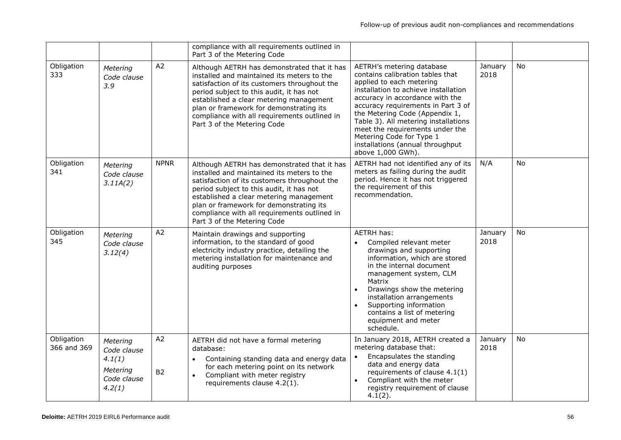|                           |                                                                        |                      | compliance with all requirements outlined in<br>Part 3 of the Metering Code                                                                                                                                                                                                                                                                                |                                                                                                                                                                                                                                                                                                                                                                                                              |                 |           |
|---------------------------|------------------------------------------------------------------------|----------------------|------------------------------------------------------------------------------------------------------------------------------------------------------------------------------------------------------------------------------------------------------------------------------------------------------------------------------------------------------------|--------------------------------------------------------------------------------------------------------------------------------------------------------------------------------------------------------------------------------------------------------------------------------------------------------------------------------------------------------------------------------------------------------------|-----------------|-----------|
| Obligation<br>333         | Metering<br>Code clause<br>3.9                                         | A2                   | Although AETRH has demonstrated that it has<br>installed and maintained its meters to the<br>satisfaction of its customers throughout the<br>period subject to this audit, it has not<br>established a clear metering management<br>plan or framework for demonstrating its<br>compliance with all requirements outlined in<br>Part 3 of the Metering Code | AETRH's metering database<br>contains calibration tables that<br>applied to each metering<br>installation to achieve installation<br>accuracy in accordance with the<br>accuracy requirements in Part 3 of<br>the Metering Code (Appendix 1,<br>Table 3). All metering installations<br>meet the requirements under the<br>Metering Code for Type 1<br>installations (annual throughput<br>above 1,000 GWh). | January<br>2018 | <b>No</b> |
| Obligation<br>341         | Metering<br>Code clause<br>3.11A(2)                                    | <b>NPNR</b>          | Although AETRH has demonstrated that it has<br>installed and maintained its meters to the<br>satisfaction of its customers throughout the<br>period subject to this audit, it has not<br>established a clear metering management<br>plan or framework for demonstrating its<br>compliance with all requirements outlined in<br>Part 3 of the Metering Code | AETRH had not identified any of its<br>meters as failing during the audit<br>period. Hence it has not triggered<br>the requirement of this<br>recommendation.                                                                                                                                                                                                                                                | N/A             | <b>No</b> |
| Obligation<br>345         | Metering<br>Code clause<br>3.12(4)                                     | A2                   | Maintain drawings and supporting<br>information, to the standard of good<br>electricity industry practice, detailing the<br>metering installation for maintenance and<br>auditing purposes                                                                                                                                                                 | <b>AETRH has:</b><br>Compiled relevant meter<br>drawings and supporting<br>information, which are stored<br>in the internal document<br>management system, CLM<br>Matrix<br>Drawings show the metering<br>installation arrangements<br>Supporting information<br>contains a list of metering<br>equipment and meter<br>schedule.                                                                             | January<br>2018 | <b>No</b> |
| Obligation<br>366 and 369 | Metering<br>Code clause<br>4.1(1)<br>Metering<br>Code clause<br>4.2(1) | A2<br>B <sub>2</sub> | AETRH did not have a formal metering<br>database:<br>Containing standing data and energy data<br>for each metering point on its network<br>Compliant with meter registry<br>$\bullet$<br>requirements clause 4.2(1).                                                                                                                                       | In January 2018, AETRH created a<br>metering database that:<br>Encapsulates the standing<br>$\bullet$<br>data and energy data<br>requirements of clause 4.1(1)<br>Compliant with the meter<br>$\bullet$<br>registry requirement of clause<br>$4.1(2)$ .                                                                                                                                                      | January<br>2018 | No        |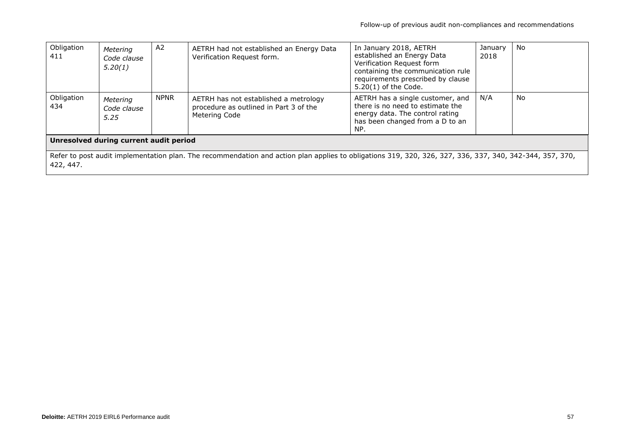| Obligation<br>411                                                                                                                                                     | Metering<br>Code clause<br>5.20(1) | A <sub>2</sub> | AETRH had not established an Energy Data<br>Verification Request form.                           | In January 2018, AETRH<br>established an Energy Data<br>Verification Request form<br>containing the communication rule<br>requirements prescribed by clause<br>$5.20(1)$ of the Code. | January<br>2018 | No |  |
|-----------------------------------------------------------------------------------------------------------------------------------------------------------------------|------------------------------------|----------------|--------------------------------------------------------------------------------------------------|---------------------------------------------------------------------------------------------------------------------------------------------------------------------------------------|-----------------|----|--|
| Obligation<br>434                                                                                                                                                     | Metering<br>Code clause<br>5.25    | <b>NPNR</b>    | AETRH has not established a metrology<br>procedure as outlined in Part 3 of the<br>Metering Code | AETRH has a single customer, and<br>there is no need to estimate the<br>energy data. The control rating<br>has been changed from a D to an<br>NP.                                     | N/A             | No |  |
| Unresolved during current audit period                                                                                                                                |                                    |                |                                                                                                  |                                                                                                                                                                                       |                 |    |  |
| Refer to post audit implementation plan. The recommendation and action plan applies to obligations 319, 320, 326, 327, 336, 337, 340, 342-344, 357, 370,<br>422, 447. |                                    |                |                                                                                                  |                                                                                                                                                                                       |                 |    |  |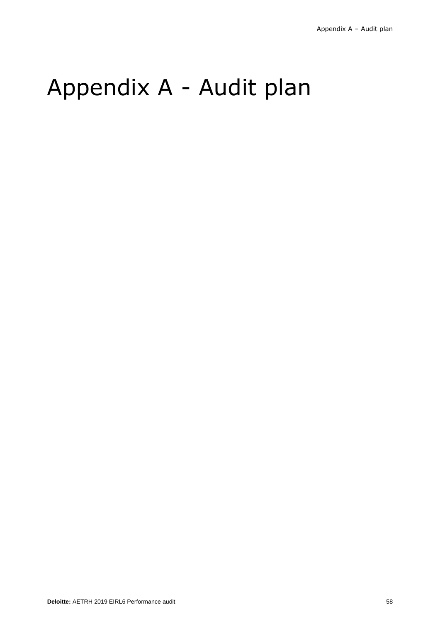# Appendix A - Audit plan